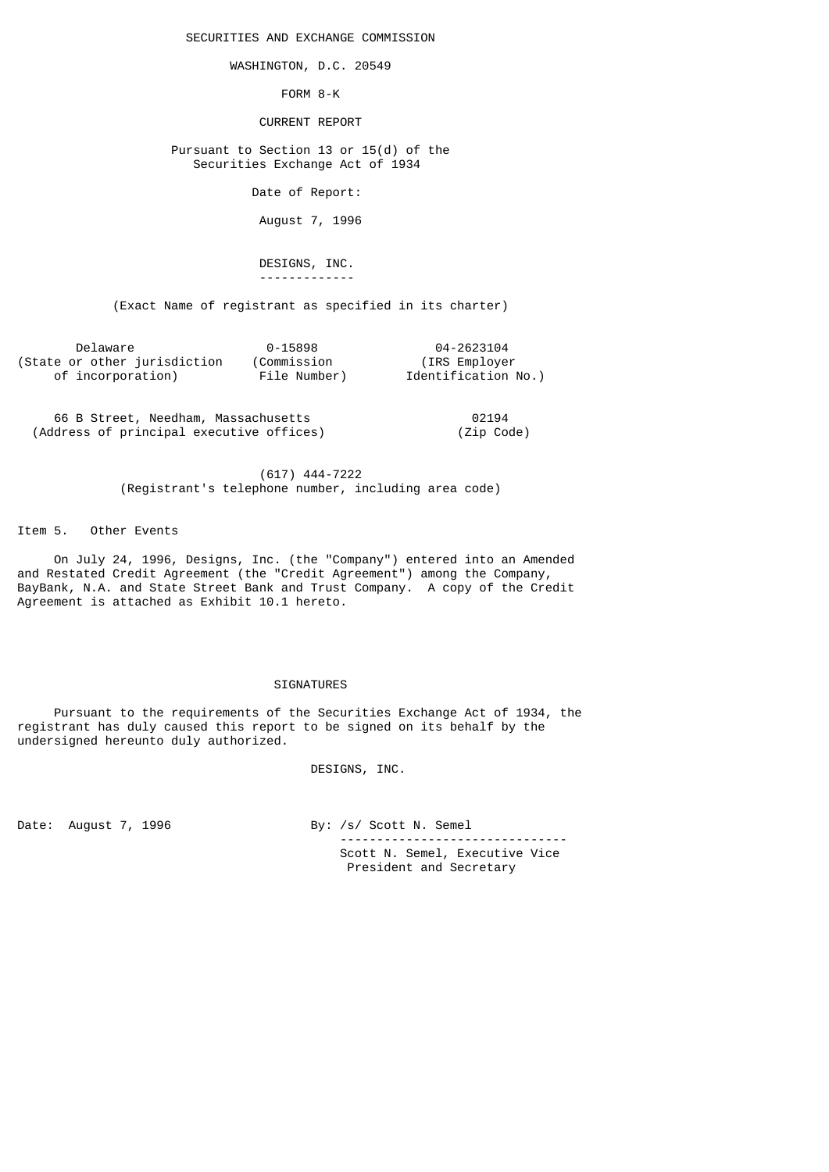SECURITIES AND EXCHANGE COMMISSION

WASHINGTON, D.C. 20549

FORM 8-K

CURRENT REPORT

 Pursuant to Section 13 or 15(d) of the Securities Exchange Act of 1934

Date of Report:

August 7, 1996

 DESIGNS, INC. -------------

(Exact Name of registrant as specified in its charter)

| Delaware                     | 0-15898      | 04-2623104          |
|------------------------------|--------------|---------------------|
| (State or other jurisdiction | (Commission  | (IRS Employer)      |
| of incorporation)            | File Number) | Identification No.) |

 66 B Street, Needham, Massachusetts 02194 (Address of principal executive offices)

 (617) 444-7222 (Registrant's telephone number, including area code)

Item 5. Other Events

 On July 24, 1996, Designs, Inc. (the "Company") entered into an Amended and Restated Credit Agreement (the "Credit Agreement") among the Company, BayBank, N.A. and State Street Bank and Trust Company. A copy of the Credit Agreement is attached as Exhibit 10.1 hereto.

#### SIGNATURES

 Pursuant to the requirements of the Securities Exchange Act of 1934, the registrant has duly caused this report to be signed on its behalf by the undersigned hereunto duly authorized.

DESIGNS, INC.

Date: August 7, 1996 By: /s/ Scott N. Semel

 ------------------------------- Scott N. Semel, Executive Vice President and Secretary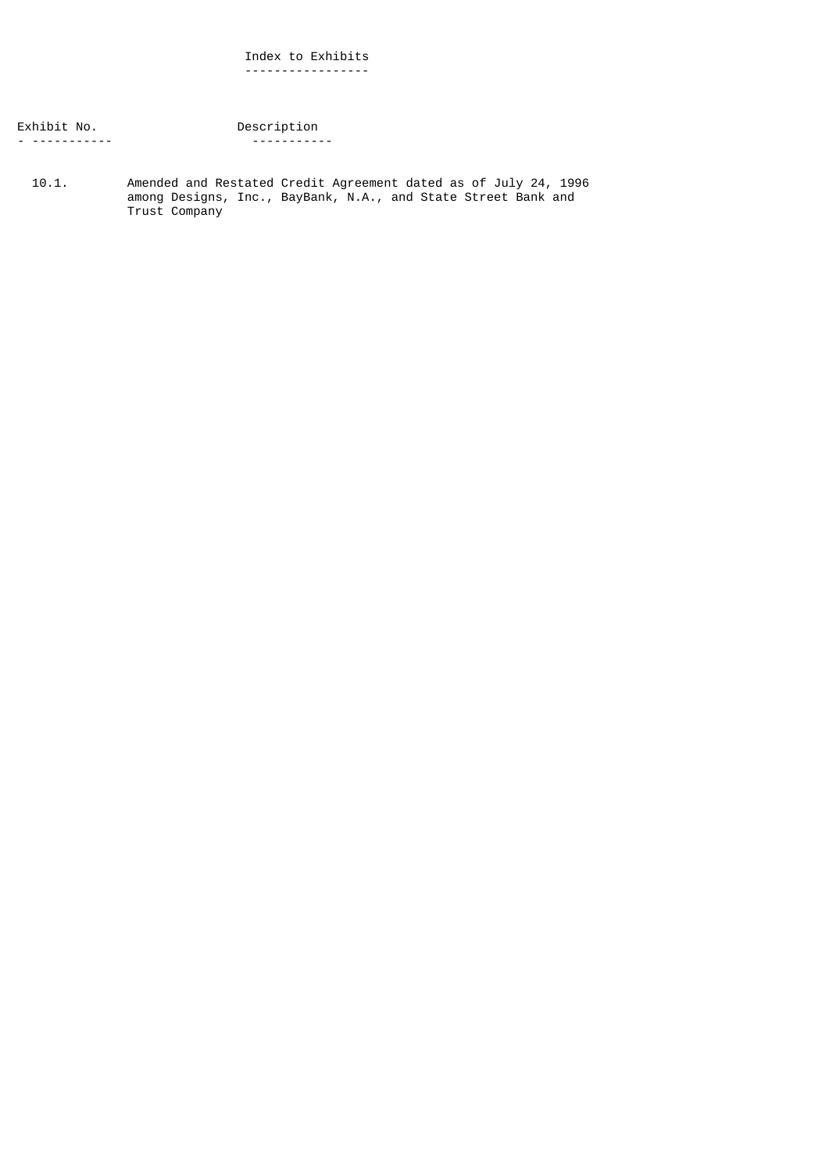### Index to Exhibits -----------------

Exhibit No. Description - ----------- -----------

 10.1. Amended and Restated Credit Agreement dated as of July 24, 1996 among Designs, Inc., BayBank, N.A., and State Street Bank and Trust Company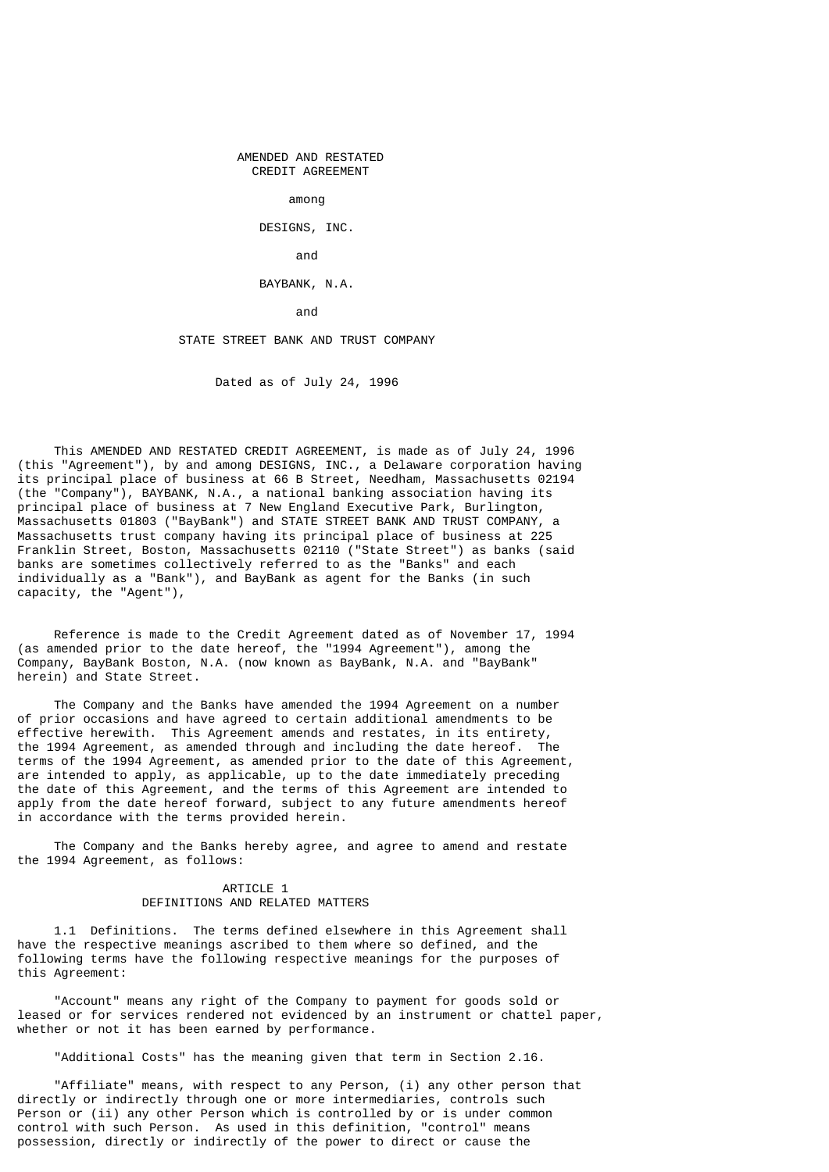AMENDED AND RESTATED CREDIT AGREEMENT

among

DESIGNS, INC.

and the contract of the contract of the contract of the contract of the contract of the contract of the contract of the contract of the contract of the contract of the contract of the contract of the contract of the contra

#### BAYBANK, N.A.

and the contract of the contract of the contract of the contract of the contract of the contract of the contract of the contract of the contract of the contract of the contract of the contract of the contract of the contra

### STATE STREET BANK AND TRUST COMPANY

Dated as of July 24, 1996

 This AMENDED AND RESTATED CREDIT AGREEMENT, is made as of July 24, 1996 (this "Agreement"), by and among DESIGNS, INC., a Delaware corporation having its principal place of business at 66 B Street, Needham, Massachusetts 02194 (the "Company"), BAYBANK, N.A., a national banking association having its principal place of business at 7 New England Executive Park, Burlington, Massachusetts 01803 ("BayBank") and STATE STREET BANK AND TRUST COMPANY, a Massachusetts trust company having its principal place of business at 225 Franklin Street, Boston, Massachusetts 02110 ("State Street") as banks (said banks are sometimes collectively referred to as the "Banks" and each individually as a "Bank"), and BayBank as agent for the Banks (in such capacity, the "Agent"),

 Reference is made to the Credit Agreement dated as of November 17, 1994 (as amended prior to the date hereof, the "1994 Agreement"), among the Company, BayBank Boston, N.A. (now known as BayBank, N.A. and "BayBank" herein) and State Street.

 The Company and the Banks have amended the 1994 Agreement on a number of prior occasions and have agreed to certain additional amendments to be effective herewith. This Agreement amends and restates, in its entirety, the 1994 Agreement, as amended through and including the date hereof. The terms of the 1994 Agreement, as amended prior to the date of this Agreement, are intended to apply, as applicable, up to the date immediately preceding the date of this Agreement, and the terms of this Agreement are intended to apply from the date hereof forward, subject to any future amendments hereof in accordance with the terms provided herein.

 The Company and the Banks hereby agree, and agree to amend and restate the 1994 Agreement, as follows:

### ARTICLE 1 DEFINITIONS AND RELATED MATTERS

 1.1 Definitions. The terms defined elsewhere in this Agreement shall have the respective meanings ascribed to them where so defined, and the following terms have the following respective meanings for the purposes of this Agreement:

 "Account" means any right of the Company to payment for goods sold or leased or for services rendered not evidenced by an instrument or chattel paper, whether or not it has been earned by performance.

"Additional Costs" has the meaning given that term in Section 2.16.

 "Affiliate" means, with respect to any Person, (i) any other person that directly or indirectly through one or more intermediaries, controls such Person or (ii) any other Person which is controlled by or is under common control with such Person. As used in this definition, "control" means possession, directly or indirectly of the power to direct or cause the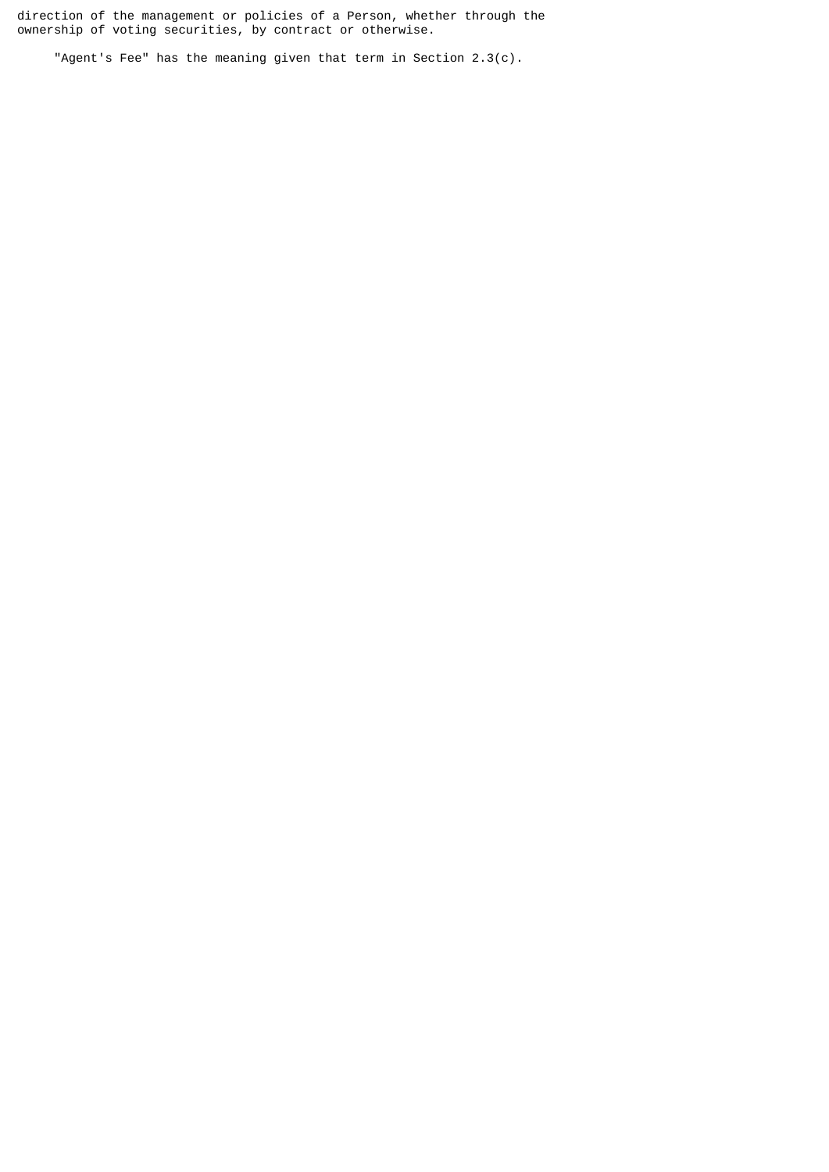direction of the management or policies of a Person, whether through the ownership of voting securities, by contract or otherwise.

"Agent's Fee" has the meaning given that term in Section 2.3(c).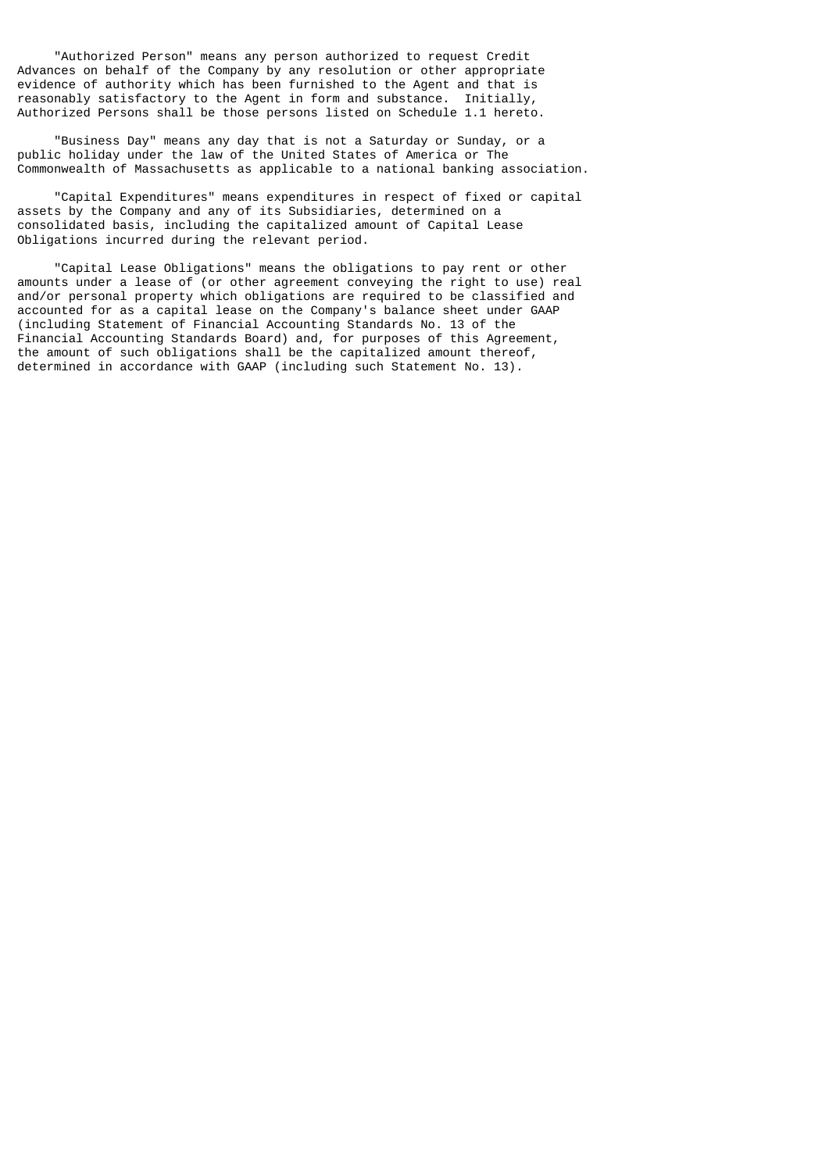"Authorized Person" means any person authorized to request Credit Advances on behalf of the Company by any resolution or other appropriate evidence of authority which has been furnished to the Agent and that is reasonably satisfactory to the Agent in form and substance. Initially, Authorized Persons shall be those persons listed on Schedule 1.1 hereto.

 "Business Day" means any day that is not a Saturday or Sunday, or a public holiday under the law of the United States of America or The Commonwealth of Massachusetts as applicable to a national banking association.

 "Capital Expenditures" means expenditures in respect of fixed or capital assets by the Company and any of its Subsidiaries, determined on a consolidated basis, including the capitalized amount of Capital Lease Obligations incurred during the relevant period.

 "Capital Lease Obligations" means the obligations to pay rent or other amounts under a lease of (or other agreement conveying the right to use) real and/or personal property which obligations are required to be classified and accounted for as a capital lease on the Company's balance sheet under GAAP (including Statement of Financial Accounting Standards No. 13 of the Financial Accounting Standards Board) and, for purposes of this Agreement, the amount of such obligations shall be the capitalized amount thereof, determined in accordance with GAAP (including such Statement No. 13).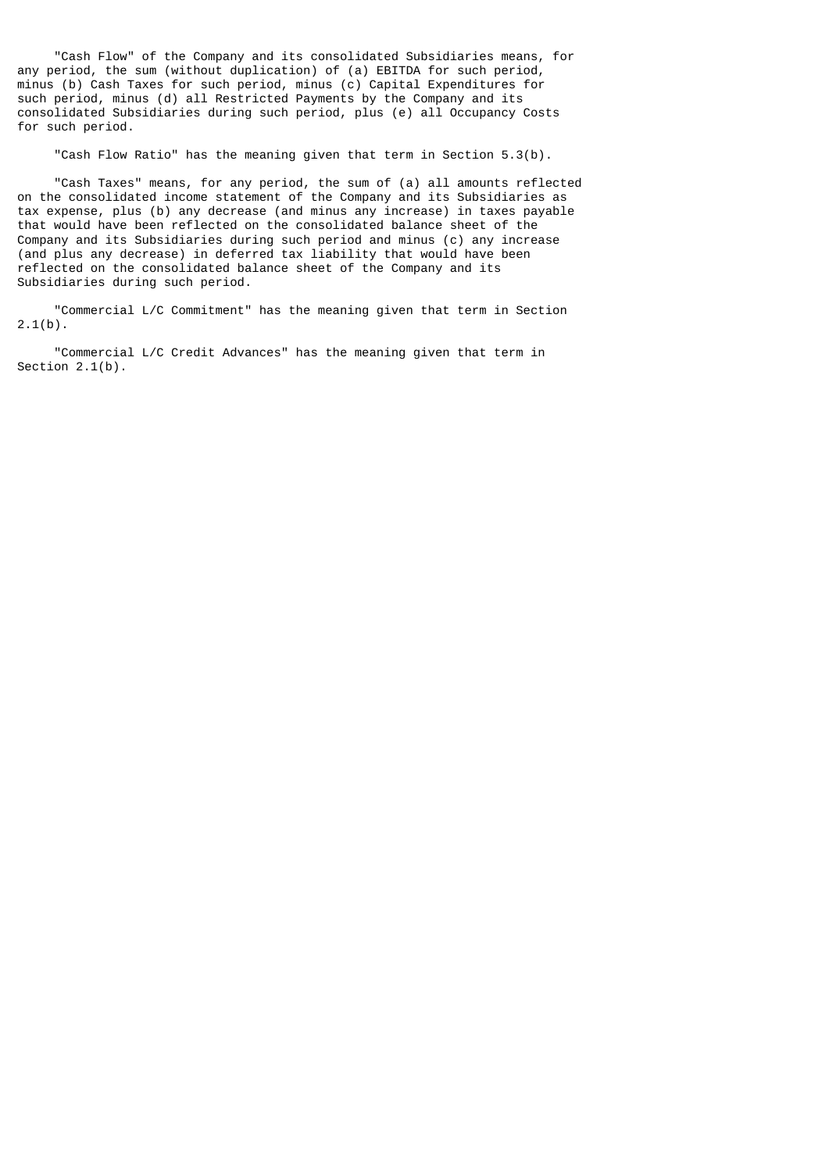"Cash Flow" of the Company and its consolidated Subsidiaries means, for any period, the sum (without duplication) of (a) EBITDA for such period, minus (b) Cash Taxes for such period, minus (c) Capital Expenditures for such period, minus (d) all Restricted Payments by the Company and its consolidated Subsidiaries during such period, plus (e) all Occupancy Costs for such period.

"Cash Flow Ratio" has the meaning given that term in Section 5.3(b).

 "Cash Taxes" means, for any period, the sum of (a) all amounts reflected on the consolidated income statement of the Company and its Subsidiaries as tax expense, plus (b) any decrease (and minus any increase) in taxes payable that would have been reflected on the consolidated balance sheet of the Company and its Subsidiaries during such period and minus (c) any increase (and plus any decrease) in deferred tax liability that would have been reflected on the consolidated balance sheet of the Company and its Subsidiaries during such period.

 "Commercial L/C Commitment" has the meaning given that term in Section  $2.1(b)$ .

 "Commercial L/C Credit Advances" has the meaning given that term in Section 2.1(b).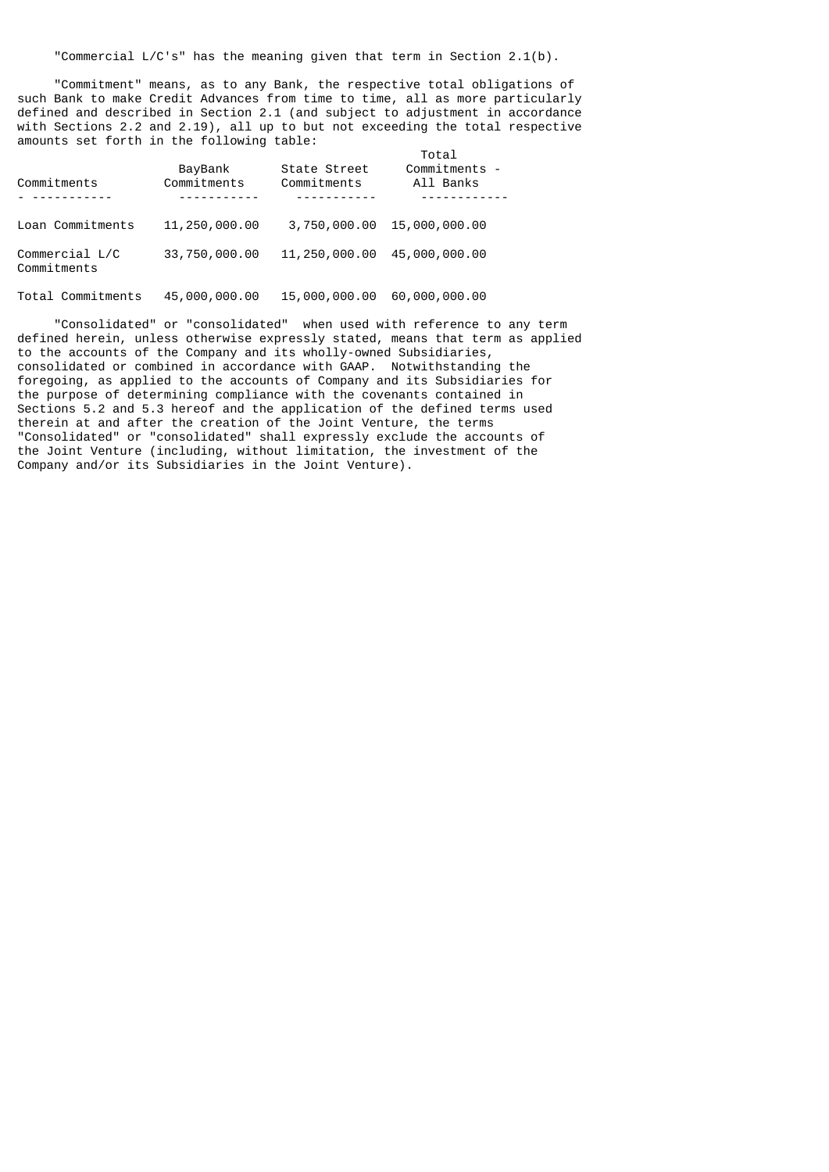"Commercial L/C's" has the meaning given that term in Section 2.1(b).

 "Commitment" means, as to any Bank, the respective total obligations of such Bank to make Credit Advances from time to time, all as more particularly defined and described in Section 2.1 (and subject to adjustment in accordance with Sections 2.2 and 2.19), all up to but not exceeding the total respective amounts set forth in the following table:

| Commitments                   | BayBank<br>Commitments | State Street<br>Commitments | Total<br>Commitments -<br>All Banks |
|-------------------------------|------------------------|-----------------------------|-------------------------------------|
|                               |                        |                             |                                     |
| Loan Commitments              | 11,250,000.00          | 3,750,000.00                | 15,000,000.00                       |
| Commercial L/C<br>Commitments | 33,750,000.00          | 11,250,000.00               | 45,000,000.00                       |

Total Commitments 45,000,000.00 15,000,000.00 60,000,000.00

 "Consolidated" or "consolidated" when used with reference to any term defined herein, unless otherwise expressly stated, means that term as applied to the accounts of the Company and its wholly-owned Subsidiaries, consolidated or combined in accordance with GAAP. Notwithstanding the foregoing, as applied to the accounts of Company and its Subsidiaries for the purpose of determining compliance with the covenants contained in Sections 5.2 and 5.3 hereof and the application of the defined terms used therein at and after the creation of the Joint Venture, the terms "Consolidated" or "consolidated" shall expressly exclude the accounts of the Joint Venture (including, without limitation, the investment of the Company and/or its Subsidiaries in the Joint Venture).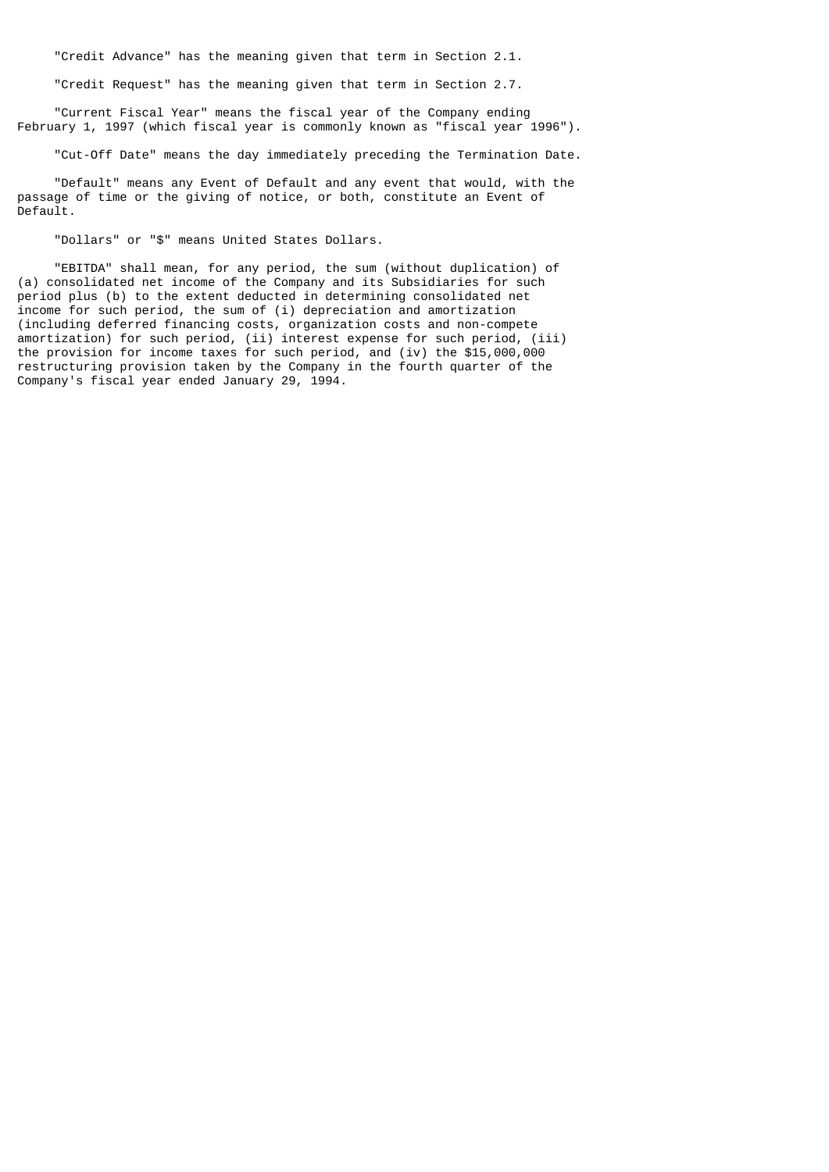"Credit Advance" has the meaning given that term in Section 2.1.

"Credit Request" has the meaning given that term in Section 2.7.

 "Current Fiscal Year" means the fiscal year of the Company ending February 1, 1997 (which fiscal year is commonly known as "fiscal year 1996").

"Cut-Off Date" means the day immediately preceding the Termination Date.

 "Default" means any Event of Default and any event that would, with the passage of time or the giving of notice, or both, constitute an Event of Default.

"Dollars" or "\$" means United States Dollars.

 "EBITDA" shall mean, for any period, the sum (without duplication) of (a) consolidated net income of the Company and its Subsidiaries for such period plus (b) to the extent deducted in determining consolidated net income for such period, the sum of (i) depreciation and amortization (including deferred financing costs, organization costs and non-compete amortization) for such period, (ii) interest expense for such period, (iii) the provision for income taxes for such period, and (iv) the \$15,000,000 restructuring provision taken by the Company in the fourth quarter of the Company's fiscal year ended January 29, 1994.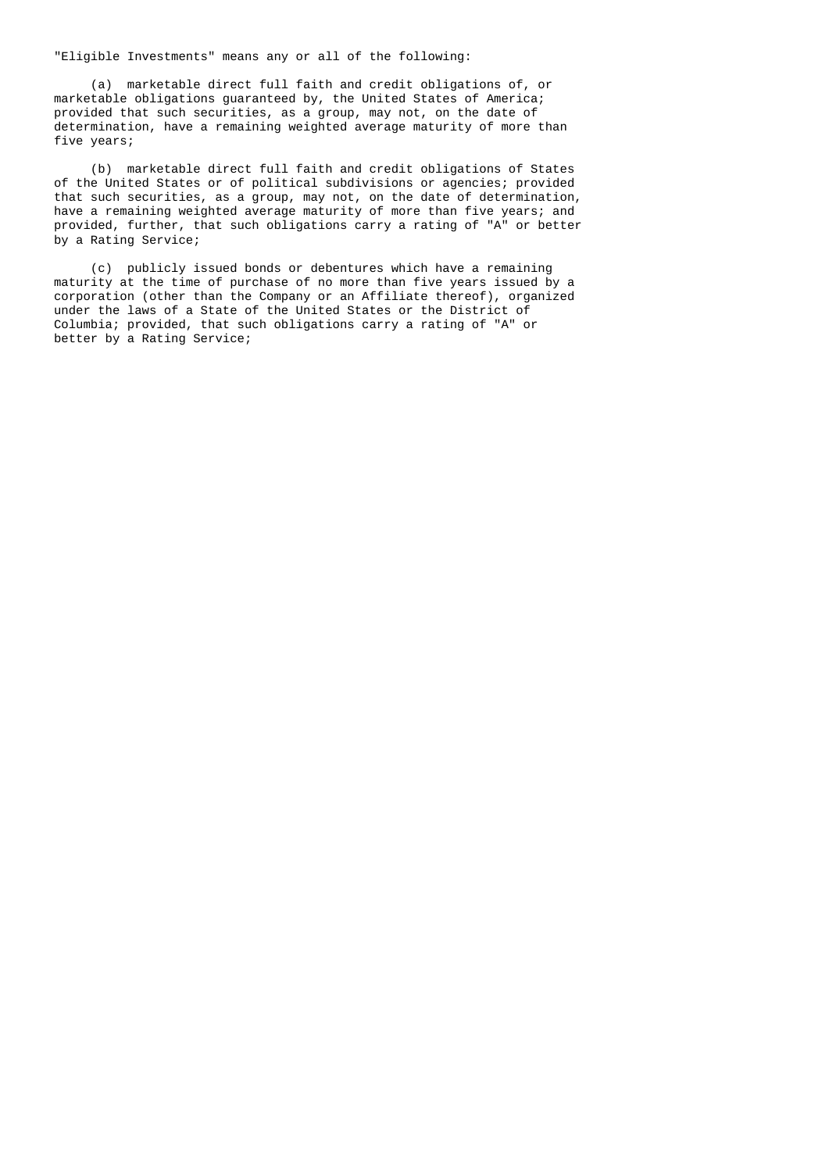"Eligible Investments" means any or all of the following:

 (a) marketable direct full faith and credit obligations of, or marketable obligations guaranteed by, the United States of America; provided that such securities, as a group, may not, on the date of determination, have a remaining weighted average maturity of more than five years;

 (b) marketable direct full faith and credit obligations of States of the United States or of political subdivisions or agencies; provided that such securities, as a group, may not, on the date of determination, have a remaining weighted average maturity of more than five years; and provided, further, that such obligations carry a rating of "A" or better by a Rating Service;

 (c) publicly issued bonds or debentures which have a remaining maturity at the time of purchase of no more than five years issued by a corporation (other than the Company or an Affiliate thereof), organized under the laws of a State of the United States or the District of Columbia; provided, that such obligations carry a rating of "A" or better by a Rating Service;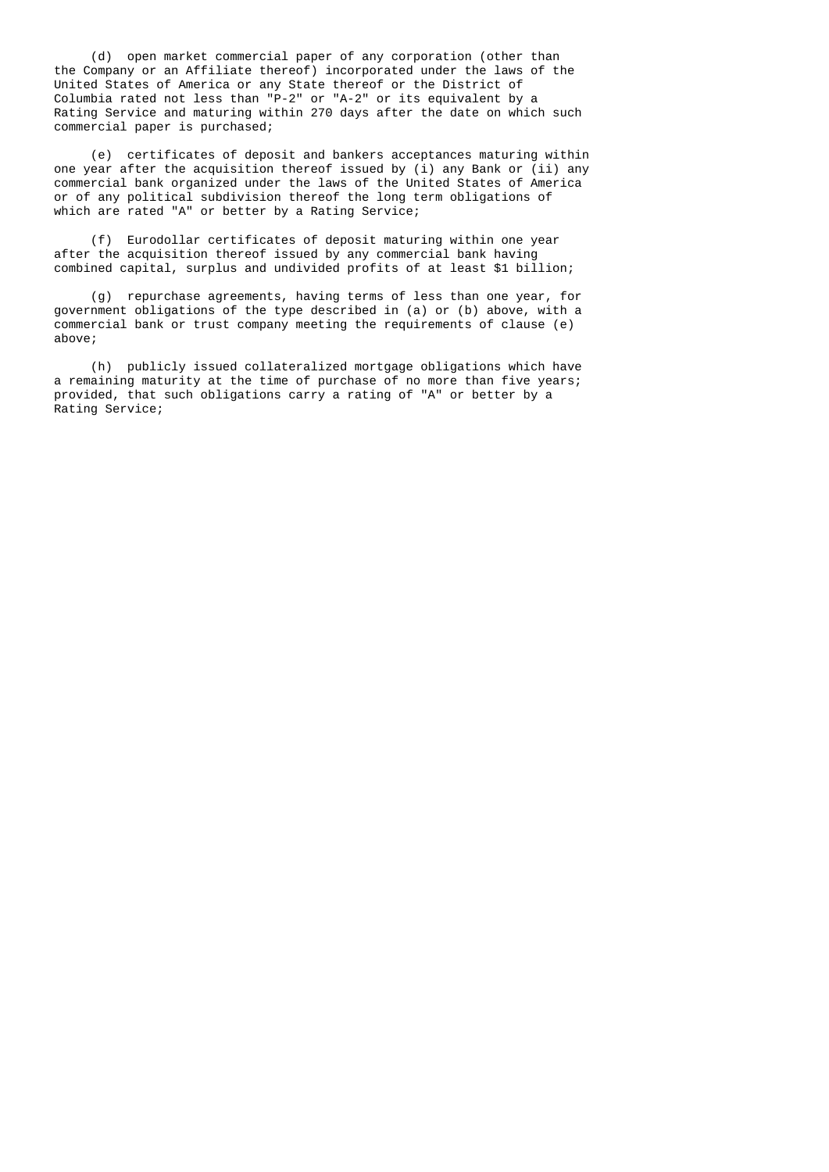(d) open market commercial paper of any corporation (other than the Company or an Affiliate thereof) incorporated under the laws of the United States of America or any State thereof or the District of Columbia rated not less than "P-2" or "A-2" or its equivalent by a Rating Service and maturing within 270 days after the date on which such commercial paper is purchased;

 (e) certificates of deposit and bankers acceptances maturing within one year after the acquisition thereof issued by (i) any Bank or (ii) any commercial bank organized under the laws of the United States of America or of any political subdivision thereof the long term obligations of which are rated "A" or better by a Rating Service;

 (f) Eurodollar certificates of deposit maturing within one year after the acquisition thereof issued by any commercial bank having combined capital, surplus and undivided profits of at least \$1 billion;

 (g) repurchase agreements, having terms of less than one year, for government obligations of the type described in (a) or (b) above, with a commercial bank or trust company meeting the requirements of clause (e) above;

 (h) publicly issued collateralized mortgage obligations which have a remaining maturity at the time of purchase of no more than five years; provided, that such obligations carry a rating of "A" or better by a Rating Service;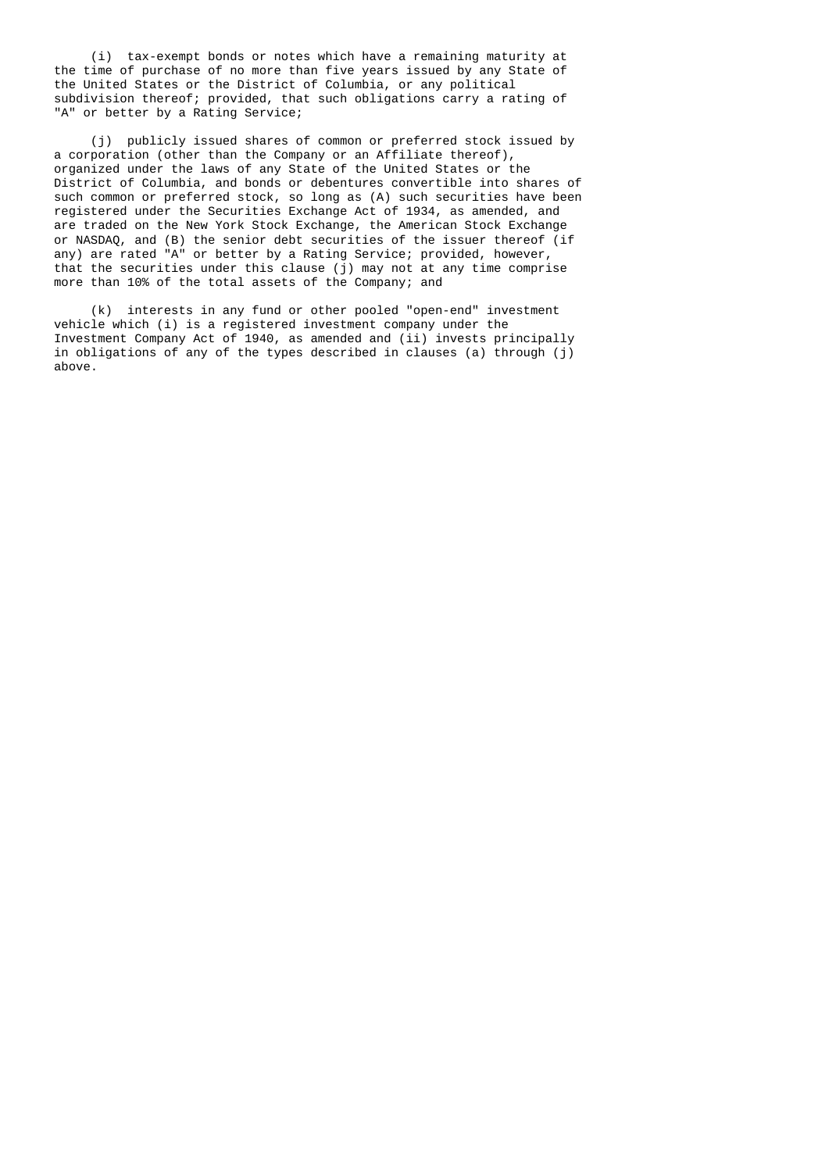(i) tax-exempt bonds or notes which have a remaining maturity at the time of purchase of no more than five years issued by any State of the United States or the District of Columbia, or any political subdivision thereof; provided, that such obligations carry a rating of "A" or better by a Rating Service;

 (j) publicly issued shares of common or preferred stock issued by a corporation (other than the Company or an Affiliate thereof), organized under the laws of any State of the United States or the District of Columbia, and bonds or debentures convertible into shares of such common or preferred stock, so long as (A) such securities have been registered under the Securities Exchange Act of 1934, as amended, and are traded on the New York Stock Exchange, the American Stock Exchange or NASDAQ, and (B) the senior debt securities of the issuer thereof (if any) are rated "A" or better by a Rating Service; provided, however, that the securities under this clause  $(j)$  may not at any time comprise more than 10% of the total assets of the Company; and

 (k) interests in any fund or other pooled "open-end" investment vehicle which (i) is a registered investment company under the Investment Company Act of 1940, as amended and (ii) invests principally in obligations of any of the types described in clauses (a) through (j) above.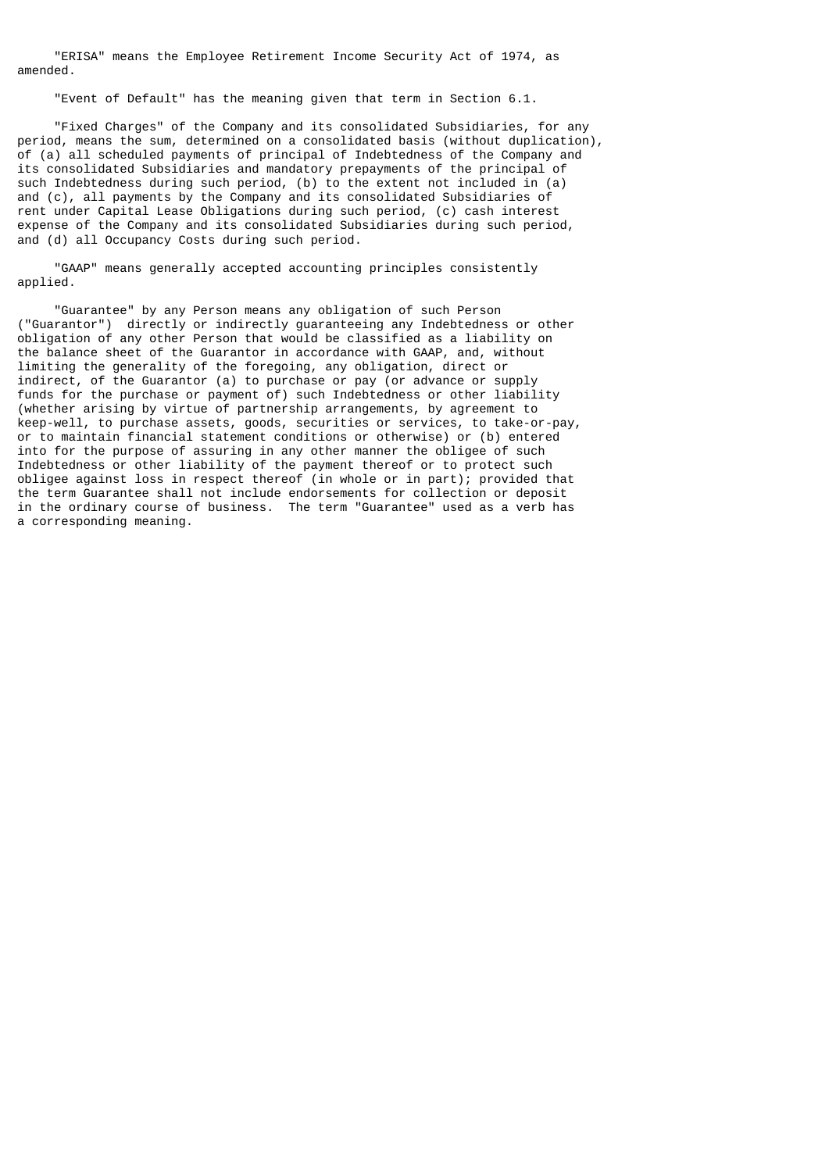"ERISA" means the Employee Retirement Income Security Act of 1974, as amended.

"Event of Default" has the meaning given that term in Section 6.1.

 "Fixed Charges" of the Company and its consolidated Subsidiaries, for any period, means the sum, determined on a consolidated basis (without duplication), of (a) all scheduled payments of principal of Indebtedness of the Company and its consolidated Subsidiaries and mandatory prepayments of the principal of such Indebtedness during such period, (b) to the extent not included in (a) and (c), all payments by the Company and its consolidated Subsidiaries of rent under Capital Lease Obligations during such period, (c) cash interest expense of the Company and its consolidated Subsidiaries during such period, and (d) all Occupancy Costs during such period.

 "GAAP" means generally accepted accounting principles consistently applied.

 "Guarantee" by any Person means any obligation of such Person ("Guarantor") directly or indirectly guaranteeing any Indebtedness or other obligation of any other Person that would be classified as a liability on the balance sheet of the Guarantor in accordance with GAAP, and, without limiting the generality of the foregoing, any obligation, direct or indirect, of the Guarantor (a) to purchase or pay (or advance or supply funds for the purchase or payment of) such Indebtedness or other liability (whether arising by virtue of partnership arrangements, by agreement to keep-well, to purchase assets, goods, securities or services, to take-or-pay, or to maintain financial statement conditions or otherwise) or (b) entered into for the purpose of assuring in any other manner the obligee of such Indebtedness or other liability of the payment thereof or to protect such obligee against loss in respect thereof (in whole or in part); provided that the term Guarantee shall not include endorsements for collection or deposit in the ordinary course of business. The term "Guarantee" used as a verb has a corresponding meaning.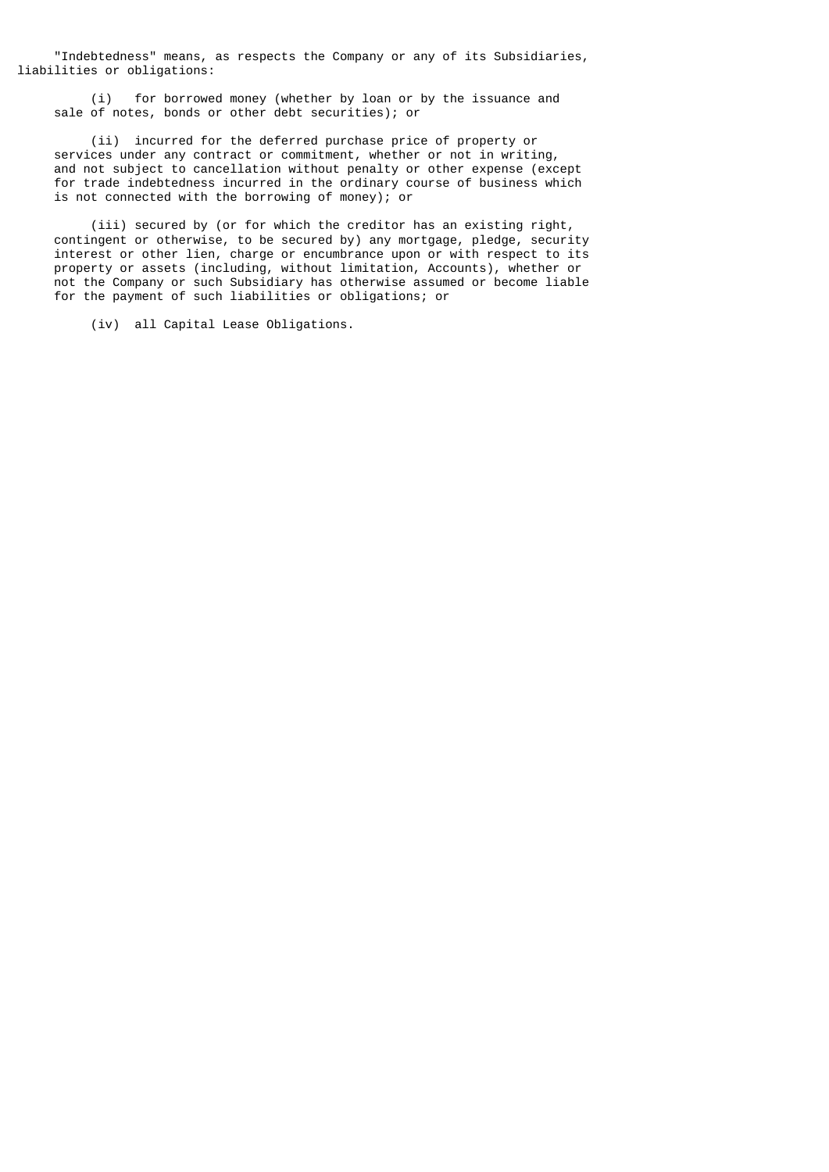"Indebtedness" means, as respects the Company or any of its Subsidiaries, liabilities or obligations:

 (i) for borrowed money (whether by loan or by the issuance and sale of notes, bonds or other debt securities); or

 (ii) incurred for the deferred purchase price of property or services under any contract or commitment, whether or not in writing, and not subject to cancellation without penalty or other expense (except for trade indebtedness incurred in the ordinary course of business which is not connected with the borrowing of money); or

 (iii) secured by (or for which the creditor has an existing right, contingent or otherwise, to be secured by) any mortgage, pledge, security interest or other lien, charge or encumbrance upon or with respect to its property or assets (including, without limitation, Accounts), whether or not the Company or such Subsidiary has otherwise assumed or become liable for the payment of such liabilities or obligations; or

(iv) all Capital Lease Obligations.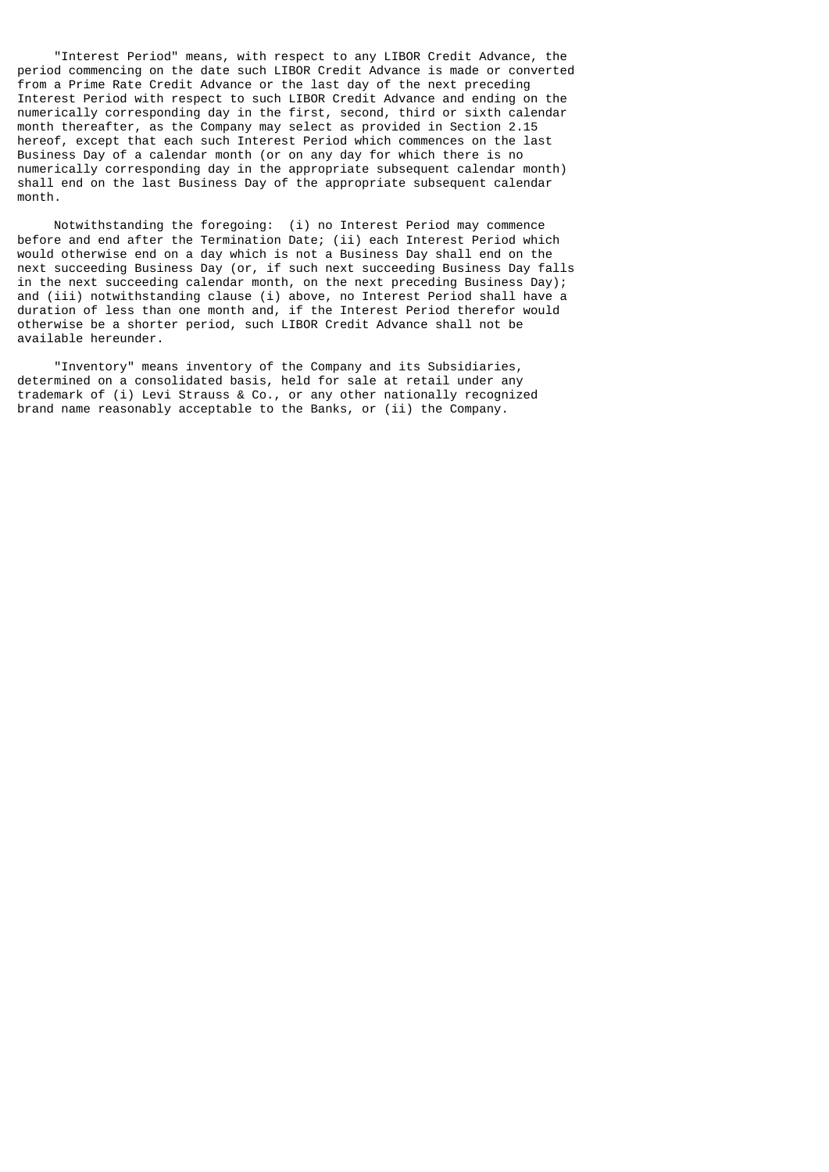"Interest Period" means, with respect to any LIBOR Credit Advance, the period commencing on the date such LIBOR Credit Advance is made or converted from a Prime Rate Credit Advance or the last day of the next preceding Interest Period with respect to such LIBOR Credit Advance and ending on the numerically corresponding day in the first, second, third or sixth calendar month thereafter, as the Company may select as provided in Section 2.15 hereof, except that each such Interest Period which commences on the last Business Day of a calendar month (or on any day for which there is no numerically corresponding day in the appropriate subsequent calendar month) shall end on the last Business Day of the appropriate subsequent calendar month.

 Notwithstanding the foregoing: (i) no Interest Period may commence before and end after the Termination Date; (ii) each Interest Period which would otherwise end on a day which is not a Business Day shall end on the next succeeding Business Day (or, if such next succeeding Business Day falls in the next succeeding calendar month, on the next preceding Business Day); and (iii) notwithstanding clause (i) above, no Interest Period shall have a duration of less than one month and, if the Interest Period therefor would otherwise be a shorter period, such LIBOR Credit Advance shall not be available hereunder.

 "Inventory" means inventory of the Company and its Subsidiaries, determined on a consolidated basis, held for sale at retail under any trademark of (i) Levi Strauss & Co., or any other nationally recognized brand name reasonably acceptable to the Banks, or (ii) the Company.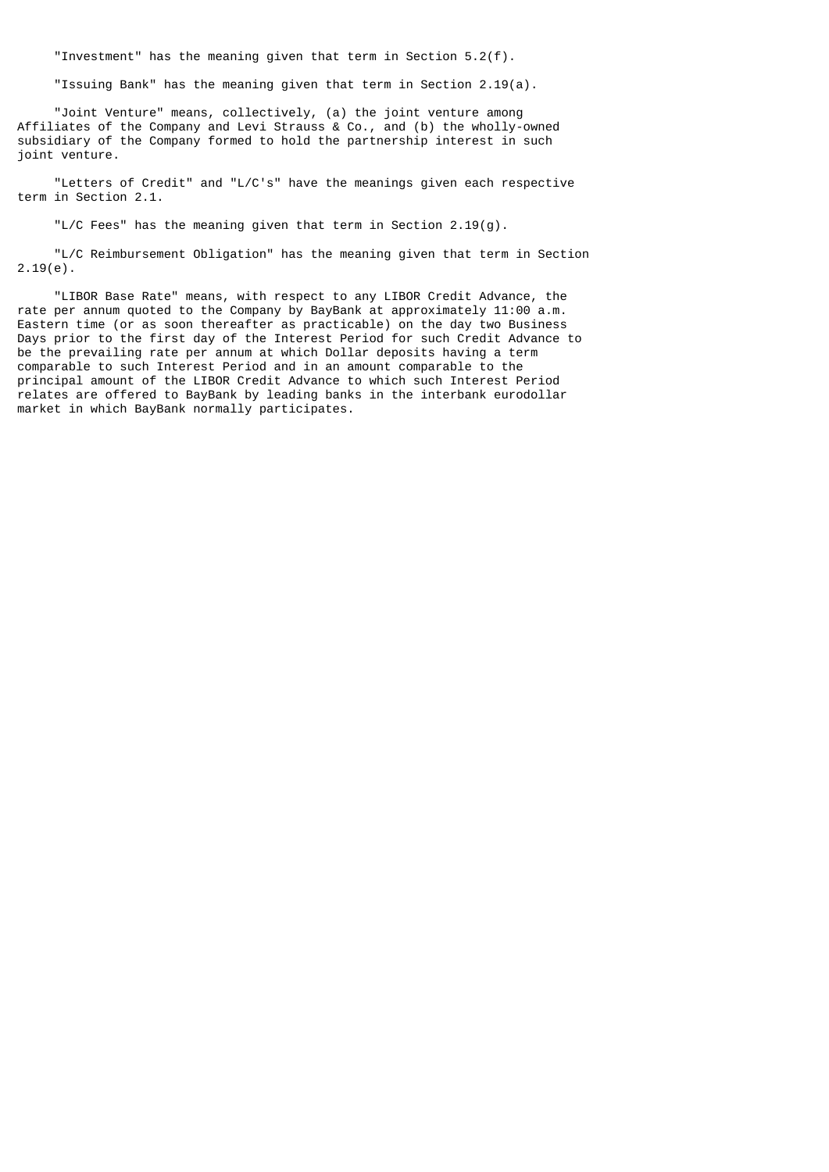"Investment" has the meaning given that term in Section 5.2(f).

"Issuing Bank" has the meaning given that term in Section 2.19(a).

 "Joint Venture" means, collectively, (a) the joint venture among Affiliates of the Company and Levi Strauss & Co., and (b) the wholly-owned subsidiary of the Company formed to hold the partnership interest in such joint venture.

 "Letters of Credit" and "L/C's" have the meanings given each respective term in Section 2.1.

"L/C Fees" has the meaning given that term in Section 2.19(g).

 "L/C Reimbursement Obligation" has the meaning given that term in Section 2.19(e).

 "LIBOR Base Rate" means, with respect to any LIBOR Credit Advance, the rate per annum quoted to the Company by BayBank at approximately 11:00 a.m. Eastern time (or as soon thereafter as practicable) on the day two Business Days prior to the first day of the Interest Period for such Credit Advance to be the prevailing rate per annum at which Dollar deposits having a term comparable to such Interest Period and in an amount comparable to the principal amount of the LIBOR Credit Advance to which such Interest Period relates are offered to BayBank by leading banks in the interbank eurodollar market in which BayBank normally participates.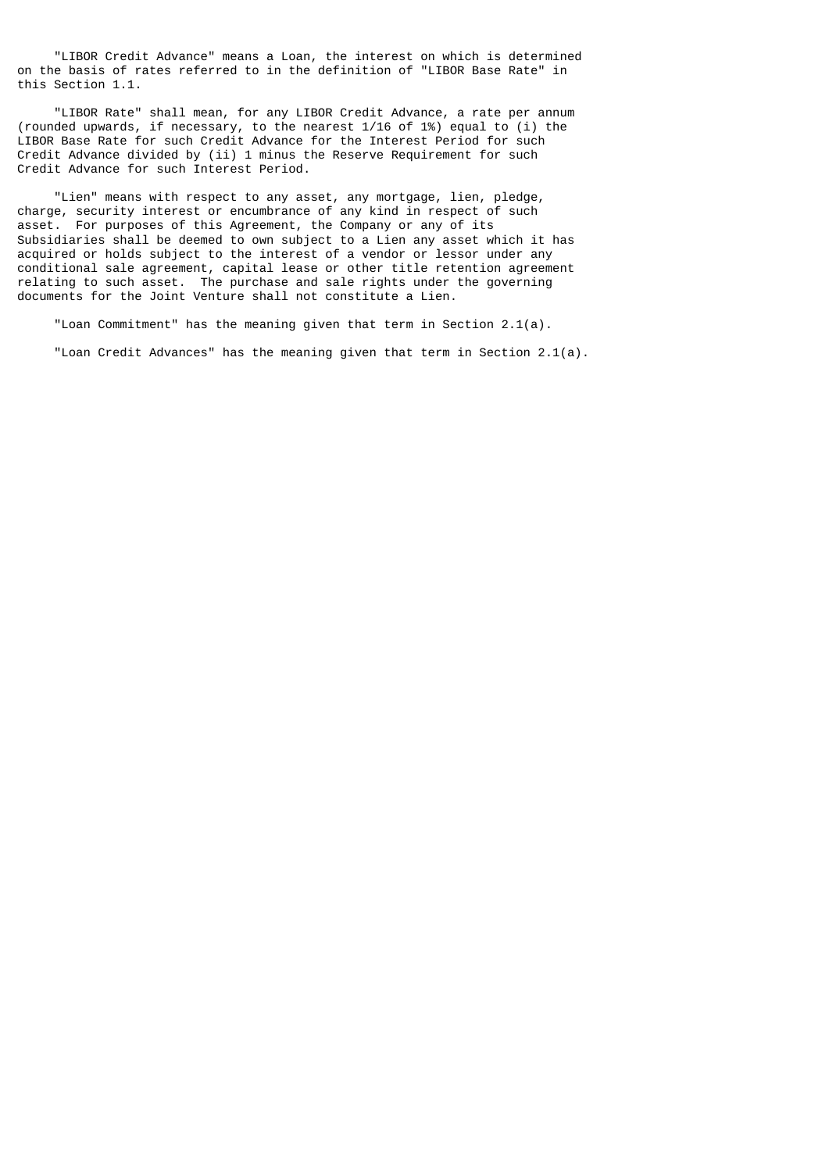"LIBOR Credit Advance" means a Loan, the interest on which is determined on the basis of rates referred to in the definition of "LIBOR Base Rate" in this Section 1.1.

 "LIBOR Rate" shall mean, for any LIBOR Credit Advance, a rate per annum (rounded upwards, if necessary, to the nearest 1/16 of 1%) equal to (i) the LIBOR Base Rate for such Credit Advance for the Interest Period for such Credit Advance divided by (ii) 1 minus the Reserve Requirement for such Credit Advance for such Interest Period.

 "Lien" means with respect to any asset, any mortgage, lien, pledge, charge, security interest or encumbrance of any kind in respect of such asset. For purposes of this Agreement, the Company or any of its Subsidiaries shall be deemed to own subject to a Lien any asset which it has acquired or holds subject to the interest of a vendor or lessor under any conditional sale agreement, capital lease or other title retention agreement relating to such asset. The purchase and sale rights under the governing documents for the Joint Venture shall not constitute a Lien.

"Loan Commitment" has the meaning given that term in Section  $2.1(a)$ .

"Loan Credit Advances" has the meaning given that term in Section 2.1(a).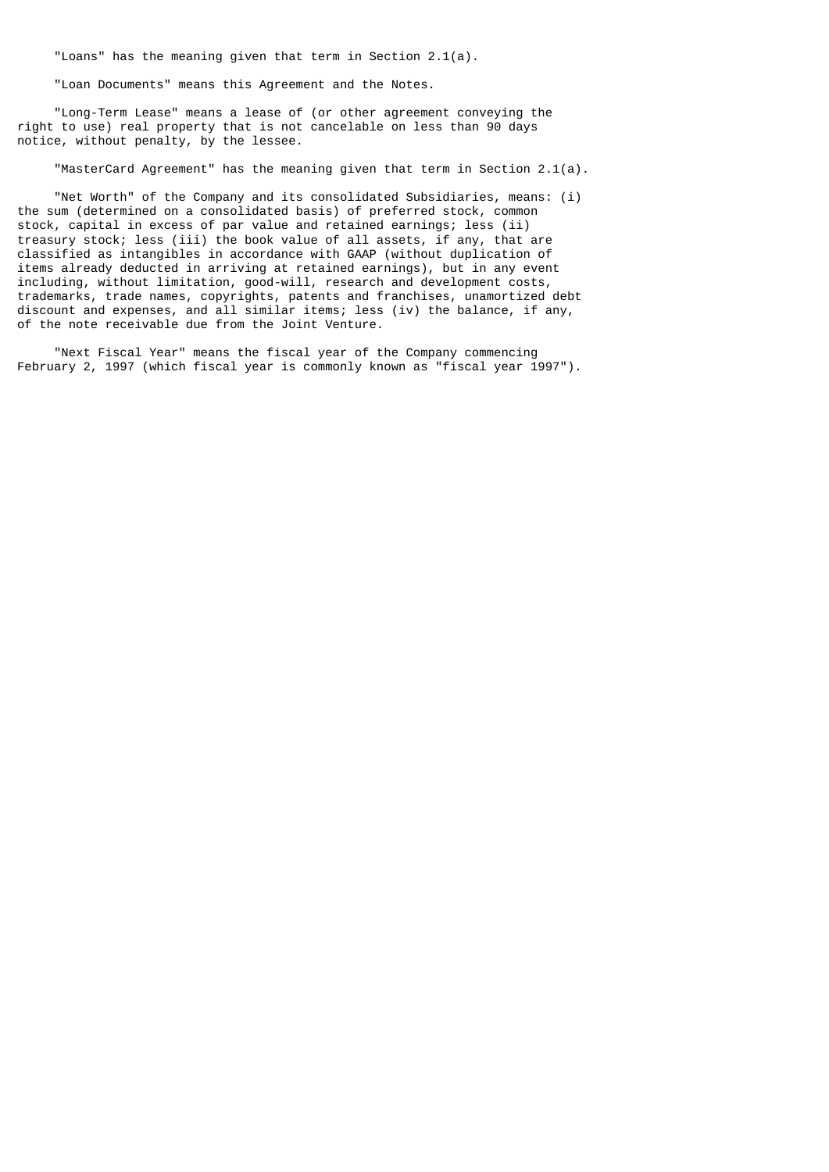"Loans" has the meaning given that term in Section 2.1(a).

"Loan Documents" means this Agreement and the Notes.

 "Long-Term Lease" means a lease of (or other agreement conveying the right to use) real property that is not cancelable on less than 90 days notice, without penalty, by the lessee.

"MasterCard Agreement" has the meaning given that term in Section 2.1(a).

 "Net Worth" of the Company and its consolidated Subsidiaries, means: (i) the sum (determined on a consolidated basis) of preferred stock, common stock, capital in excess of par value and retained earnings; less (ii) treasury stock; less (iii) the book value of all assets, if any, that are classified as intangibles in accordance with GAAP (without duplication of items already deducted in arriving at retained earnings), but in any event including, without limitation, good-will, research and development costs, trademarks, trade names, copyrights, patents and franchises, unamortized debt discount and expenses, and all similar items; less (iv) the balance, if any, of the note receivable due from the Joint Venture.

 "Next Fiscal Year" means the fiscal year of the Company commencing February 2, 1997 (which fiscal year is commonly known as "fiscal year 1997").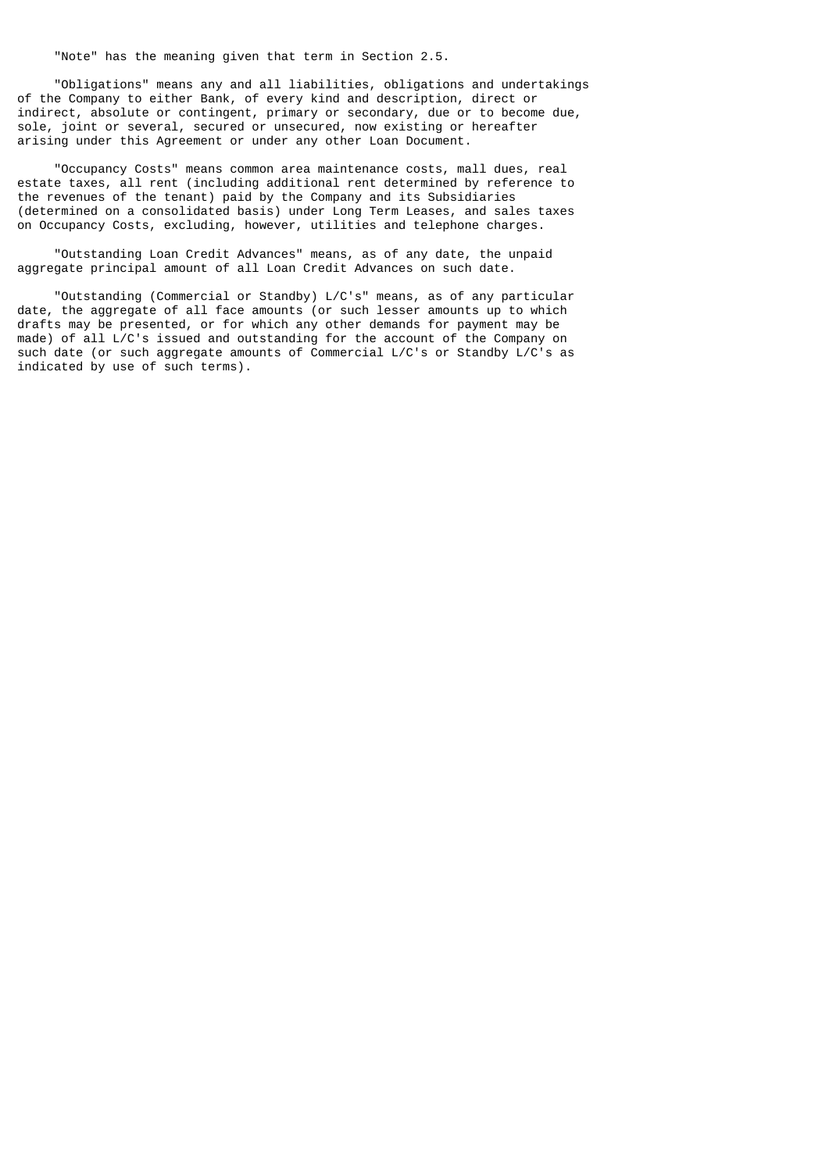"Note" has the meaning given that term in Section 2.5.

 "Obligations" means any and all liabilities, obligations and undertakings of the Company to either Bank, of every kind and description, direct or indirect, absolute or contingent, primary or secondary, due or to become due, sole, joint or several, secured or unsecured, now existing or hereafter arising under this Agreement or under any other Loan Document.

 "Occupancy Costs" means common area maintenance costs, mall dues, real estate taxes, all rent (including additional rent determined by reference to the revenues of the tenant) paid by the Company and its Subsidiaries (determined on a consolidated basis) under Long Term Leases, and sales taxes on Occupancy Costs, excluding, however, utilities and telephone charges.

 "Outstanding Loan Credit Advances" means, as of any date, the unpaid aggregate principal amount of all Loan Credit Advances on such date.

 "Outstanding (Commercial or Standby) L/C's" means, as of any particular date, the aggregate of all face amounts (or such lesser amounts up to which drafts may be presented, or for which any other demands for payment may be made) of all L/C's issued and outstanding for the account of the Company on such date (or such aggregate amounts of Commercial L/C's or Standby L/C's as indicated by use of such terms).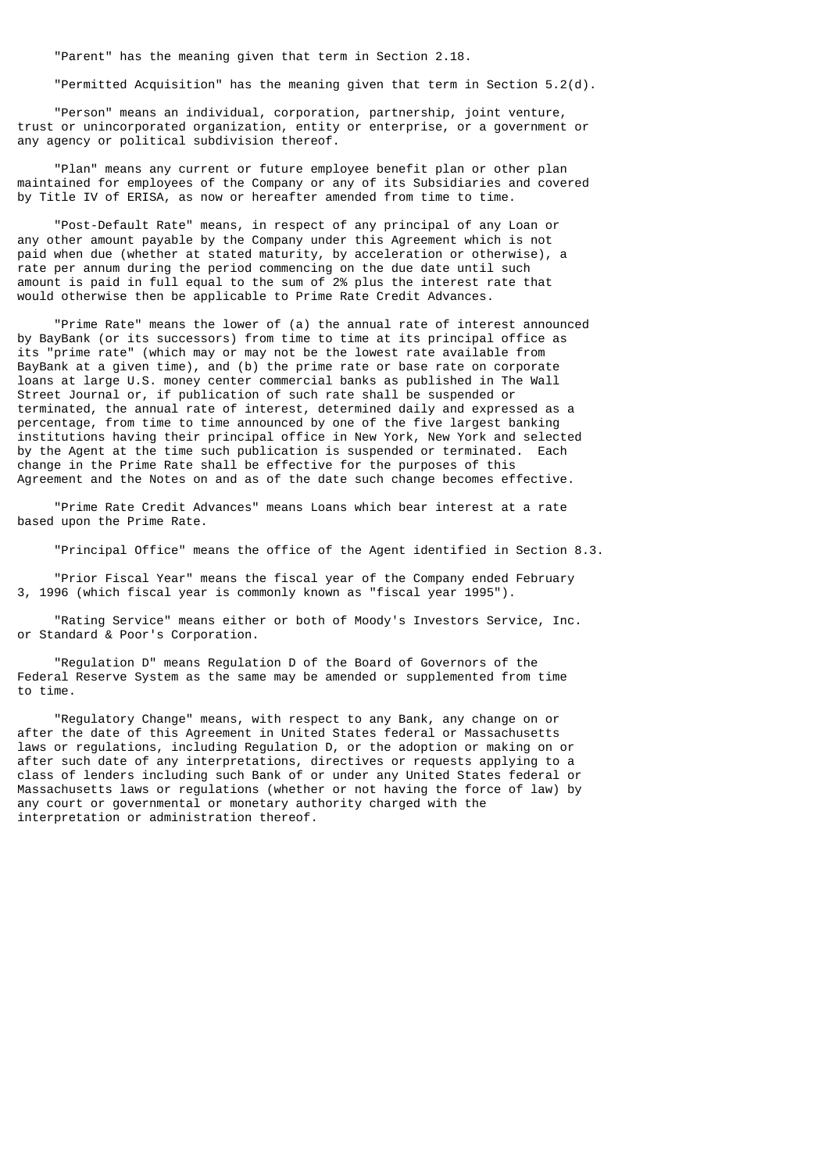"Parent" has the meaning given that term in Section 2.18.

"Permitted Acquisition" has the meaning given that term in Section 5.2(d).

 "Person" means an individual, corporation, partnership, joint venture, trust or unincorporated organization, entity or enterprise, or a government or any agency or political subdivision thereof.

 "Plan" means any current or future employee benefit plan or other plan maintained for employees of the Company or any of its Subsidiaries and covered by Title IV of ERISA, as now or hereafter amended from time to time.

 "Post-Default Rate" means, in respect of any principal of any Loan or any other amount payable by the Company under this Agreement which is not paid when due (whether at stated maturity, by acceleration or otherwise), a rate per annum during the period commencing on the due date until such amount is paid in full equal to the sum of 2% plus the interest rate that would otherwise then be applicable to Prime Rate Credit Advances.

 "Prime Rate" means the lower of (a) the annual rate of interest announced by BayBank (or its successors) from time to time at its principal office as its "prime rate" (which may or may not be the lowest rate available from BayBank at a given time), and (b) the prime rate or base rate on corporate loans at large U.S. money center commercial banks as published in The Wall Street Journal or, if publication of such rate shall be suspended or terminated, the annual rate of interest, determined daily and expressed as a percentage, from time to time announced by one of the five largest banking institutions having their principal office in New York, New York and selected by the Agent at the time such publication is suspended or terminated. Each change in the Prime Rate shall be effective for the purposes of this Agreement and the Notes on and as of the date such change becomes effective.

 "Prime Rate Credit Advances" means Loans which bear interest at a rate based upon the Prime Rate.

"Principal Office" means the office of the Agent identified in Section 8.3.

 "Prior Fiscal Year" means the fiscal year of the Company ended February 3, 1996 (which fiscal year is commonly known as "fiscal year 1995").

 "Rating Service" means either or both of Moody's Investors Service, Inc. or Standard & Poor's Corporation.

 "Regulation D" means Regulation D of the Board of Governors of the Federal Reserve System as the same may be amended or supplemented from time to time.

 "Regulatory Change" means, with respect to any Bank, any change on or after the date of this Agreement in United States federal or Massachusetts laws or regulations, including Regulation D, or the adoption or making on or after such date of any interpretations, directives or requests applying to a class of lenders including such Bank of or under any United States federal or Massachusetts laws or regulations (whether or not having the force of law) by any court or governmental or monetary authority charged with the interpretation or administration thereof.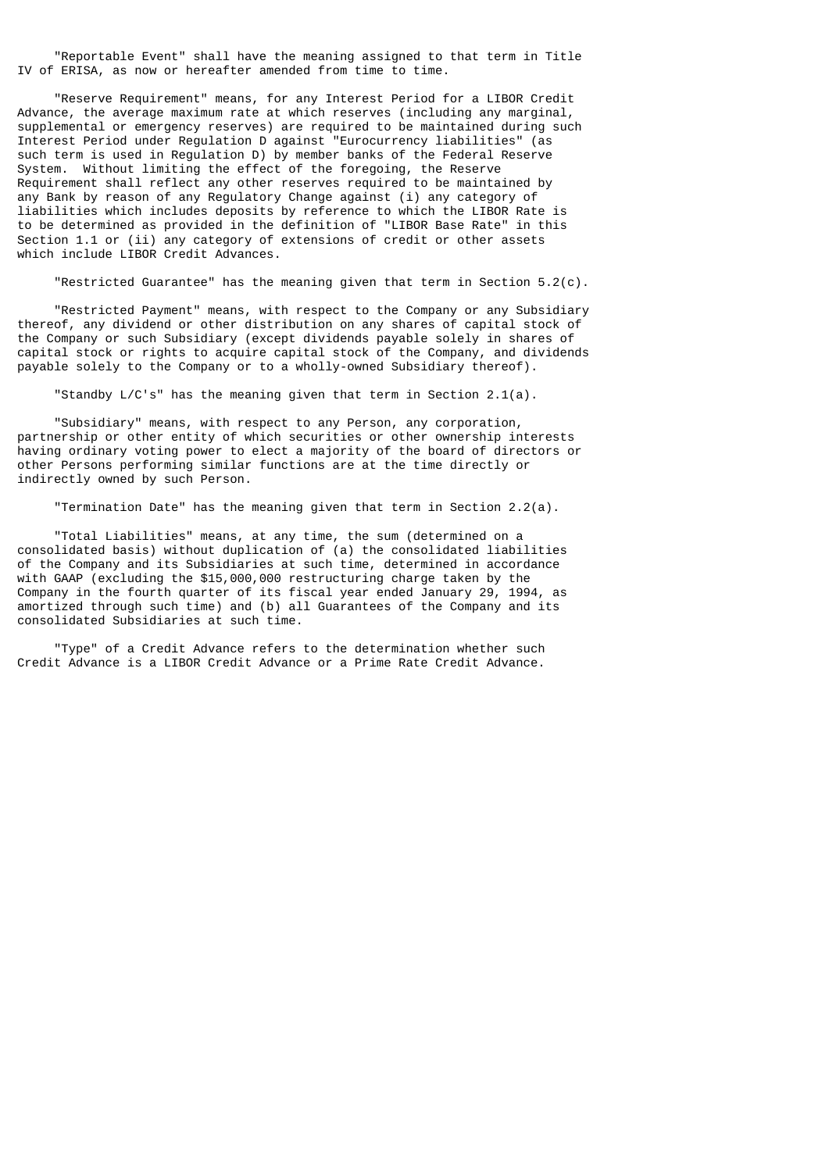"Reportable Event" shall have the meaning assigned to that term in Title IV of ERISA, as now or hereafter amended from time to time.

 "Reserve Requirement" means, for any Interest Period for a LIBOR Credit Advance, the average maximum rate at which reserves (including any marginal, supplemental or emergency reserves) are required to be maintained during such Interest Period under Regulation D against "Eurocurrency liabilities" (as such term is used in Regulation D) by member banks of the Federal Reserve System. Without limiting the effect of the foregoing, the Reserve Requirement shall reflect any other reserves required to be maintained by any Bank by reason of any Regulatory Change against (i) any category of liabilities which includes deposits by reference to which the LIBOR Rate is to be determined as provided in the definition of "LIBOR Base Rate" in this Section 1.1 or (ii) any category of extensions of credit or other assets which include LIBOR Credit Advances.

"Restricted Guarantee" has the meaning given that term in Section 5.2(c).

 "Restricted Payment" means, with respect to the Company or any Subsidiary thereof, any dividend or other distribution on any shares of capital stock of the Company or such Subsidiary (except dividends payable solely in shares of capital stock or rights to acquire capital stock of the Company, and dividends payable solely to the Company or to a wholly-owned Subsidiary thereof).

"Standby L/C's" has the meaning given that term in Section 2.1(a).

 "Subsidiary" means, with respect to any Person, any corporation, partnership or other entity of which securities or other ownership interests having ordinary voting power to elect a majority of the board of directors or other Persons performing similar functions are at the time directly or indirectly owned by such Person.

"Termination Date" has the meaning given that term in Section 2.2(a).

 "Total Liabilities" means, at any time, the sum (determined on a consolidated basis) without duplication of (a) the consolidated liabilities of the Company and its Subsidiaries at such time, determined in accordance with GAAP (excluding the \$15,000,000 restructuring charge taken by the Company in the fourth quarter of its fiscal year ended January 29, 1994, as amortized through such time) and (b) all Guarantees of the Company and its consolidated Subsidiaries at such time.

 "Type" of a Credit Advance refers to the determination whether such Credit Advance is a LIBOR Credit Advance or a Prime Rate Credit Advance.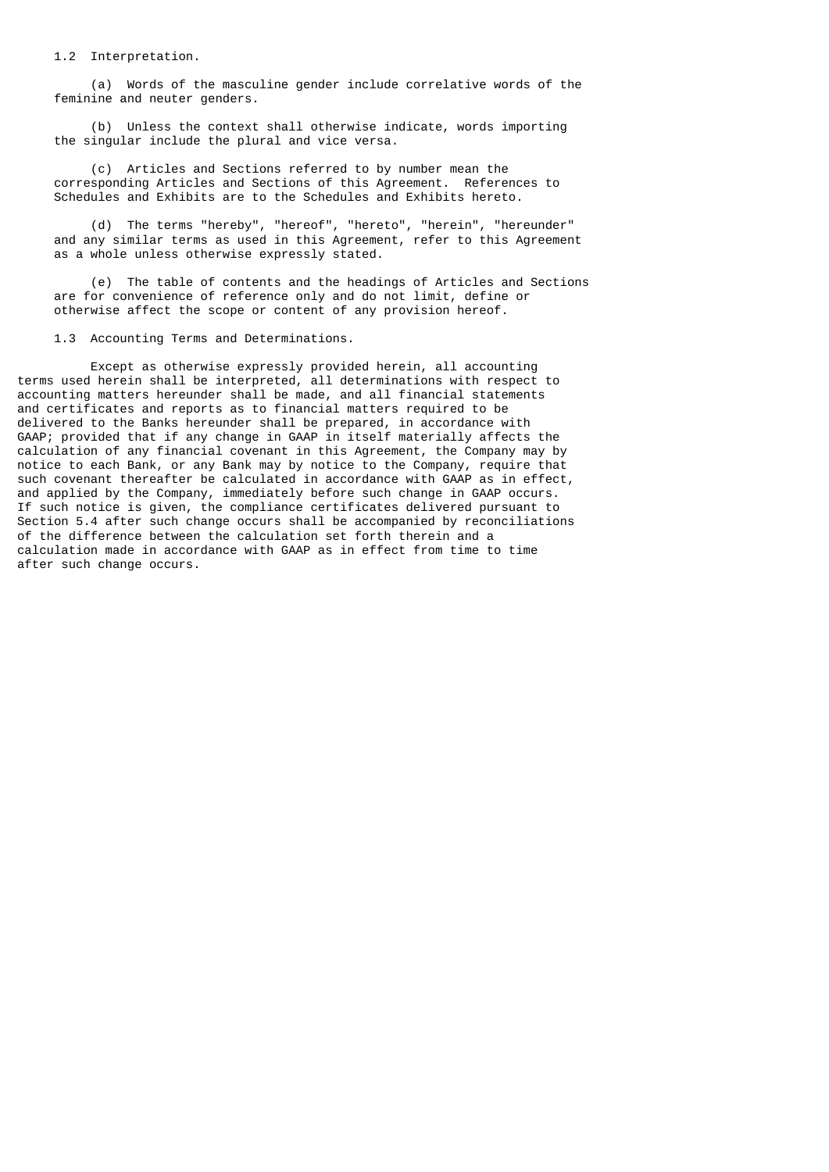1.2 Interpretation.

 (a) Words of the masculine gender include correlative words of the feminine and neuter genders.

 (b) Unless the context shall otherwise indicate, words importing the singular include the plural and vice versa.

 (c) Articles and Sections referred to by number mean the corresponding Articles and Sections of this Agreement. References to Schedules and Exhibits are to the Schedules and Exhibits hereto.

 (d) The terms "hereby", "hereof", "hereto", "herein", "hereunder" and any similar terms as used in this Agreement, refer to this Agreement as a whole unless otherwise expressly stated.

 (e) The table of contents and the headings of Articles and Sections are for convenience of reference only and do not limit, define or otherwise affect the scope or content of any provision hereof.

1.3 Accounting Terms and Determinations.

 Except as otherwise expressly provided herein, all accounting terms used herein shall be interpreted, all determinations with respect to accounting matters hereunder shall be made, and all financial statements and certificates and reports as to financial matters required to be delivered to the Banks hereunder shall be prepared, in accordance with GAAP; provided that if any change in GAAP in itself materially affects the calculation of any financial covenant in this Agreement, the Company may by notice to each Bank, or any Bank may by notice to the Company, require that such covenant thereafter be calculated in accordance with GAAP as in effect, and applied by the Company, immediately before such change in GAAP occurs. If such notice is given, the compliance certificates delivered pursuant to Section 5.4 after such change occurs shall be accompanied by reconciliations of the difference between the calculation set forth therein and a calculation made in accordance with GAAP as in effect from time to time after such change occurs.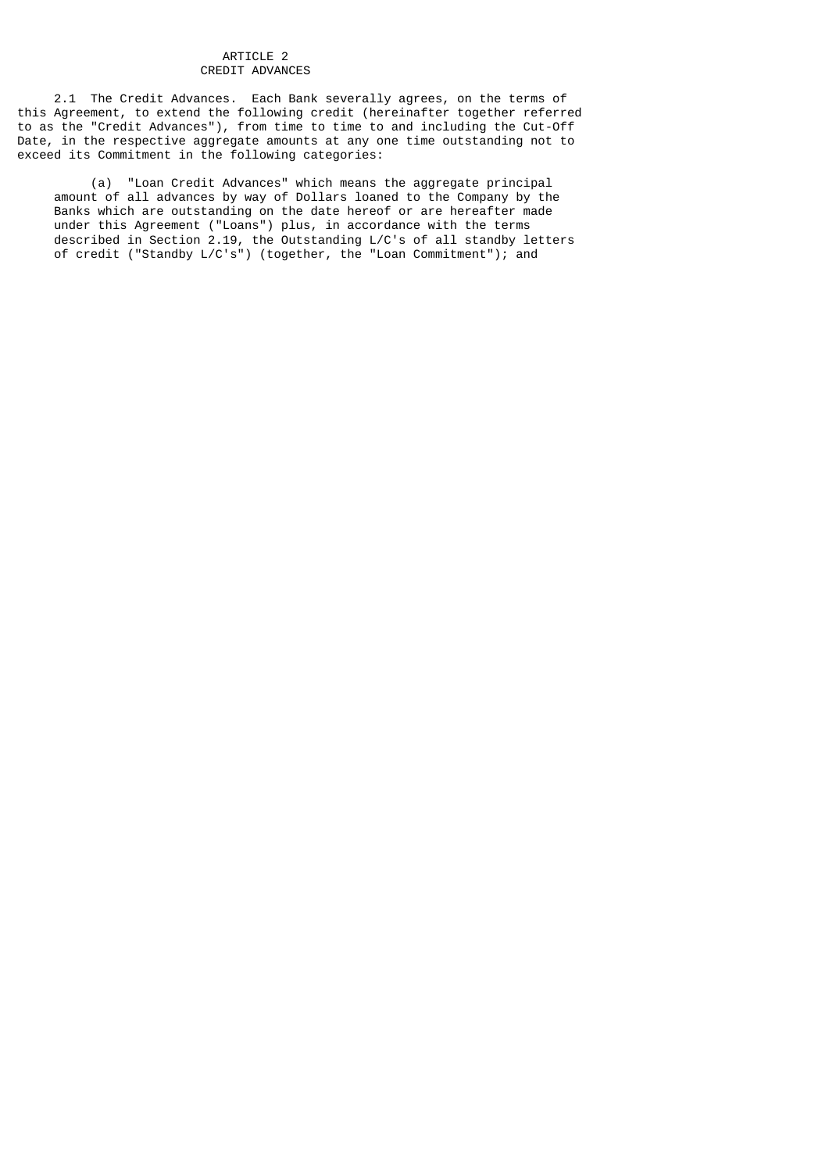## ARTICLE 2 CREDIT ADVANCES

 2.1 The Credit Advances. Each Bank severally agrees, on the terms of this Agreement, to extend the following credit (hereinafter together referred to as the "Credit Advances"), from time to time to and including the Cut-Off Date, in the respective aggregate amounts at any one time outstanding not to exceed its Commitment in the following categories:

 (a) "Loan Credit Advances" which means the aggregate principal amount of all advances by way of Dollars loaned to the Company by the Banks which are outstanding on the date hereof or are hereafter made under this Agreement ("Loans") plus, in accordance with the terms described in Section 2.19, the Outstanding L/C's of all standby letters of credit ("Standby L/C's") (together, the "Loan Commitment"); and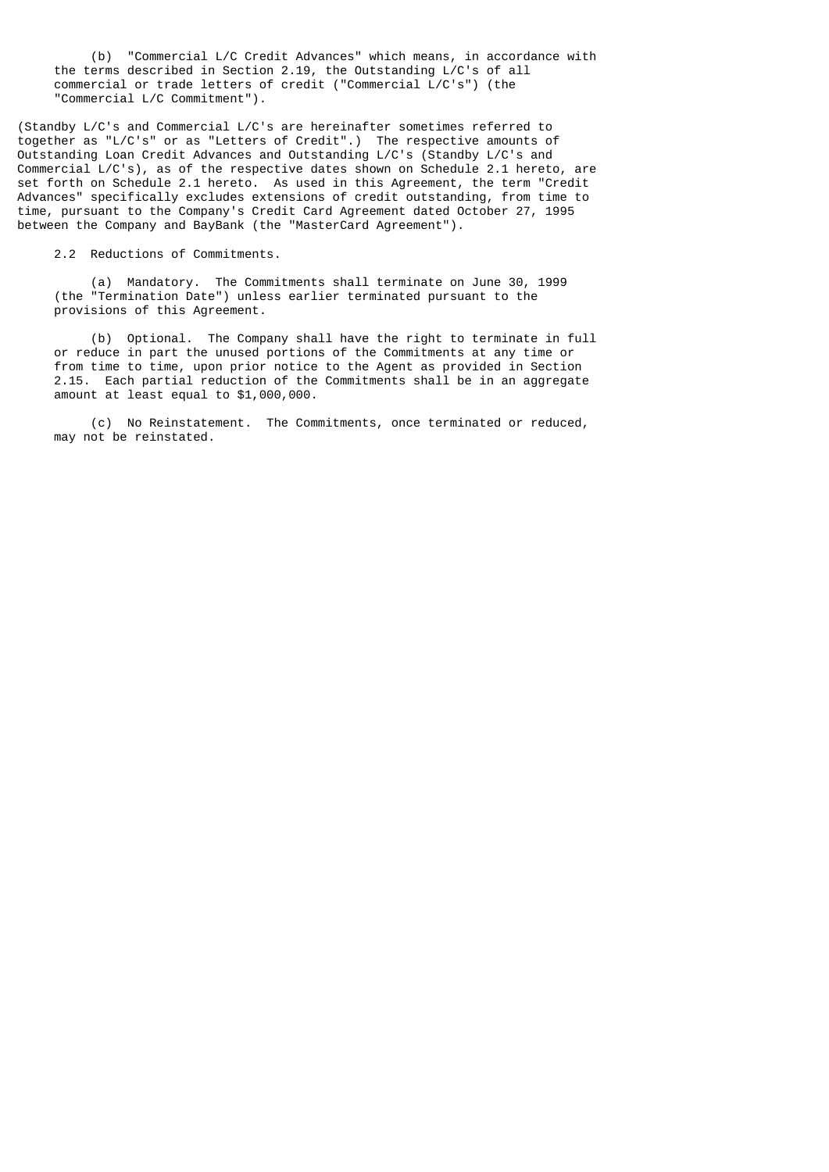(b) "Commercial L/C Credit Advances" which means, in accordance with the terms described in Section 2.19, the Outstanding L/C's of all commercial or trade letters of credit ("Commercial L/C's") (the "Commercial L/C Commitment").

(Standby L/C's and Commercial L/C's are hereinafter sometimes referred to together as "L/C's" or as "Letters of Credit".) The respective amounts of Outstanding Loan Credit Advances and Outstanding L/C's (Standby L/C's and Commercial L/C's), as of the respective dates shown on Schedule 2.1 hereto, are set forth on Schedule 2.1 hereto. As used in this Agreement, the term "Credit Advances" specifically excludes extensions of credit outstanding, from time to time, pursuant to the Company's Credit Card Agreement dated October 27, 1995 between the Company and BayBank (the "MasterCard Agreement").

2.2 Reductions of Commitments.

 (a) Mandatory. The Commitments shall terminate on June 30, 1999 (the "Termination Date") unless earlier terminated pursuant to the provisions of this Agreement.

 (b) Optional. The Company shall have the right to terminate in full or reduce in part the unused portions of the Commitments at any time or from time to time, upon prior notice to the Agent as provided in Section 2.15. Each partial reduction of the Commitments shall be in an aggregate amount at least equal to \$1,000,000.

 (c) No Reinstatement. The Commitments, once terminated or reduced, may not be reinstated.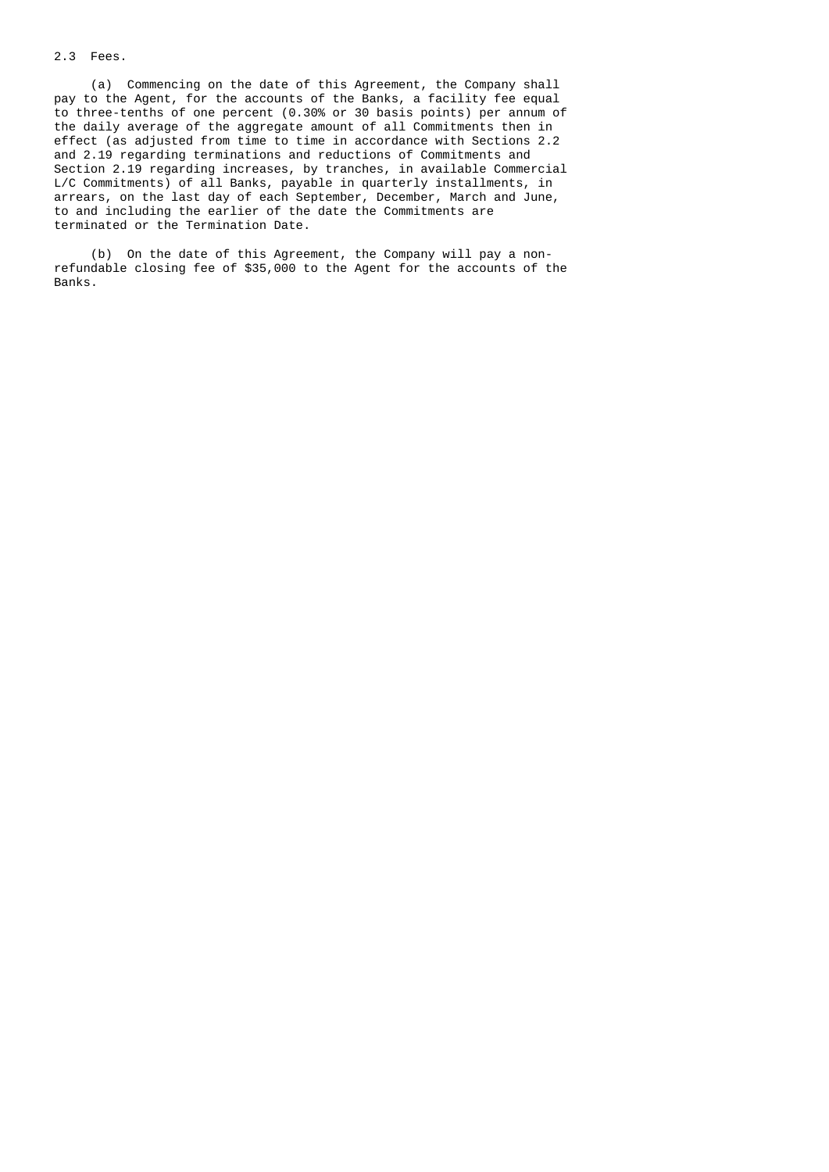# 2.3 Fees.

 (a) Commencing on the date of this Agreement, the Company shall pay to the Agent, for the accounts of the Banks, a facility fee equal to three-tenths of one percent (0.30% or 30 basis points) per annum of the daily average of the aggregate amount of all Commitments then in effect (as adjusted from time to time in accordance with Sections 2.2 and 2.19 regarding terminations and reductions of Commitments and Section 2.19 regarding increases, by tranches, in available Commercial L/C Commitments) of all Banks, payable in quarterly installments, in arrears, on the last day of each September, December, March and June, to and including the earlier of the date the Commitments are terminated or the Termination Date.

 (b) On the date of this Agreement, the Company will pay a non refundable closing fee of \$35,000 to the Agent for the accounts of the Banks.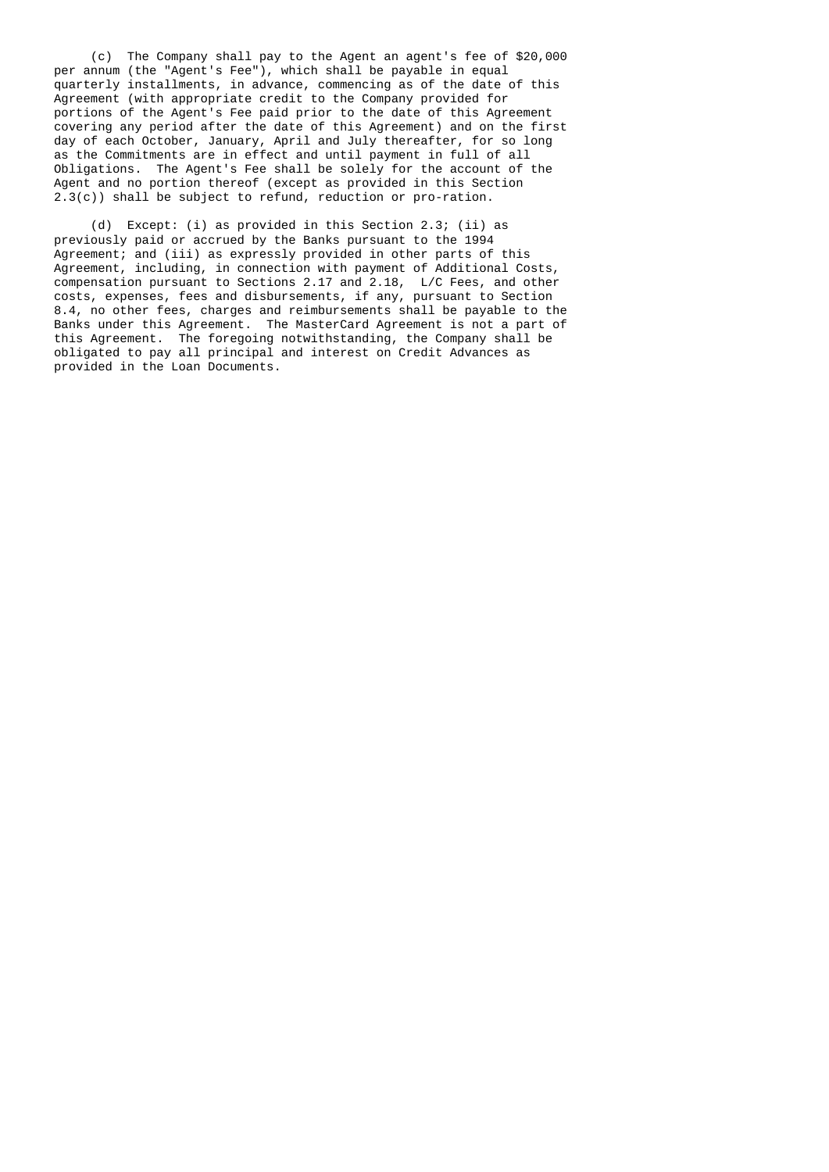(c) The Company shall pay to the Agent an agent's fee of \$20,000 per annum (the "Agent's Fee"), which shall be payable in equal quarterly installments, in advance, commencing as of the date of this Agreement (with appropriate credit to the Company provided for portions of the Agent's Fee paid prior to the date of this Agreement covering any period after the date of this Agreement) and on the first day of each October, January, April and July thereafter, for so long as the Commitments are in effect and until payment in full of all Obligations. The Agent's Fee shall be solely for the account of the Agent and no portion thereof (except as provided in this Section 2.3(c)) shall be subject to refund, reduction or pro-ration.

 (d) Except: (i) as provided in this Section 2.3; (ii) as previously paid or accrued by the Banks pursuant to the 1994 Agreement; and (iii) as expressly provided in other parts of this Agreement, including, in connection with payment of Additional Costs, compensation pursuant to Sections 2.17 and 2.18, L/C Fees, and other costs, expenses, fees and disbursements, if any, pursuant to Section 8.4, no other fees, charges and reimbursements shall be payable to the Banks under this Agreement. The MasterCard Agreement is not a part of this Agreement. The foregoing notwithstanding, the Company shall be obligated to pay all principal and interest on Credit Advances as provided in the Loan Documents.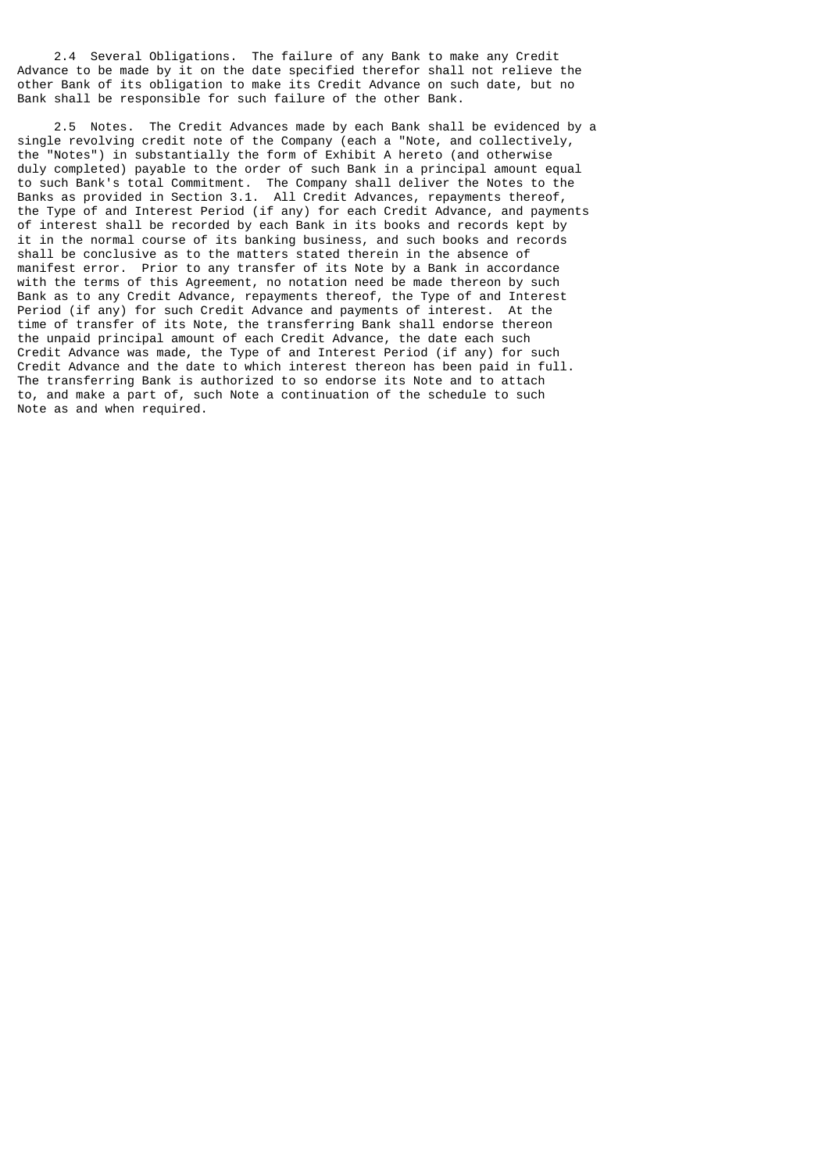2.4 Several Obligations. The failure of any Bank to make any Credit Advance to be made by it on the date specified therefor shall not relieve the other Bank of its obligation to make its Credit Advance on such date, but no Bank shall be responsible for such failure of the other Bank.

 2.5 Notes. The Credit Advances made by each Bank shall be evidenced by a single revolving credit note of the Company (each a "Note, and collectively, the "Notes") in substantially the form of Exhibit A hereto (and otherwise duly completed) payable to the order of such Bank in a principal amount equal to such Bank's total Commitment. The Company shall deliver the Notes to the Banks as provided in Section 3.1. All Credit Advances, repayments thereof, the Type of and Interest Period (if any) for each Credit Advance, and payments of interest shall be recorded by each Bank in its books and records kept by it in the normal course of its banking business, and such books and records shall be conclusive as to the matters stated therein in the absence of manifest error. Prior to any transfer of its Note by a Bank in accordance with the terms of this Agreement, no notation need be made thereon by such Bank as to any Credit Advance, repayments thereof, the Type of and Interest Period (if any) for such Credit Advance and payments of interest. At the time of transfer of its Note, the transferring Bank shall endorse thereon the unpaid principal amount of each Credit Advance, the date each such Credit Advance was made, the Type of and Interest Period (if any) for such Credit Advance and the date to which interest thereon has been paid in full. The transferring Bank is authorized to so endorse its Note and to attach to, and make a part of, such Note a continuation of the schedule to such Note as and when required.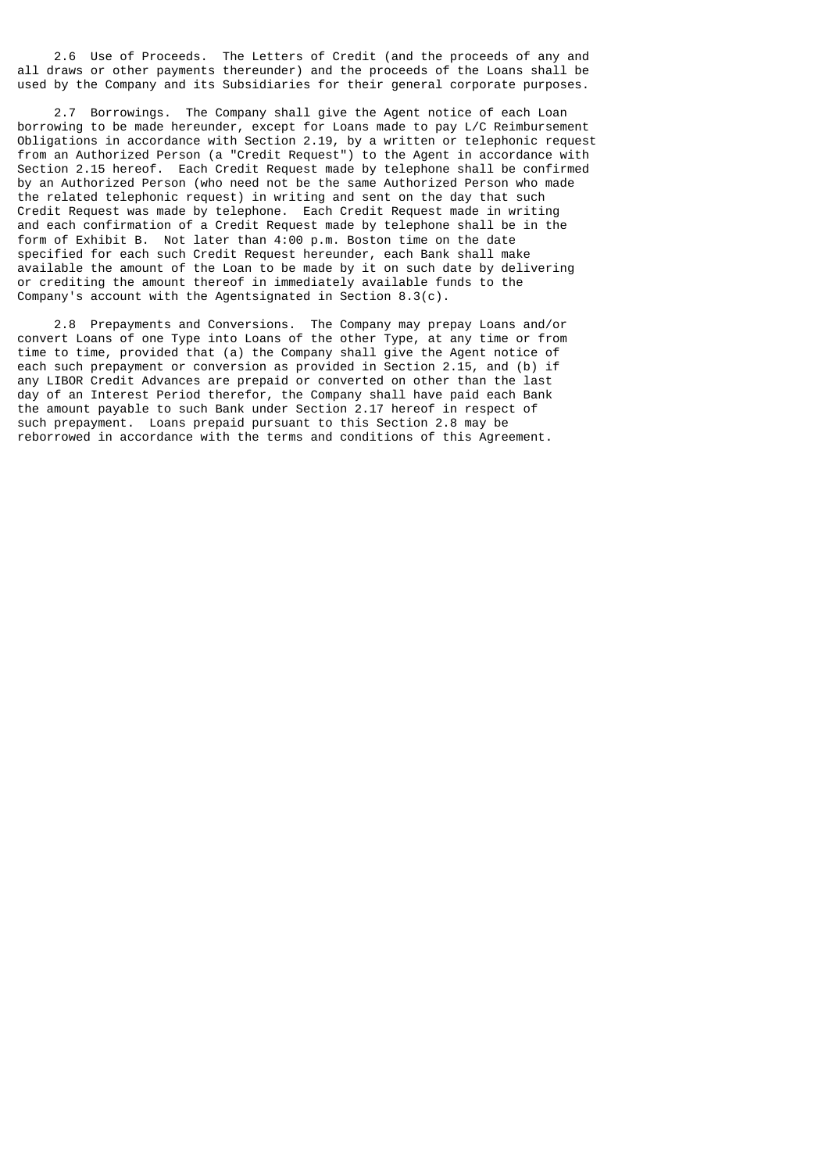2.6 Use of Proceeds. The Letters of Credit (and the proceeds of any and all draws or other payments thereunder) and the proceeds of the Loans shall be used by the Company and its Subsidiaries for their general corporate purposes.

 2.7 Borrowings. The Company shall give the Agent notice of each Loan borrowing to be made hereunder, except for Loans made to pay L/C Reimbursement Obligations in accordance with Section 2.19, by a written or telephonic request from an Authorized Person (a "Credit Request") to the Agent in accordance with Section 2.15 hereof. Each Credit Request made by telephone shall be confirmed by an Authorized Person (who need not be the same Authorized Person who made the related telephonic request) in writing and sent on the day that such Credit Request was made by telephone. Each Credit Request made in writing and each confirmation of a Credit Request made by telephone shall be in the form of Exhibit B. Not later than 4:00 p.m. Boston time on the date specified for each such Credit Request hereunder, each Bank shall make available the amount of the Loan to be made by it on such date by delivering or crediting the amount thereof in immediately available funds to the Company's account with the Agentsignated in Section 8.3(c).

 2.8 Prepayments and Conversions. The Company may prepay Loans and/or convert Loans of one Type into Loans of the other Type, at any time or from time to time, provided that (a) the Company shall give the Agent notice of each such prepayment or conversion as provided in Section 2.15, and (b) if any LIBOR Credit Advances are prepaid or converted on other than the last day of an Interest Period therefor, the Company shall have paid each Bank the amount payable to such Bank under Section 2.17 hereof in respect of such prepayment. Loans prepaid pursuant to this Section 2.8 may be reborrowed in accordance with the terms and conditions of this Agreement.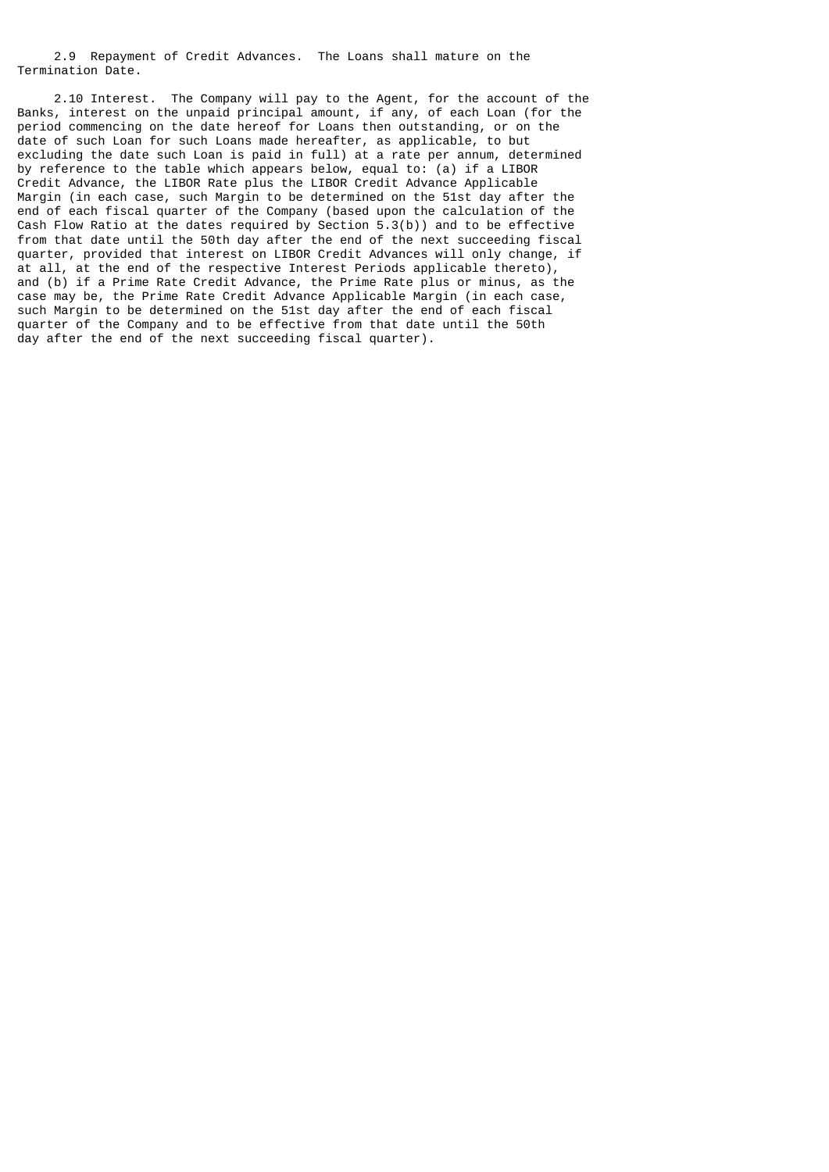2.9 Repayment of Credit Advances. The Loans shall mature on the Termination Date.

 2.10 Interest. The Company will pay to the Agent, for the account of the Banks, interest on the unpaid principal amount, if any, of each Loan (for the period commencing on the date hereof for Loans then outstanding, or on the date of such Loan for such Loans made hereafter, as applicable, to but excluding the date such Loan is paid in full) at a rate per annum, determined by reference to the table which appears below, equal to: (a) if a LIBOR Credit Advance, the LIBOR Rate plus the LIBOR Credit Advance Applicable Margin (in each case, such Margin to be determined on the 51st day after the end of each fiscal quarter of the Company (based upon the calculation of the Cash Flow Ratio at the dates required by Section 5.3(b)) and to be effective from that date until the 50th day after the end of the next succeeding fiscal quarter, provided that interest on LIBOR Credit Advances will only change, if at all, at the end of the respective Interest Periods applicable thereto), and (b) if a Prime Rate Credit Advance, the Prime Rate plus or minus, as the case may be, the Prime Rate Credit Advance Applicable Margin (in each case, such Margin to be determined on the 51st day after the end of each fiscal quarter of the Company and to be effective from that date until the 50th day after the end of the next succeeding fiscal quarter).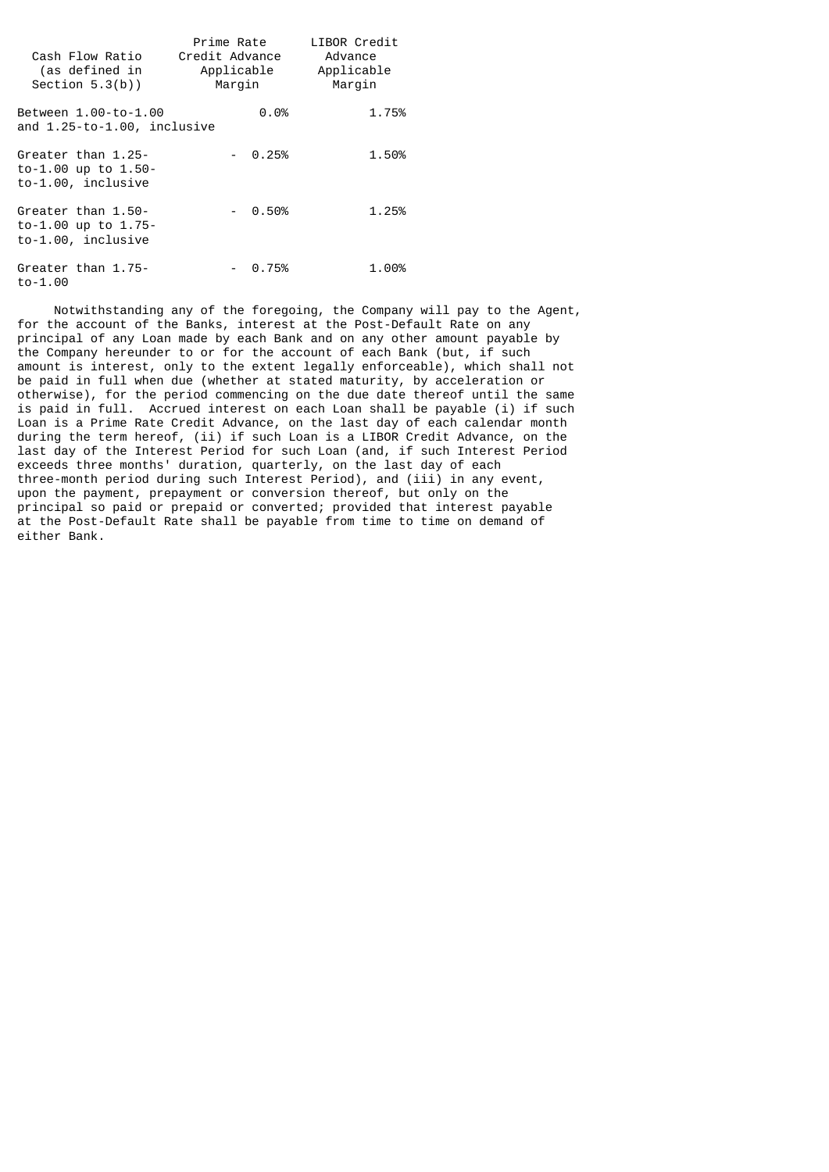| Cash Flow Ratio<br>(as defined in<br>Section $5.3(b)$ )           | Prime Rate<br>Credit Advance<br>Applicable<br>Marqin | LIBOR Credit<br>Advance<br>Applicable<br>Margin |
|-------------------------------------------------------------------|------------------------------------------------------|-------------------------------------------------|
| Between 1.00-to-1.00<br>and 1.25-to-1.00, inclusive               | 0.0%                                                 | 1.75%                                           |
| Greater than 1.25-<br>to-1.00 up to $1.50-$<br>to-1.00, inclusive | $-0.25%$                                             | 1.50%                                           |
| Greater than 1.50-<br>to-1.00 up to 1.75-<br>to-1.00, inclusive   | $-0.50%$                                             | 1.25%                                           |
| Greater than 1.75-<br>$to -1.00$                                  | $-0.75%$                                             | 1.00%                                           |

 Notwithstanding any of the foregoing, the Company will pay to the Agent, for the account of the Banks, interest at the Post-Default Rate on any principal of any Loan made by each Bank and on any other amount payable by the Company hereunder to or for the account of each Bank (but, if such amount is interest, only to the extent legally enforceable), which shall not be paid in full when due (whether at stated maturity, by acceleration or otherwise), for the period commencing on the due date thereof until the same is paid in full. Accrued interest on each Loan shall be payable (i) if such Loan is a Prime Rate Credit Advance, on the last day of each calendar month during the term hereof, (ii) if such Loan is a LIBOR Credit Advance, on the last day of the Interest Period for such Loan (and, if such Interest Period exceeds three months' duration, quarterly, on the last day of each three-month period during such Interest Period), and (iii) in any event, upon the payment, prepayment or conversion thereof, but only on the principal so paid or prepaid or converted; provided that interest payable at the Post-Default Rate shall be payable from time to time on demand of either Bank.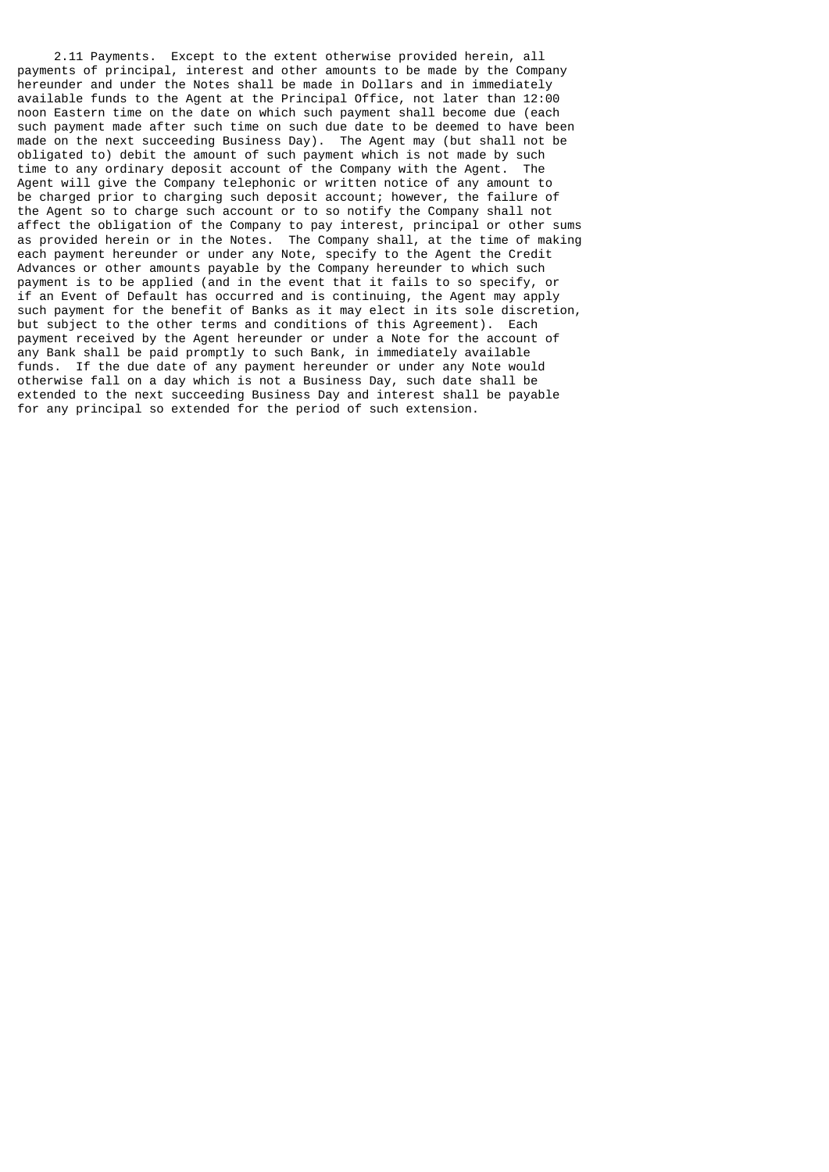2.11 Payments. Except to the extent otherwise provided herein, all payments of principal, interest and other amounts to be made by the Company hereunder and under the Notes shall be made in Dollars and in immediately available funds to the Agent at the Principal Office, not later than 12:00 noon Eastern time on the date on which such payment shall become due (each such payment made after such time on such due date to be deemed to have been made on the next succeeding Business Day). The Agent may (but shall not be obligated to) debit the amount of such payment which is not made by such time to any ordinary deposit account of the Company with the Agent. The Agent will give the Company telephonic or written notice of any amount to be charged prior to charging such deposit account; however, the failure of the Agent so to charge such account or to so notify the Company shall not affect the obligation of the Company to pay interest, principal or other sums as provided herein or in the Notes. The Company shall, at the time of making each payment hereunder or under any Note, specify to the Agent the Credit Advances or other amounts payable by the Company hereunder to which such payment is to be applied (and in the event that it fails to so specify, or if an Event of Default has occurred and is continuing, the Agent may apply such payment for the benefit of Banks as it may elect in its sole discretion, but subject to the other terms and conditions of this Agreement). Each payment received by the Agent hereunder or under a Note for the account of any Bank shall be paid promptly to such Bank, in immediately available funds. If the due date of any payment hereunder or under any Note would otherwise fall on a day which is not a Business Day, such date shall be extended to the next succeeding Business Day and interest shall be payable for any principal so extended for the period of such extension.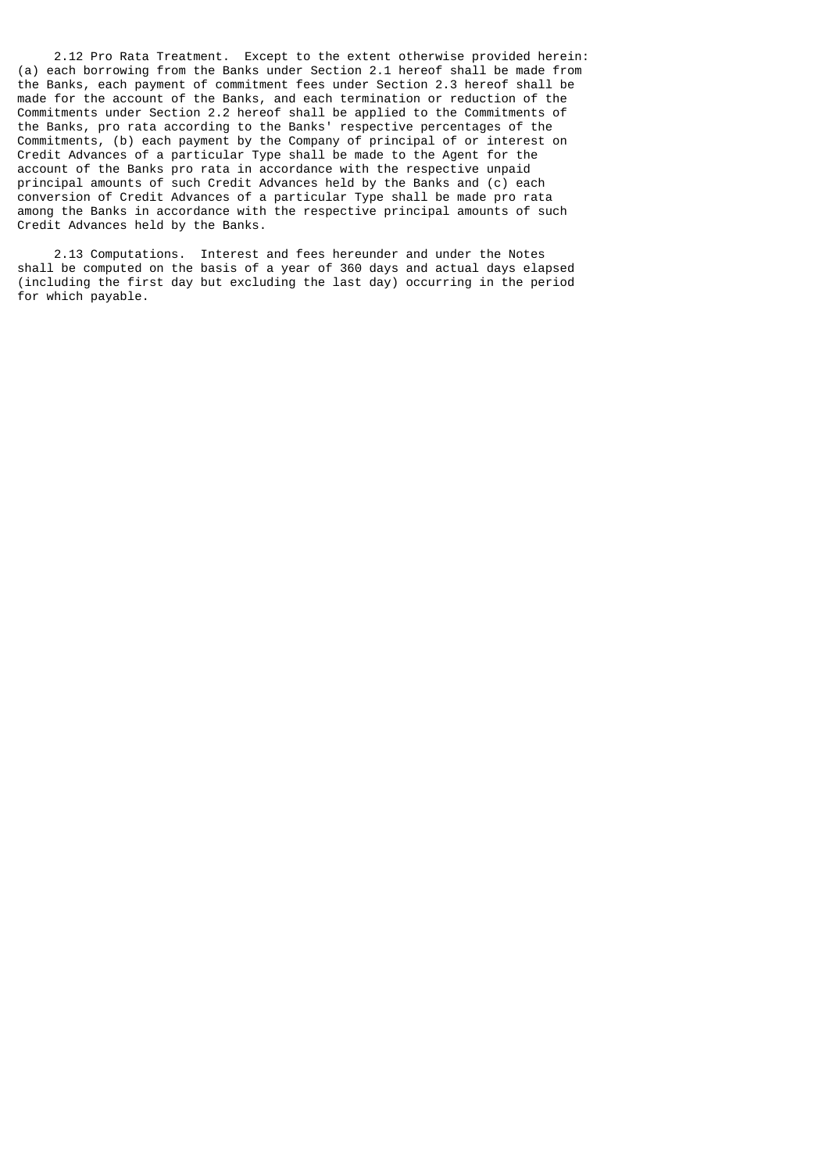2.12 Pro Rata Treatment. Except to the extent otherwise provided herein: (a) each borrowing from the Banks under Section 2.1 hereof shall be made from the Banks, each payment of commitment fees under Section 2.3 hereof shall be made for the account of the Banks, and each termination or reduction of the Commitments under Section 2.2 hereof shall be applied to the Commitments of the Banks, pro rata according to the Banks' respective percentages of the Commitments, (b) each payment by the Company of principal of or interest on Credit Advances of a particular Type shall be made to the Agent for the account of the Banks pro rata in accordance with the respective unpaid principal amounts of such Credit Advances held by the Banks and (c) each conversion of Credit Advances of a particular Type shall be made pro rata among the Banks in accordance with the respective principal amounts of such Credit Advances held by the Banks.

 2.13 Computations. Interest and fees hereunder and under the Notes shall be computed on the basis of a year of 360 days and actual days elapsed (including the first day but excluding the last day) occurring in the period for which payable.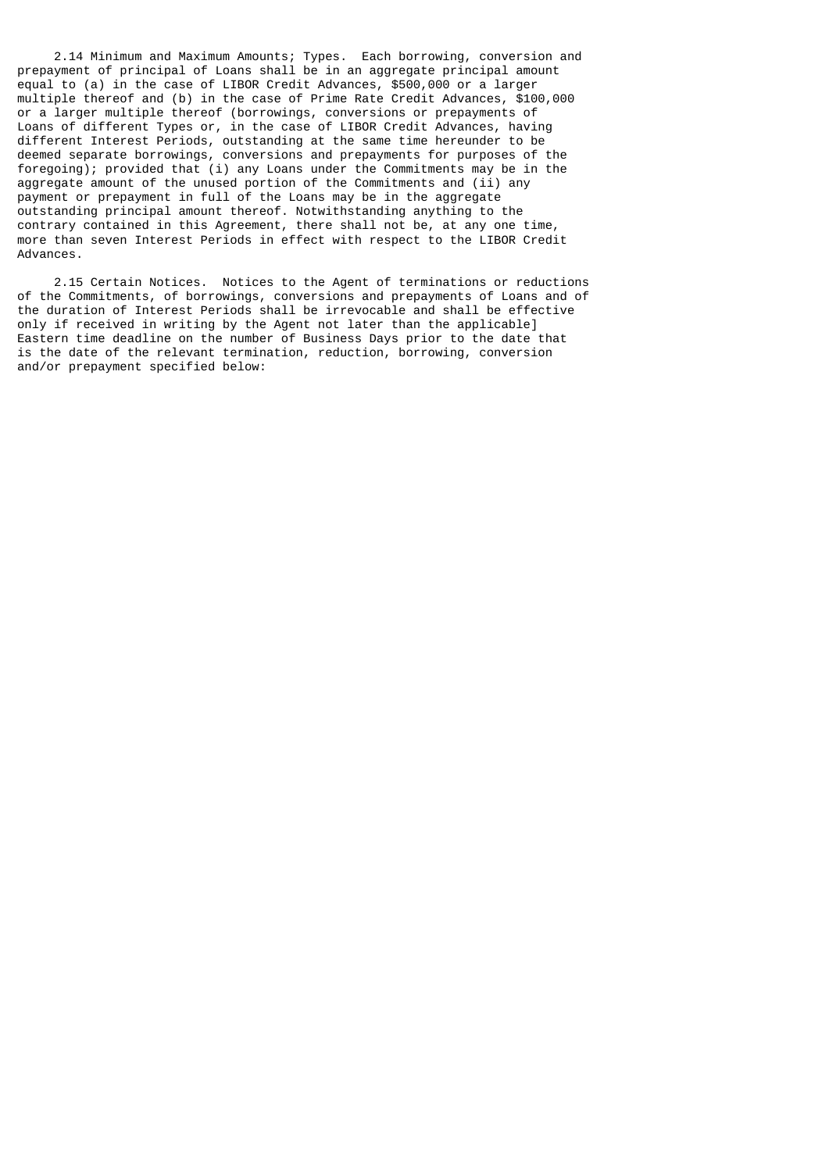2.14 Minimum and Maximum Amounts; Types. Each borrowing, conversion and prepayment of principal of Loans shall be in an aggregate principal amount equal to (a) in the case of LIBOR Credit Advances, \$500,000 or a larger multiple thereof and (b) in the case of Prime Rate Credit Advances, \$100,000 or a larger multiple thereof (borrowings, conversions or prepayments of Loans of different Types or, in the case of LIBOR Credit Advances, having different Interest Periods, outstanding at the same time hereunder to be deemed separate borrowings, conversions and prepayments for purposes of the foregoing); provided that (i) any Loans under the Commitments may be in the aggregate amount of the unused portion of the Commitments and (ii) any payment or prepayment in full of the Loans may be in the aggregate outstanding principal amount thereof. Notwithstanding anything to the contrary contained in this Agreement, there shall not be, at any one time, more than seven Interest Periods in effect with respect to the LIBOR Credit Advances.

 2.15 Certain Notices. Notices to the Agent of terminations or reductions of the Commitments, of borrowings, conversions and prepayments of Loans and of the duration of Interest Periods shall be irrevocable and shall be effective only if received in writing by the Agent not later than the applicable] Eastern time deadline on the number of Business Days prior to the date that is the date of the relevant termination, reduction, borrowing, conversion and/or prepayment specified below: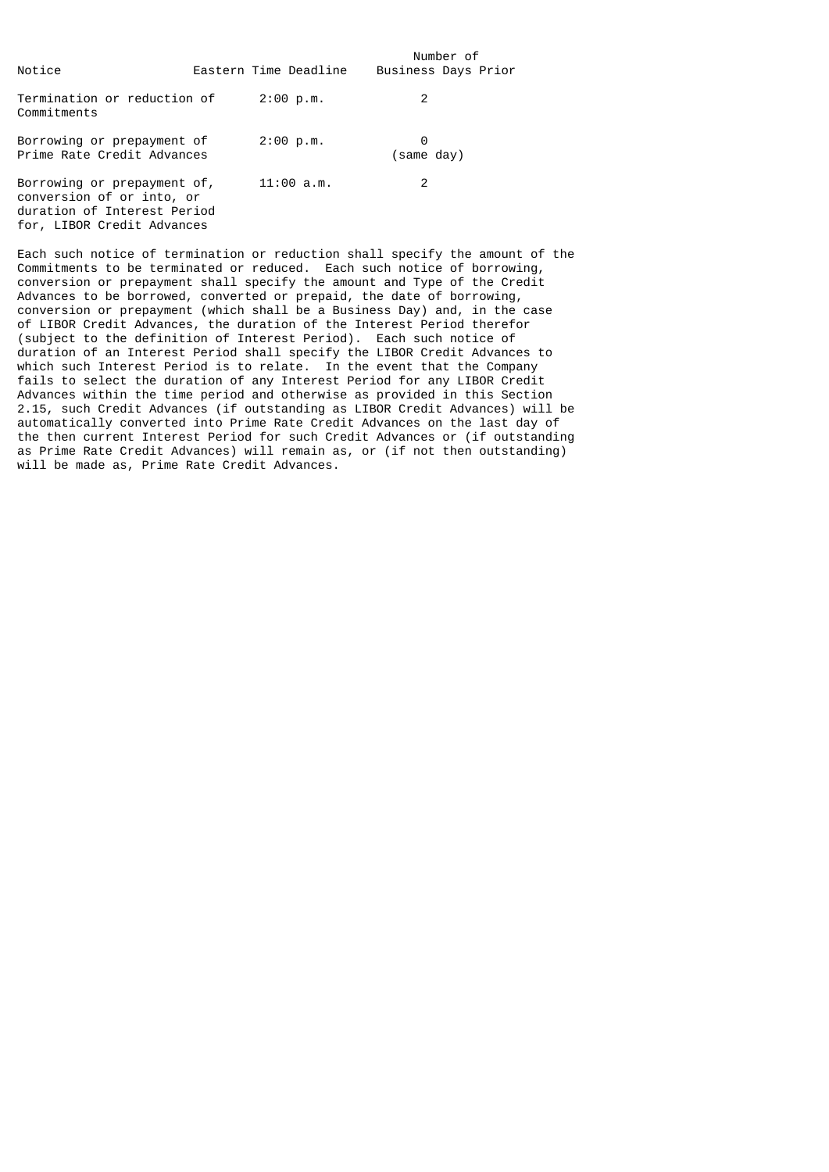| Notice                                                                                                                | Eastern Time Deadline | Number of<br>Business Days Prior |  |
|-----------------------------------------------------------------------------------------------------------------------|-----------------------|----------------------------------|--|
| Termination or reduction of<br>Commitments                                                                            | 2:00 p.m.             | 2                                |  |
| Borrowing or prepayment of<br>Prime Rate Credit Advances                                                              | 2:00 p.m.             | 0<br>(same day)                  |  |
| Borrowing or prepayment of,<br>conversion of or into, or<br>duration of Interest Period<br>for, LIBOR Credit Advances | 11:00 a.m.            | 2                                |  |

Each such notice of termination or reduction shall specify the amount of the Commitments to be terminated or reduced. Each such notice of borrowing, conversion or prepayment shall specify the amount and Type of the Credit Advances to be borrowed, converted or prepaid, the date of borrowing, conversion or prepayment (which shall be a Business Day) and, in the case of LIBOR Credit Advances, the duration of the Interest Period therefor (subject to the definition of Interest Period). Each such notice of duration of an Interest Period shall specify the LIBOR Credit Advances to which such Interest Period is to relate. In the event that the Company fails to select the duration of any Interest Period for any LIBOR Credit Advances within the time period and otherwise as provided in this Section 2.15, such Credit Advances (if outstanding as LIBOR Credit Advances) will be automatically converted into Prime Rate Credit Advances on the last day of the then current Interest Period for such Credit Advances or (if outstanding as Prime Rate Credit Advances) will remain as, or (if not then outstanding) will be made as, Prime Rate Credit Advances.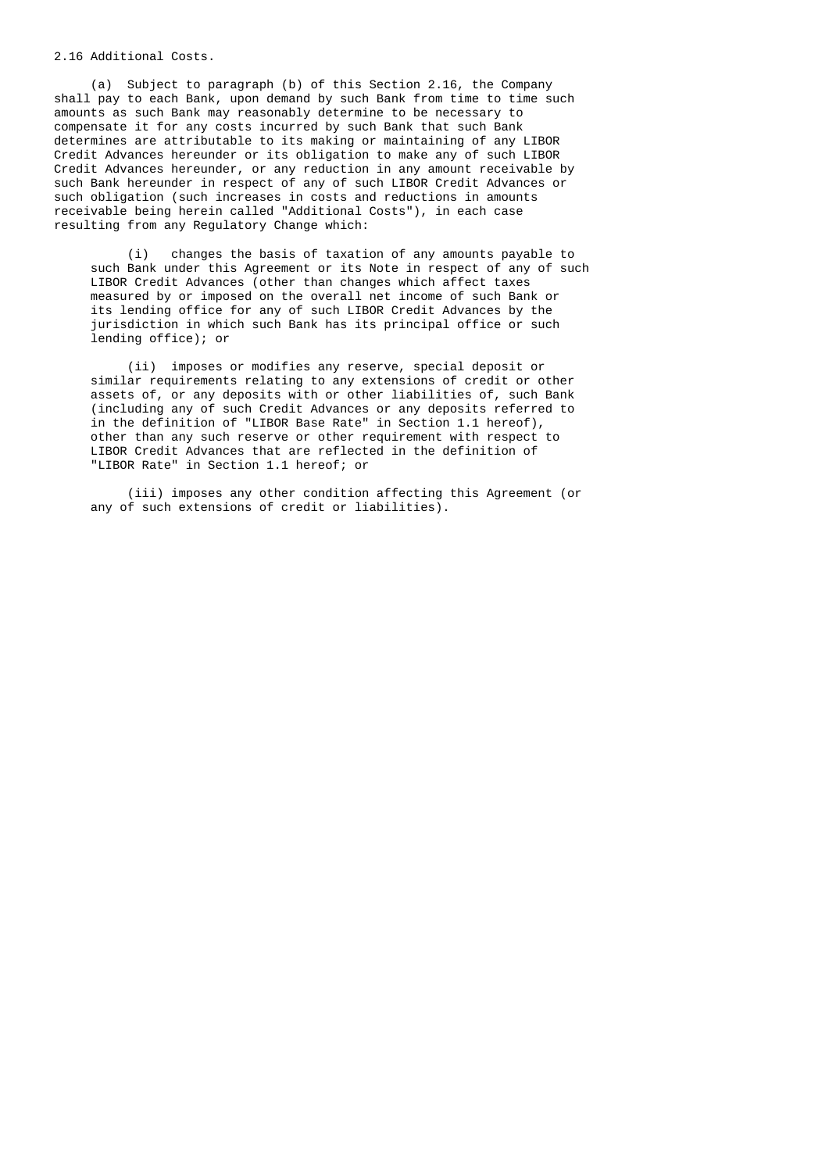# 2.16 Additional Costs.

 (a) Subject to paragraph (b) of this Section 2.16, the Company shall pay to each Bank, upon demand by such Bank from time to time such amounts as such Bank may reasonably determine to be necessary to compensate it for any costs incurred by such Bank that such Bank determines are attributable to its making or maintaining of any LIBOR Credit Advances hereunder or its obligation to make any of such LIBOR Credit Advances hereunder, or any reduction in any amount receivable by such Bank hereunder in respect of any of such LIBOR Credit Advances or such obligation (such increases in costs and reductions in amounts receivable being herein called "Additional Costs"), in each case resulting from any Regulatory Change which:

 (i) changes the basis of taxation of any amounts payable to such Bank under this Agreement or its Note in respect of any of such LIBOR Credit Advances (other than changes which affect taxes measured by or imposed on the overall net income of such Bank or its lending office for any of such LIBOR Credit Advances by the jurisdiction in which such Bank has its principal office or such lending office); or

 (ii) imposes or modifies any reserve, special deposit or similar requirements relating to any extensions of credit or other assets of, or any deposits with or other liabilities of, such Bank (including any of such Credit Advances or any deposits referred to in the definition of "LIBOR Base Rate" in Section 1.1 hereof), other than any such reserve or other requirement with respect to LIBOR Credit Advances that are reflected in the definition of "LIBOR Rate" in Section 1.1 hereof; or

 (iii) imposes any other condition affecting this Agreement (or any of such extensions of credit or liabilities).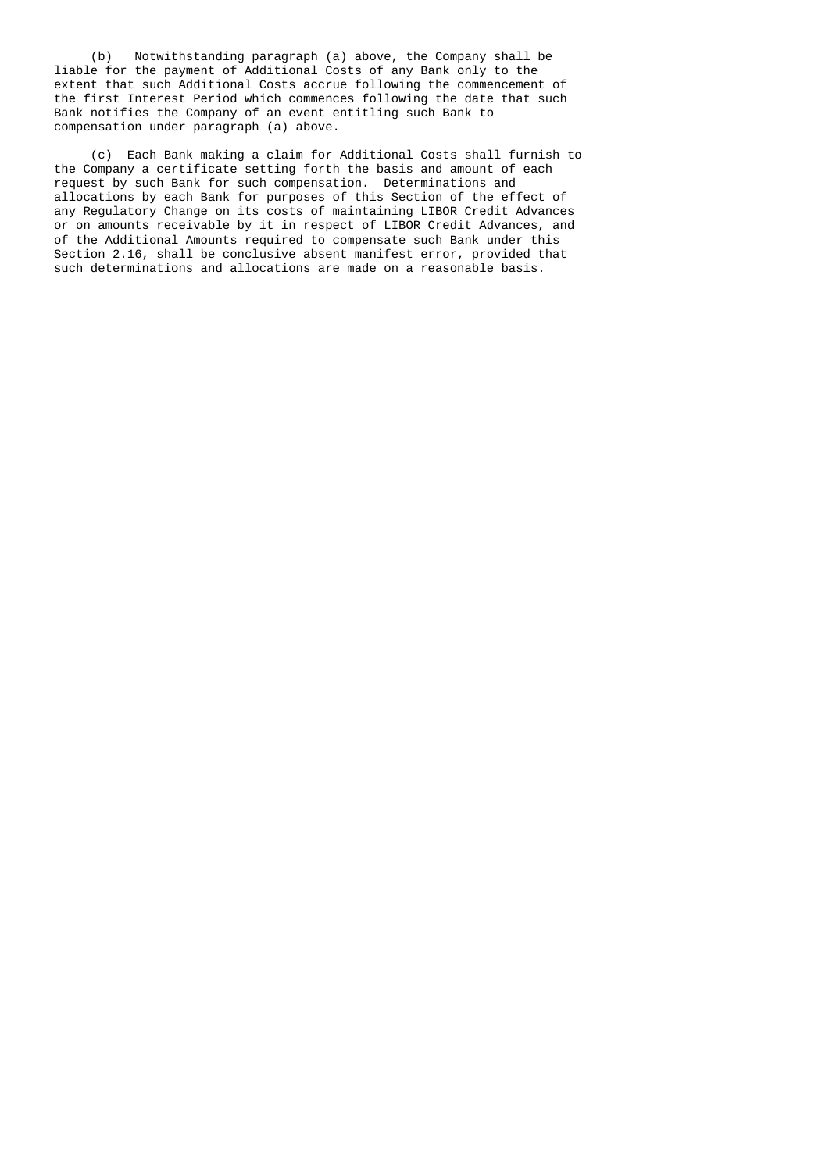(b) Notwithstanding paragraph (a) above, the Company shall be liable for the payment of Additional Costs of any Bank only to the extent that such Additional Costs accrue following the commencement of the first Interest Period which commences following the date that such Bank notifies the Company of an event entitling such Bank to compensation under paragraph (a) above.

 (c) Each Bank making a claim for Additional Costs shall furnish to the Company a certificate setting forth the basis and amount of each request by such Bank for such compensation. Determinations and allocations by each Bank for purposes of this Section of the effect of any Regulatory Change on its costs of maintaining LIBOR Credit Advances or on amounts receivable by it in respect of LIBOR Credit Advances, and of the Additional Amounts required to compensate such Bank under this Section 2.16, shall be conclusive absent manifest error, provided that such determinations and allocations are made on a reasonable basis.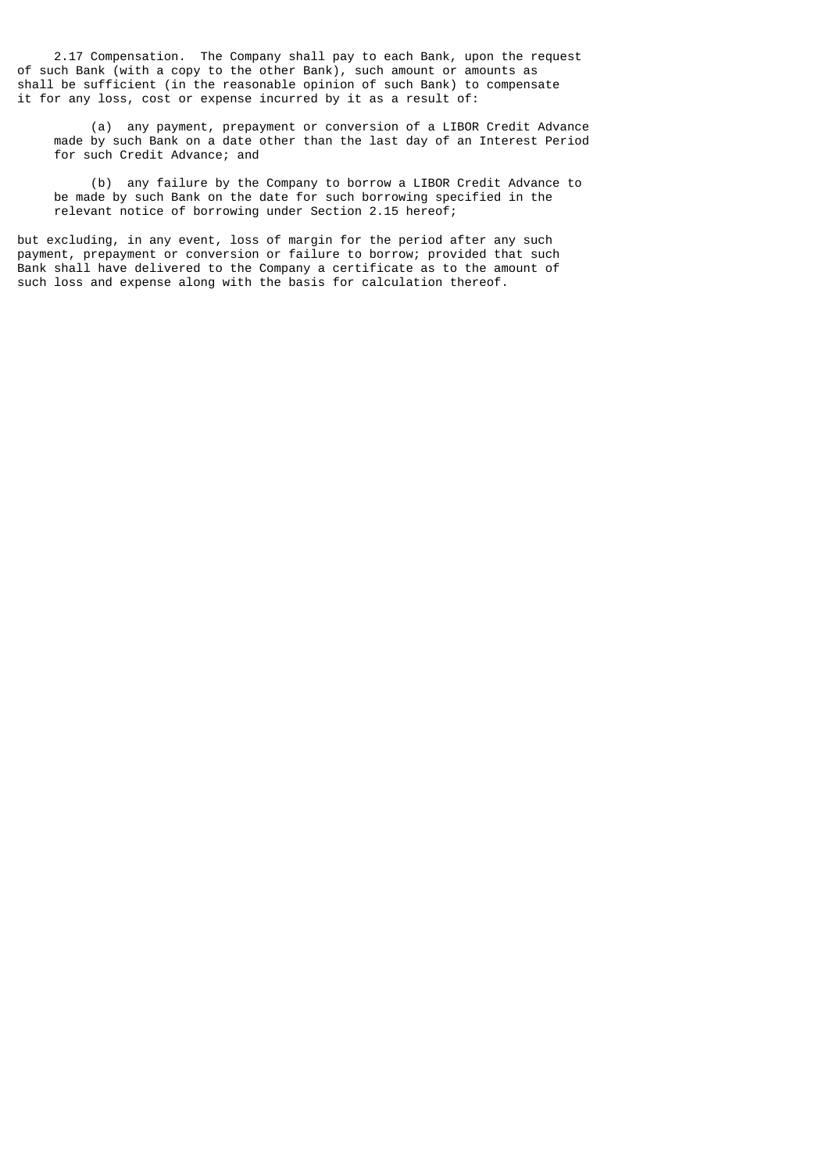2.17 Compensation. The Company shall pay to each Bank, upon the request of such Bank (with a copy to the other Bank), such amount or amounts as shall be sufficient (in the reasonable opinion of such Bank) to compensate it for any loss, cost or expense incurred by it as a result of:

 (a) any payment, prepayment or conversion of a LIBOR Credit Advance made by such Bank on a date other than the last day of an Interest Period for such Credit Advance; and

 (b) any failure by the Company to borrow a LIBOR Credit Advance to be made by such Bank on the date for such borrowing specified in the relevant notice of borrowing under Section 2.15 hereof;

but excluding, in any event, loss of margin for the period after any such payment, prepayment or conversion or failure to borrow; provided that such Bank shall have delivered to the Company a certificate as to the amount of such loss and expense along with the basis for calculation thereof.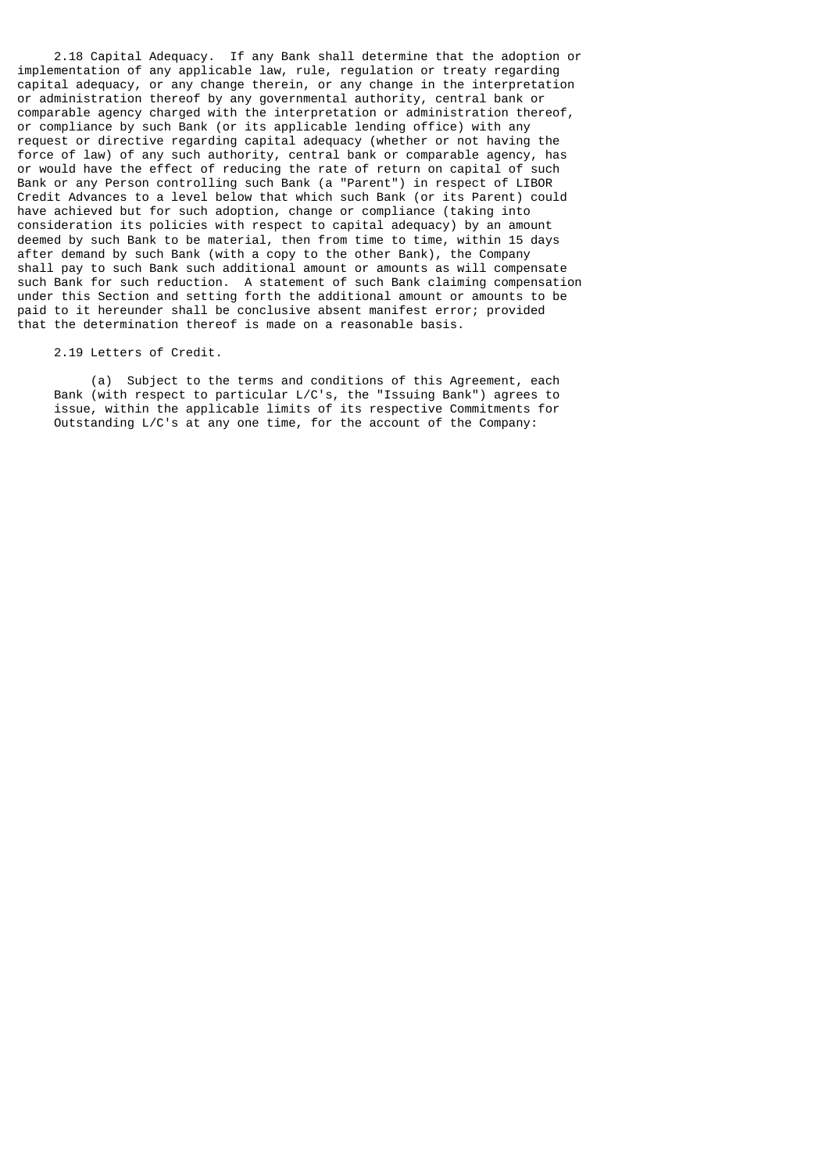2.18 Capital Adequacy. If any Bank shall determine that the adoption or implementation of any applicable law, rule, regulation or treaty regarding capital adequacy, or any change therein, or any change in the interpretation or administration thereof by any governmental authority, central bank or comparable agency charged with the interpretation or administration thereof, or compliance by such Bank (or its applicable lending office) with any request or directive regarding capital adequacy (whether or not having the force of law) of any such authority, central bank or comparable agency, has or would have the effect of reducing the rate of return on capital of such Bank or any Person controlling such Bank (a "Parent") in respect of LIBOR Credit Advances to a level below that which such Bank (or its Parent) could have achieved but for such adoption, change or compliance (taking into consideration its policies with respect to capital adequacy) by an amount deemed by such Bank to be material, then from time to time, within 15 days after demand by such Bank (with a copy to the other Bank), the Company shall pay to such Bank such additional amount or amounts as will compensate such Bank for such reduction. A statement of such Bank claiming compensation under this Section and setting forth the additional amount or amounts to be paid to it hereunder shall be conclusive absent manifest error; provided that the determination thereof is made on a reasonable basis.

#### 2.19 Letters of Credit.

 (a) Subject to the terms and conditions of this Agreement, each Bank (with respect to particular L/C's, the "Issuing Bank") agrees to issue, within the applicable limits of its respective Commitments for Outstanding L/C's at any one time, for the account of the Company: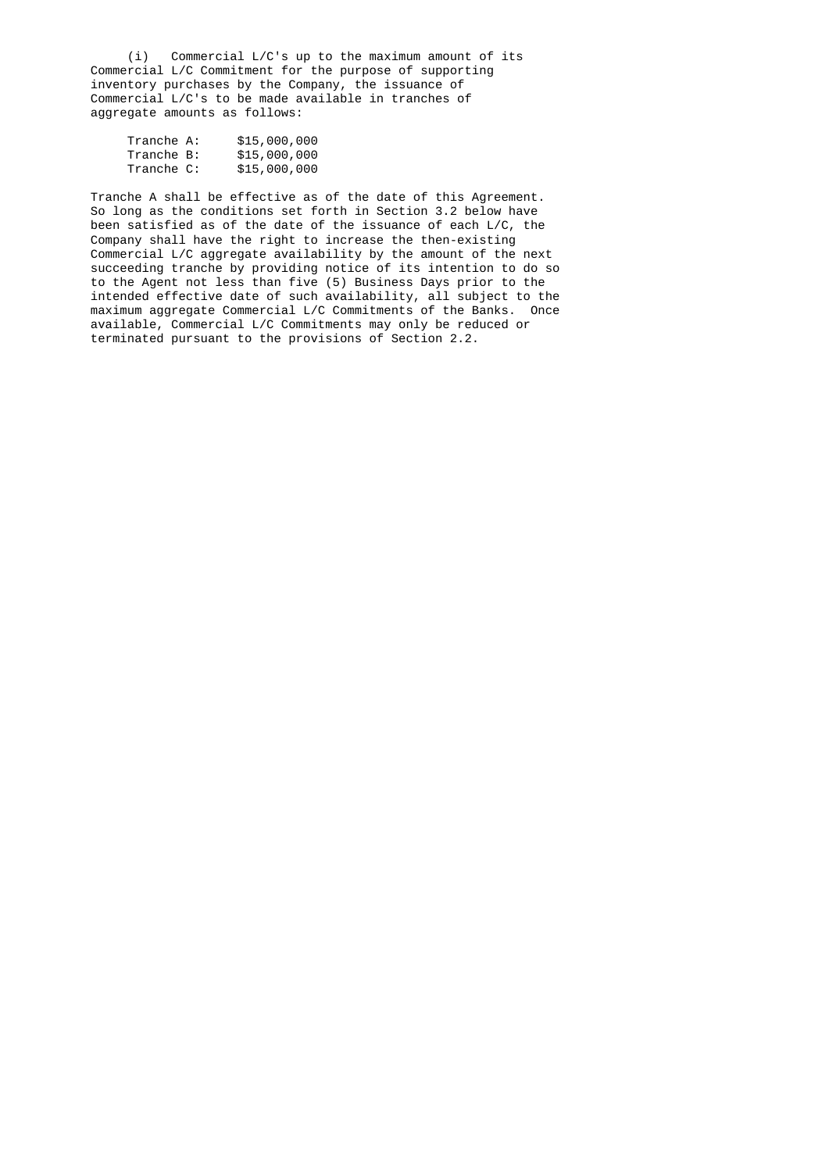(i) Commercial L/C's up to the maximum amount of its Commercial L/C Commitment for the purpose of supporting inventory purchases by the Company, the issuance of Commercial L/C's to be made available in tranches of aggregate amounts as follows:

| Tranche A: | \$15,000,000 |
|------------|--------------|
| Tranche B: | \$15,000,000 |
| Tranche C: | \$15,000,000 |

 Tranche A shall be effective as of the date of this Agreement. So long as the conditions set forth in Section 3.2 below have been satisfied as of the date of the issuance of each L/C, the Company shall have the right to increase the then-existing Commercial L/C aggregate availability by the amount of the next succeeding tranche by providing notice of its intention to do so to the Agent not less than five (5) Business Days prior to the intended effective date of such availability, all subject to the maximum aggregate Commercial L/C Commitments of the Banks. Once available, Commercial L/C Commitments may only be reduced or terminated pursuant to the provisions of Section 2.2.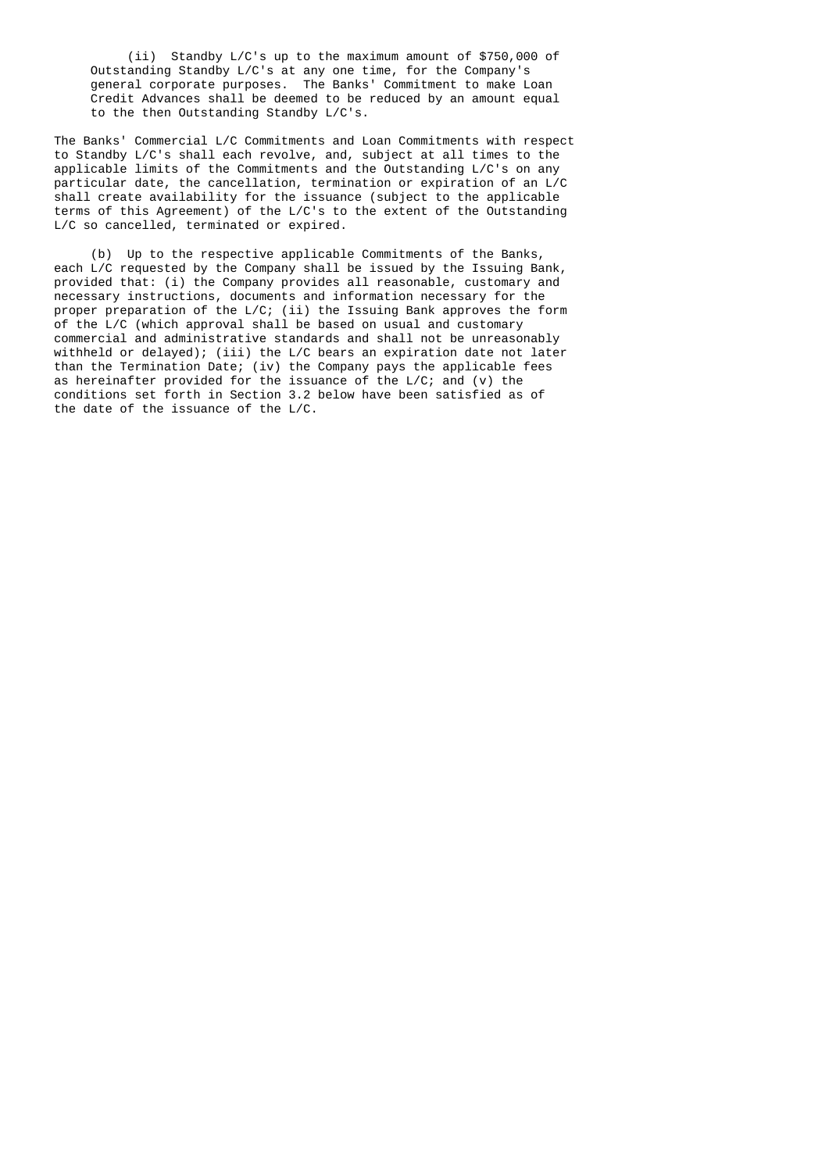(ii) Standby L/C's up to the maximum amount of \$750,000 of Outstanding Standby L/C's at any one time, for the Company's general corporate purposes. The Banks' Commitment to make Loan Credit Advances shall be deemed to be reduced by an amount equal to the then Outstanding Standby L/C's.

 The Banks' Commercial L/C Commitments and Loan Commitments with respect to Standby L/C's shall each revolve, and, subject at all times to the applicable limits of the Commitments and the Outstanding L/C's on any particular date, the cancellation, termination or expiration of an L/C shall create availability for the issuance (subject to the applicable terms of this Agreement) of the L/C's to the extent of the Outstanding L/C so cancelled, terminated or expired.

 (b) Up to the respective applicable Commitments of the Banks, each L/C requested by the Company shall be issued by the Issuing Bank, provided that: (i) the Company provides all reasonable, customary and necessary instructions, documents and information necessary for the proper preparation of the L/C; (ii) the Issuing Bank approves the form of the L/C (which approval shall be based on usual and customary commercial and administrative standards and shall not be unreasonably withheld or delayed); (iii) the L/C bears an expiration date not later than the Termination Date; (iv) the Company pays the applicable fees as hereinafter provided for the issuance of the L/C; and (v) the conditions set forth in Section 3.2 below have been satisfied as of the date of the issuance of the L/C.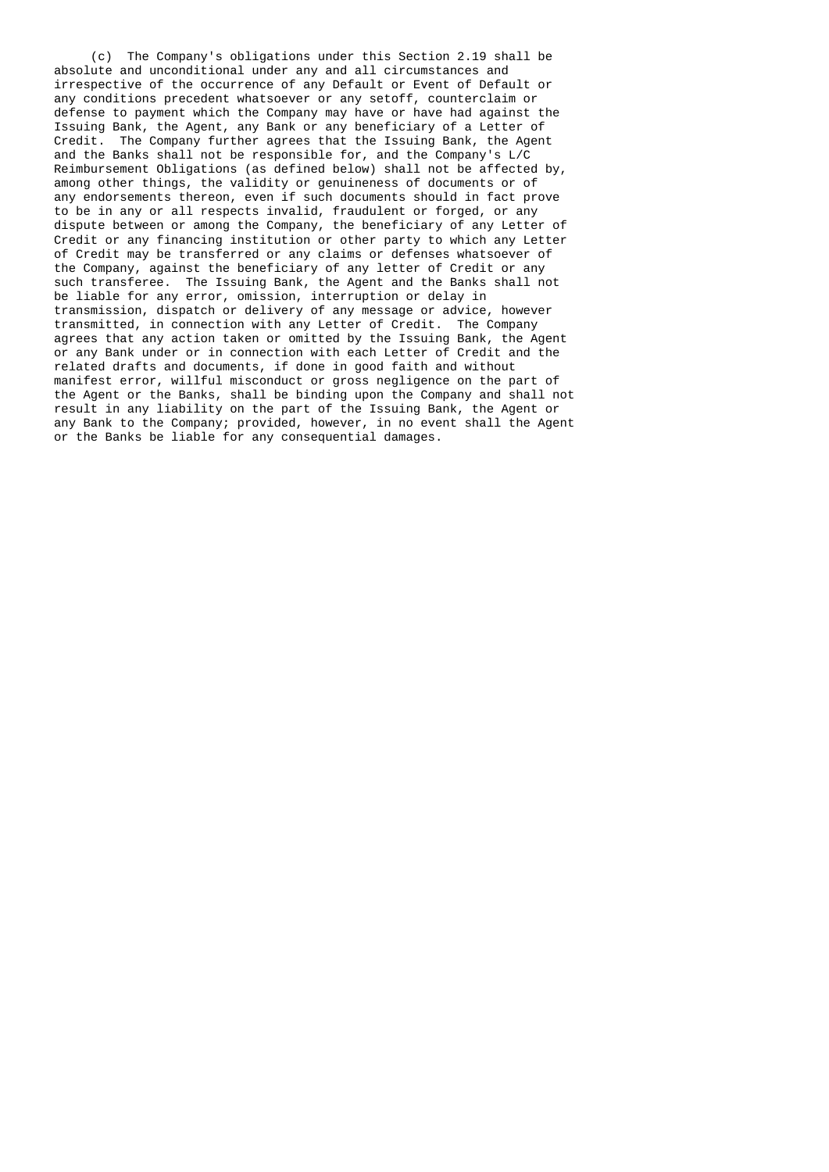(c) The Company's obligations under this Section 2.19 shall be absolute and unconditional under any and all circumstances and irrespective of the occurrence of any Default or Event of Default or any conditions precedent whatsoever or any setoff, counterclaim or defense to payment which the Company may have or have had against the Issuing Bank, the Agent, any Bank or any beneficiary of a Letter of Credit. The Company further agrees that the Issuing Bank, the Agent and the Banks shall not be responsible for, and the Company's L/C Reimbursement Obligations (as defined below) shall not be affected by, among other things, the validity or genuineness of documents or of any endorsements thereon, even if such documents should in fact prove to be in any or all respects invalid, fraudulent or forged, or any dispute between or among the Company, the beneficiary of any Letter of Credit or any financing institution or other party to which any Letter of Credit may be transferred or any claims or defenses whatsoever of the Company, against the beneficiary of any letter of Credit or any such transferee. The Issuing Bank, the Agent and the Banks shall not be liable for any error, omission, interruption or delay in transmission, dispatch or delivery of any message or advice, however transmitted, in connection with any Letter of Credit. The Company agrees that any action taken or omitted by the Issuing Bank, the Agent or any Bank under or in connection with each Letter of Credit and the related drafts and documents, if done in good faith and without manifest error, willful misconduct or gross negligence on the part of the Agent or the Banks, shall be binding upon the Company and shall not result in any liability on the part of the Issuing Bank, the Agent or any Bank to the Company; provided, however, in no event shall the Agent or the Banks be liable for any consequential damages.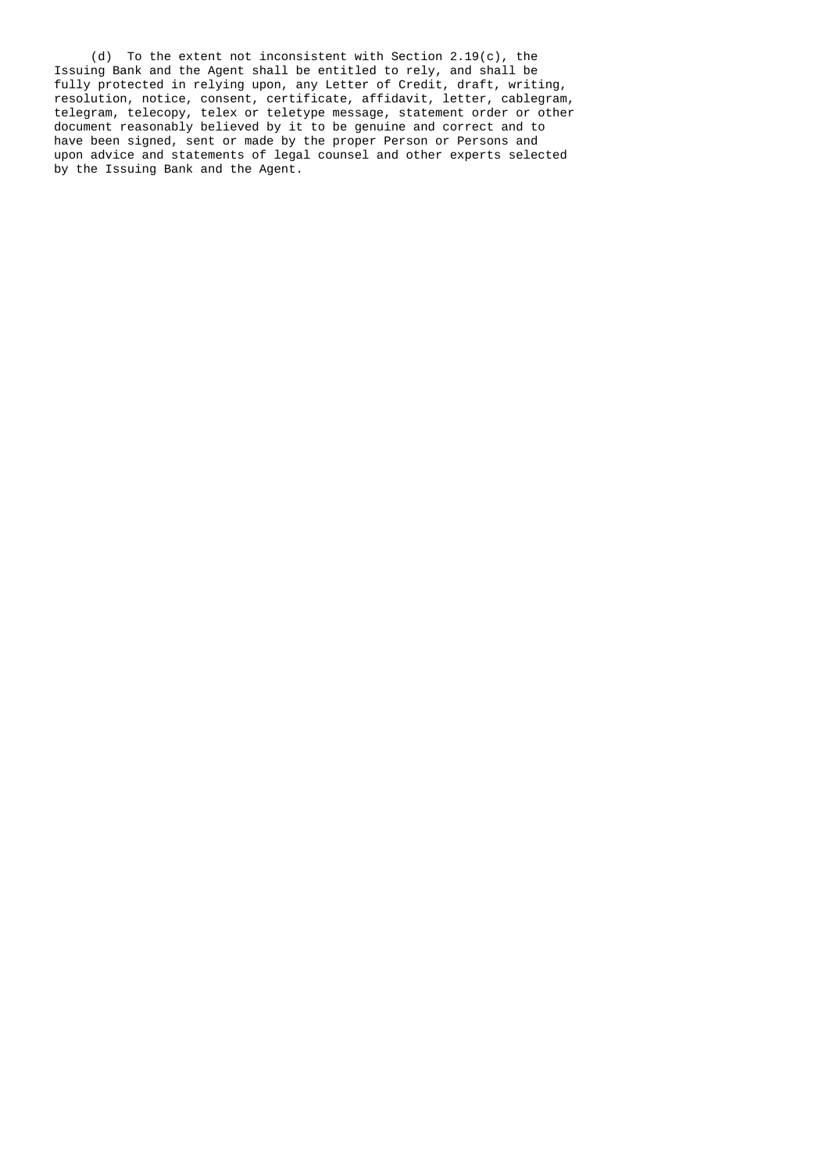(d) To the extent not inconsistent with Section 2.19(c), the Issuing Bank and the Agent shall be entitled to rely, and shall be fully protected in relying upon, any Letter of Credit, draft, writing, resolution, notice, consent, certificate, affidavit, letter, cablegram, telegram, telecopy, telex or teletype message, statement order or other document reasonably believed by it to be genuine and correct and to have been signed, sent or made by the proper Person or Persons and upon advice and statements of legal counsel and other experts selected by the Issuing Bank and the Agent.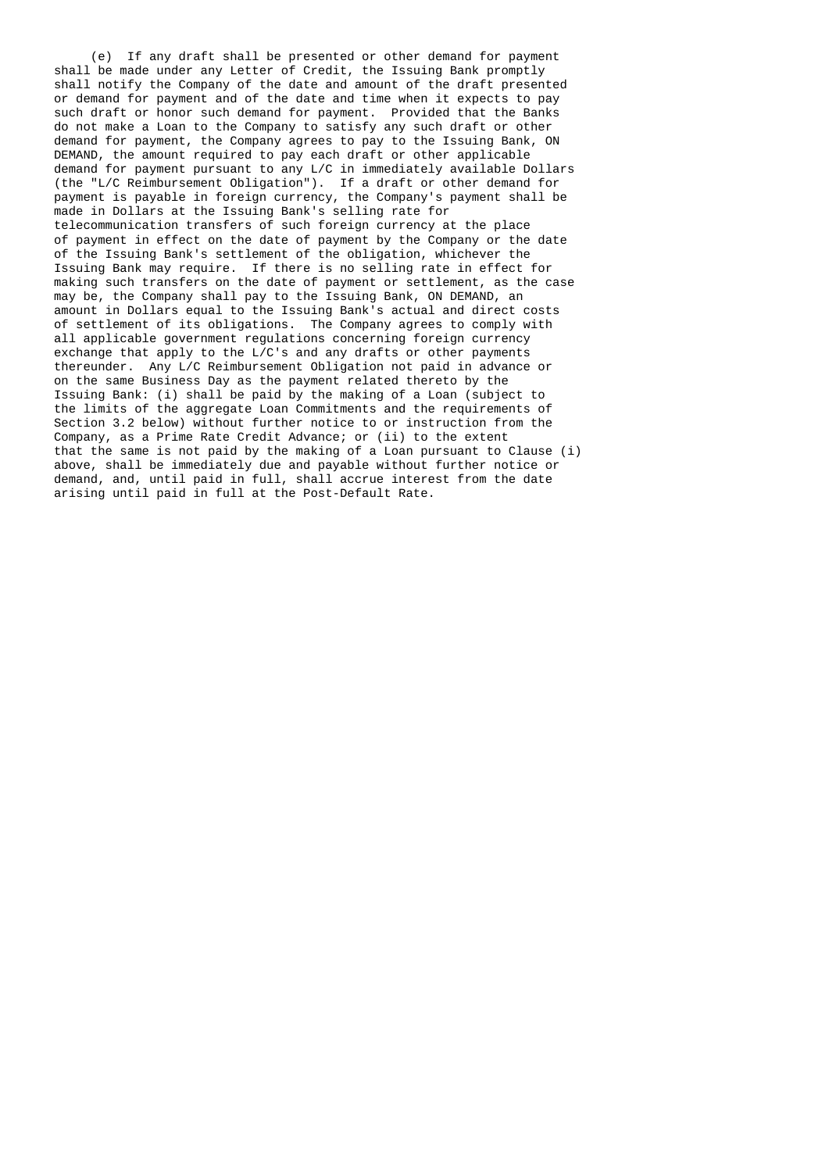(e) If any draft shall be presented or other demand for payment shall be made under any Letter of Credit, the Issuing Bank promptly shall notify the Company of the date and amount of the draft presented or demand for payment and of the date and time when it expects to pay such draft or honor such demand for payment. Provided that the Banks do not make a Loan to the Company to satisfy any such draft or other demand for payment, the Company agrees to pay to the Issuing Bank, ON DEMAND, the amount required to pay each draft or other applicable demand for payment pursuant to any L/C in immediately available Dollars (the "L/C Reimbursement Obligation"). If a draft or other demand for payment is payable in foreign currency, the Company's payment shall be made in Dollars at the Issuing Bank's selling rate for telecommunication transfers of such foreign currency at the place of payment in effect on the date of payment by the Company or the date of the Issuing Bank's settlement of the obligation, whichever the Issuing Bank may require. If there is no selling rate in effect for making such transfers on the date of payment or settlement, as the case may be, the Company shall pay to the Issuing Bank, ON DEMAND, an amount in Dollars equal to the Issuing Bank's actual and direct costs of settlement of its obligations. The Company agrees to comply with all applicable government regulations concerning foreign currency exchange that apply to the L/C's and any drafts or other payments thereunder. Any L/C Reimbursement Obligation not paid in advance or on the same Business Day as the payment related thereto by the Issuing Bank: (i) shall be paid by the making of a Loan (subject to the limits of the aggregate Loan Commitments and the requirements of Section 3.2 below) without further notice to or instruction from the Company, as a Prime Rate Credit Advance; or (ii) to the extent that the same is not paid by the making of a Loan pursuant to Clause (i) above, shall be immediately due and payable without further notice or demand, and, until paid in full, shall accrue interest from the date arising until paid in full at the Post-Default Rate.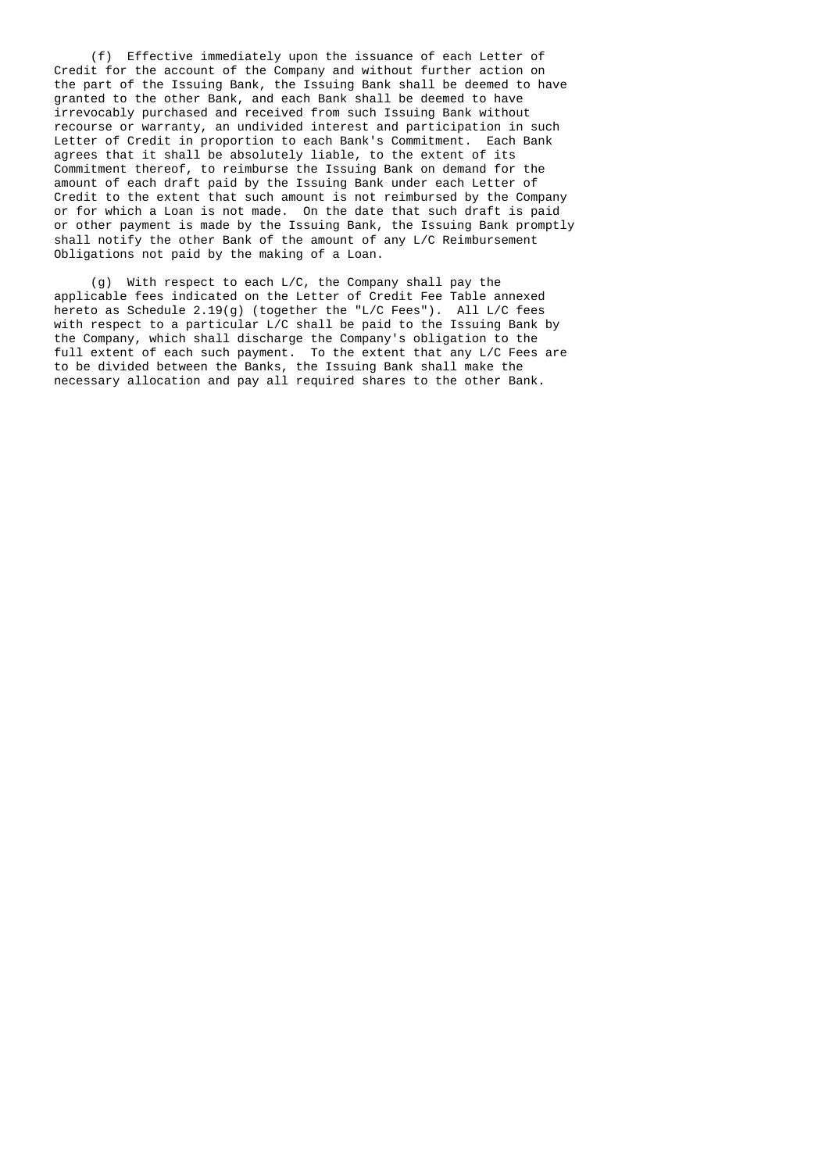(f) Effective immediately upon the issuance of each Letter of Credit for the account of the Company and without further action on the part of the Issuing Bank, the Issuing Bank shall be deemed to have granted to the other Bank, and each Bank shall be deemed to have irrevocably purchased and received from such Issuing Bank without recourse or warranty, an undivided interest and participation in such Letter of Credit in proportion to each Bank's Commitment. Each Bank agrees that it shall be absolutely liable, to the extent of its Commitment thereof, to reimburse the Issuing Bank on demand for the amount of each draft paid by the Issuing Bank under each Letter of Credit to the extent that such amount is not reimbursed by the Company or for which a Loan is not made. On the date that such draft is paid or other payment is made by the Issuing Bank, the Issuing Bank promptly shall notify the other Bank of the amount of any L/C Reimbursement Obligations not paid by the making of a Loan.

 (g) With respect to each L/C, the Company shall pay the applicable fees indicated on the Letter of Credit Fee Table annexed hereto as Schedule 2.19(g) (together the "L/C Fees"). All L/C fees with respect to a particular L/C shall be paid to the Issuing Bank by the Company, which shall discharge the Company's obligation to the full extent of each such payment. To the extent that any L/C Fees are to be divided between the Banks, the Issuing Bank shall make the necessary allocation and pay all required shares to the other Bank.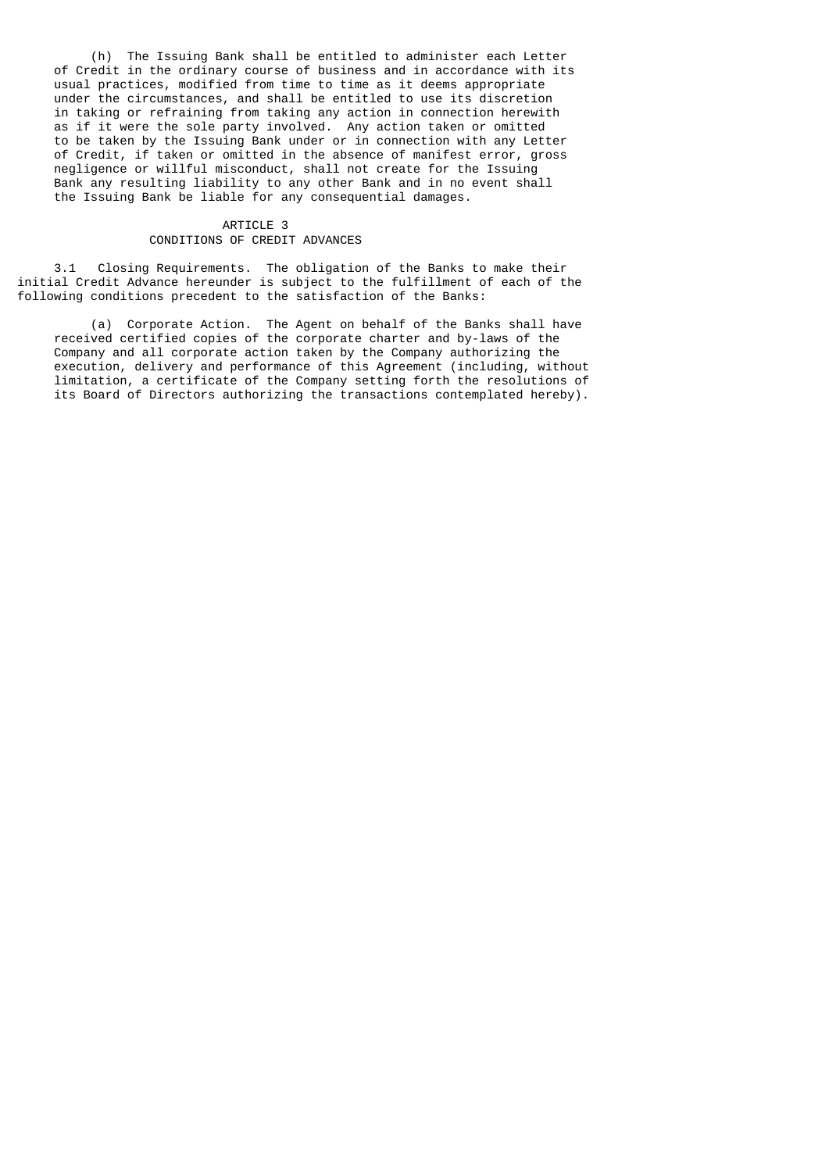(h) The Issuing Bank shall be entitled to administer each Letter of Credit in the ordinary course of business and in accordance with its usual practices, modified from time to time as it deems appropriate under the circumstances, and shall be entitled to use its discretion in taking or refraining from taking any action in connection herewith as if it were the sole party involved. Any action taken or omitted to be taken by the Issuing Bank under or in connection with any Letter of Credit, if taken or omitted in the absence of manifest error, gross negligence or willful misconduct, shall not create for the Issuing Bank any resulting liability to any other Bank and in no event shall the Issuing Bank be liable for any consequential damages.

# ARTICLE 3 CONDITIONS OF CREDIT ADVANCES

 3.1 Closing Requirements. The obligation of the Banks to make their initial Credit Advance hereunder is subject to the fulfillment of each of the following conditions precedent to the satisfaction of the Banks:

 (a) Corporate Action. The Agent on behalf of the Banks shall have received certified copies of the corporate charter and by-laws of the Company and all corporate action taken by the Company authorizing the execution, delivery and performance of this Agreement (including, without limitation, a certificate of the Company setting forth the resolutions of its Board of Directors authorizing the transactions contemplated hereby).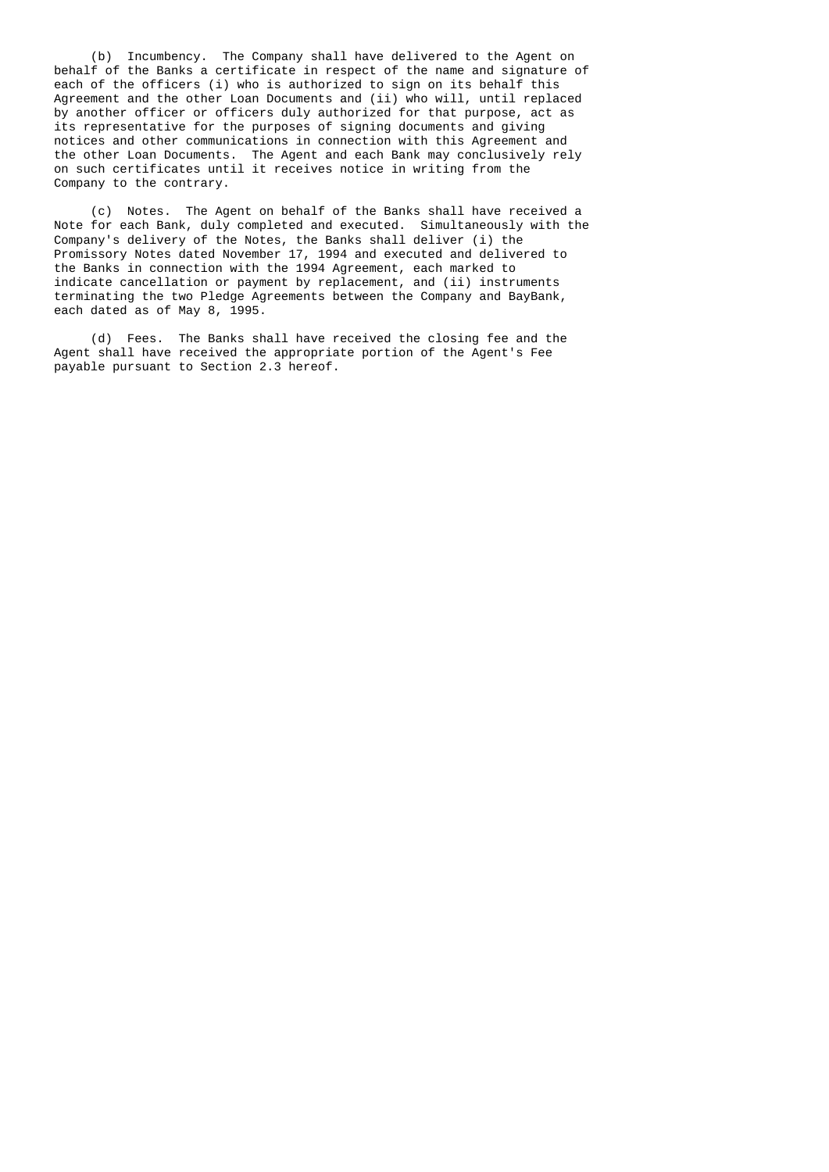(b) Incumbency. The Company shall have delivered to the Agent on behalf of the Banks a certificate in respect of the name and signature of each of the officers (i) who is authorized to sign on its behalf this Agreement and the other Loan Documents and (ii) who will, until replaced by another officer or officers duly authorized for that purpose, act as its representative for the purposes of signing documents and giving notices and other communications in connection with this Agreement and the other Loan Documents. The Agent and each Bank may conclusively rely on such certificates until it receives notice in writing from the Company to the contrary.

 (c) Notes. The Agent on behalf of the Banks shall have received a Note for each Bank, duly completed and executed. Simultaneously with the Company's delivery of the Notes, the Banks shall deliver (i) the Promissory Notes dated November 17, 1994 and executed and delivered to the Banks in connection with the 1994 Agreement, each marked to indicate cancellation or payment by replacement, and (ii) instruments terminating the two Pledge Agreements between the Company and BayBank, each dated as of May 8, 1995.

 (d) Fees. The Banks shall have received the closing fee and the Agent shall have received the appropriate portion of the Agent's Fee payable pursuant to Section 2.3 hereof.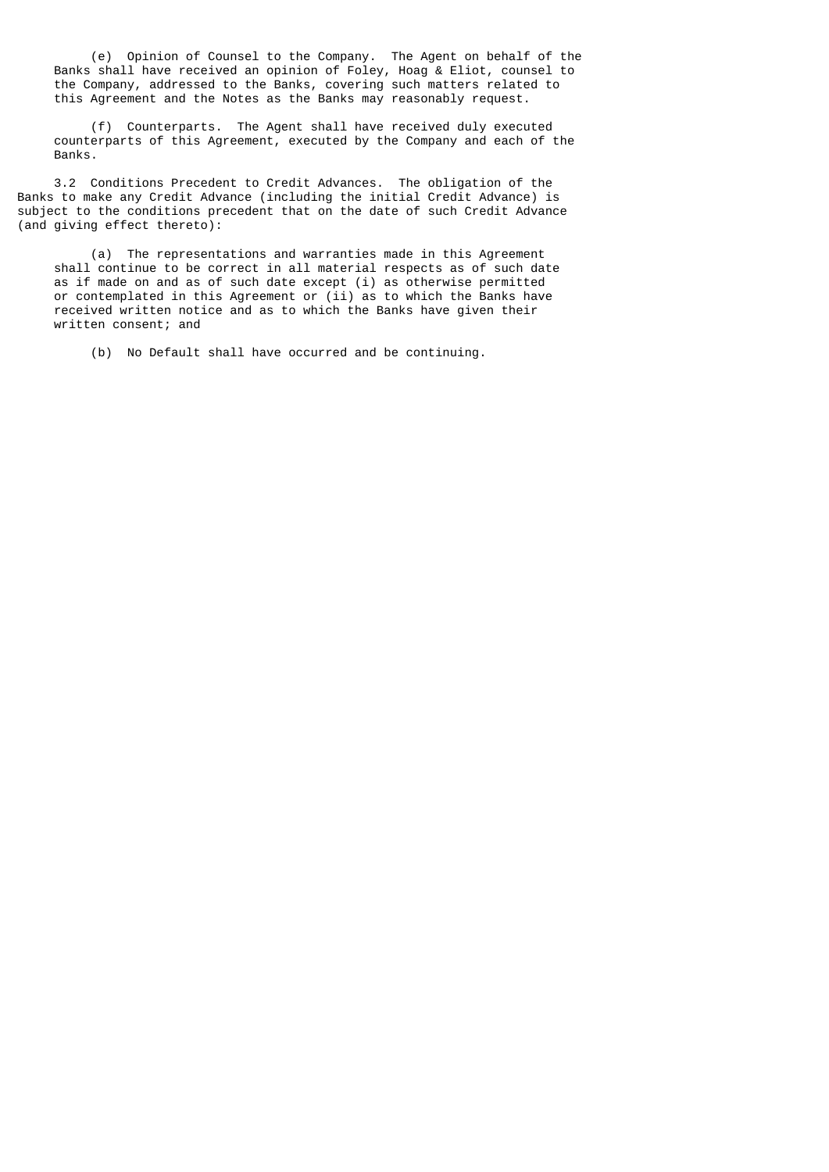(e) Opinion of Counsel to the Company. The Agent on behalf of the Banks shall have received an opinion of Foley, Hoag & Eliot, counsel to the Company, addressed to the Banks, covering such matters related to this Agreement and the Notes as the Banks may reasonably request.

 (f) Counterparts. The Agent shall have received duly executed counterparts of this Agreement, executed by the Company and each of the Banks.

 3.2 Conditions Precedent to Credit Advances. The obligation of the Banks to make any Credit Advance (including the initial Credit Advance) is subject to the conditions precedent that on the date of such Credit Advance (and giving effect thereto):

 (a) The representations and warranties made in this Agreement shall continue to be correct in all material respects as of such date as if made on and as of such date except (i) as otherwise permitted or contemplated in this Agreement or (ii) as to which the Banks have received written notice and as to which the Banks have given their written consent; and

(b) No Default shall have occurred and be continuing.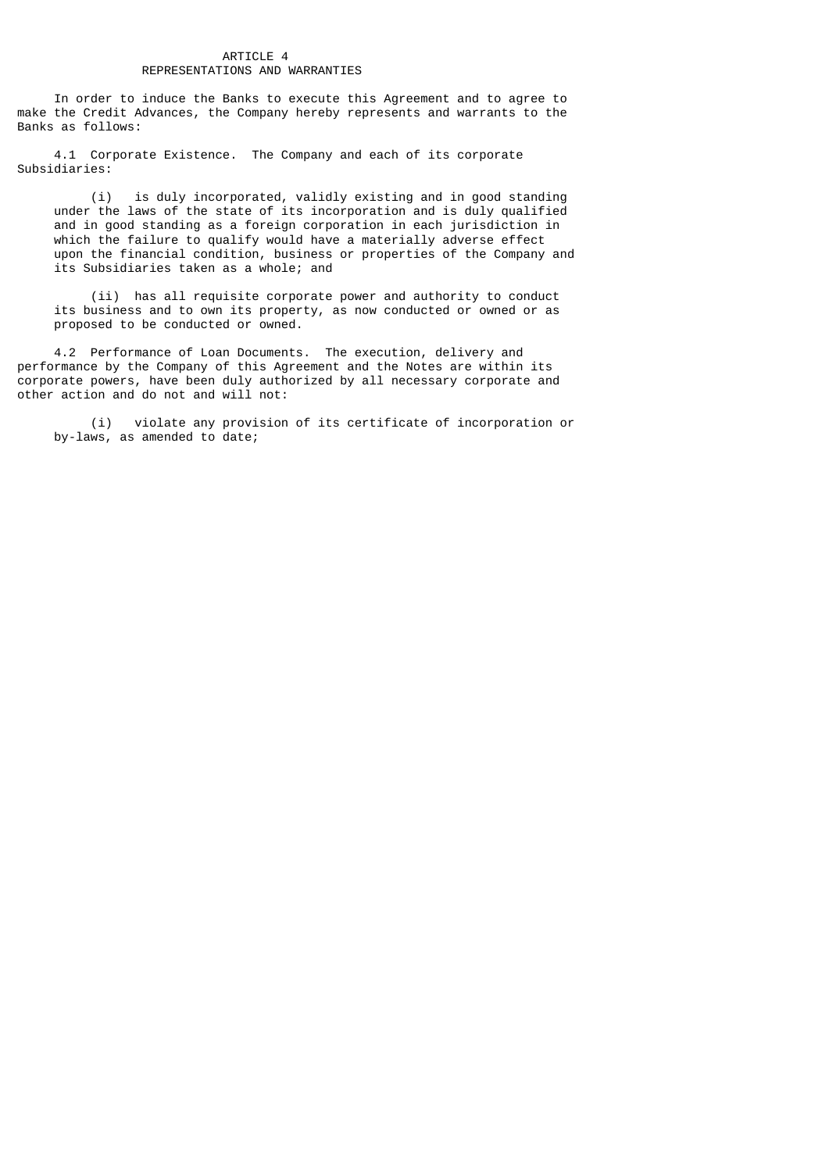## ARTICLE 4 REPRESENTATIONS AND WARRANTIES

 In order to induce the Banks to execute this Agreement and to agree to make the Credit Advances, the Company hereby represents and warrants to the Banks as follows:

 4.1 Corporate Existence. The Company and each of its corporate Subsidiaries:

 (i) is duly incorporated, validly existing and in good standing under the laws of the state of its incorporation and is duly qualified and in good standing as a foreign corporation in each jurisdiction in which the failure to qualify would have a materially adverse effect upon the financial condition, business or properties of the Company and its Subsidiaries taken as a whole; and

 (ii) has all requisite corporate power and authority to conduct its business and to own its property, as now conducted or owned or as proposed to be conducted or owned.

 4.2 Performance of Loan Documents. The execution, delivery and performance by the Company of this Agreement and the Notes are within its corporate powers, have been duly authorized by all necessary corporate and other action and do not and will not:

 (i) violate any provision of its certificate of incorporation or by-laws, as amended to date;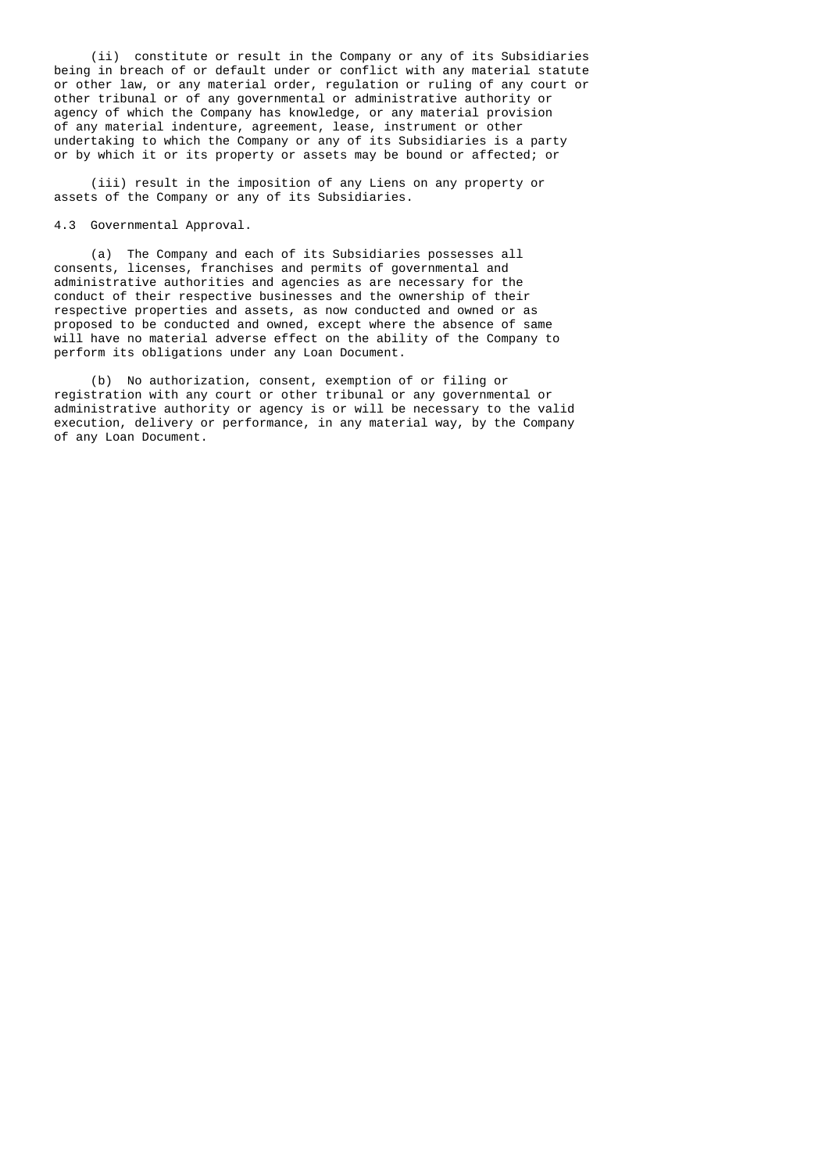(ii) constitute or result in the Company or any of its Subsidiaries being in breach of or default under or conflict with any material statute or other law, or any material order, regulation or ruling of any court or other tribunal or of any governmental or administrative authority or agency of which the Company has knowledge, or any material provision of any material indenture, agreement, lease, instrument or other undertaking to which the Company or any of its Subsidiaries is a party or by which it or its property or assets may be bound or affected; or

 (iii) result in the imposition of any Liens on any property or assets of the Company or any of its Subsidiaries.

4.3 Governmental Approval.

 (a) The Company and each of its Subsidiaries possesses all consents, licenses, franchises and permits of governmental and administrative authorities and agencies as are necessary for the conduct of their respective businesses and the ownership of their respective properties and assets, as now conducted and owned or as proposed to be conducted and owned, except where the absence of same will have no material adverse effect on the ability of the Company to perform its obligations under any Loan Document.

 (b) No authorization, consent, exemption of or filing or registration with any court or other tribunal or any governmental or administrative authority or agency is or will be necessary to the valid execution, delivery or performance, in any material way, by the Company of any Loan Document.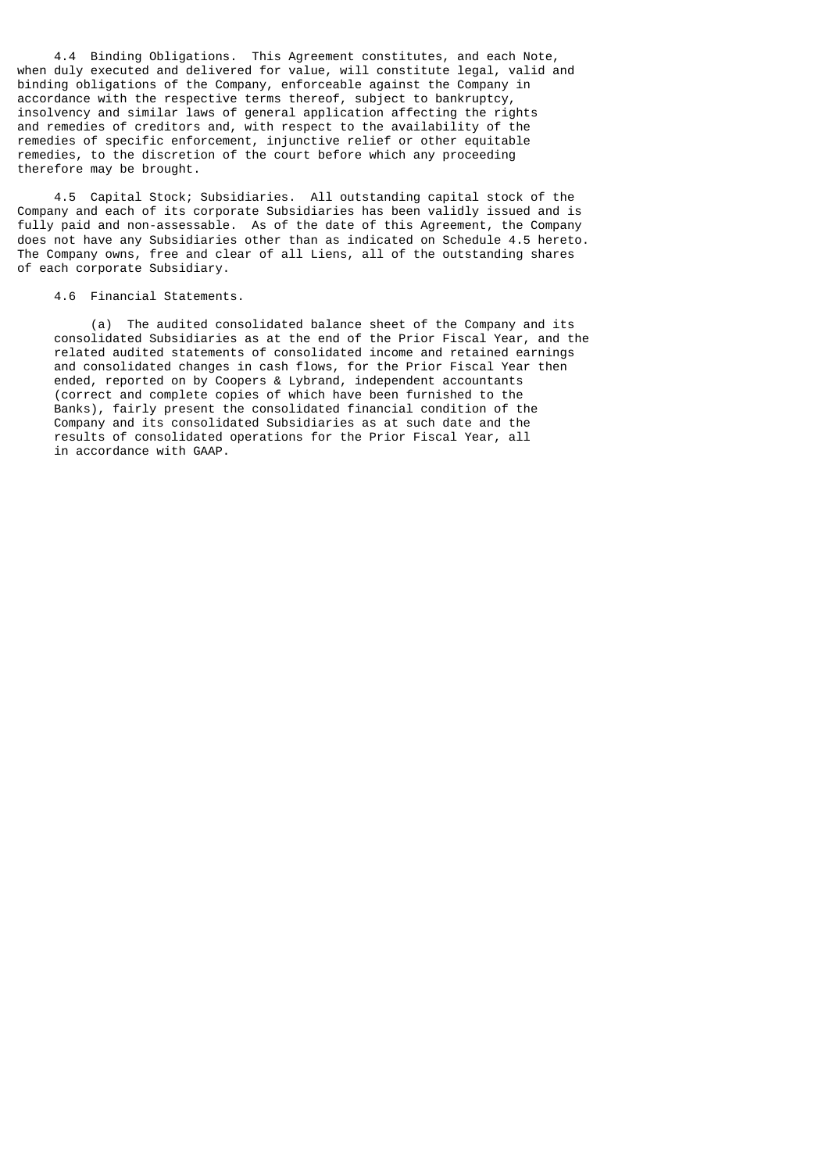4.4 Binding Obligations. This Agreement constitutes, and each Note, when duly executed and delivered for value, will constitute legal, valid and binding obligations of the Company, enforceable against the Company in accordance with the respective terms thereof, subject to bankruptcy, insolvency and similar laws of general application affecting the rights and remedies of creditors and, with respect to the availability of the remedies of specific enforcement, injunctive relief or other equitable remedies, to the discretion of the court before which any proceeding therefore may be brought.

 4.5 Capital Stock; Subsidiaries. All outstanding capital stock of the Company and each of its corporate Subsidiaries has been validly issued and is fully paid and non-assessable. As of the date of this Agreement, the Company does not have any Subsidiaries other than as indicated on Schedule 4.5 hereto. The Company owns, free and clear of all Liens, all of the outstanding shares of each corporate Subsidiary.

#### 4.6 Financial Statements.

 (a) The audited consolidated balance sheet of the Company and its consolidated Subsidiaries as at the end of the Prior Fiscal Year, and the related audited statements of consolidated income and retained earnings and consolidated changes in cash flows, for the Prior Fiscal Year then ended, reported on by Coopers & Lybrand, independent accountants (correct and complete copies of which have been furnished to the Banks), fairly present the consolidated financial condition of the Company and its consolidated Subsidiaries as at such date and the results of consolidated operations for the Prior Fiscal Year, all in accordance with GAAP.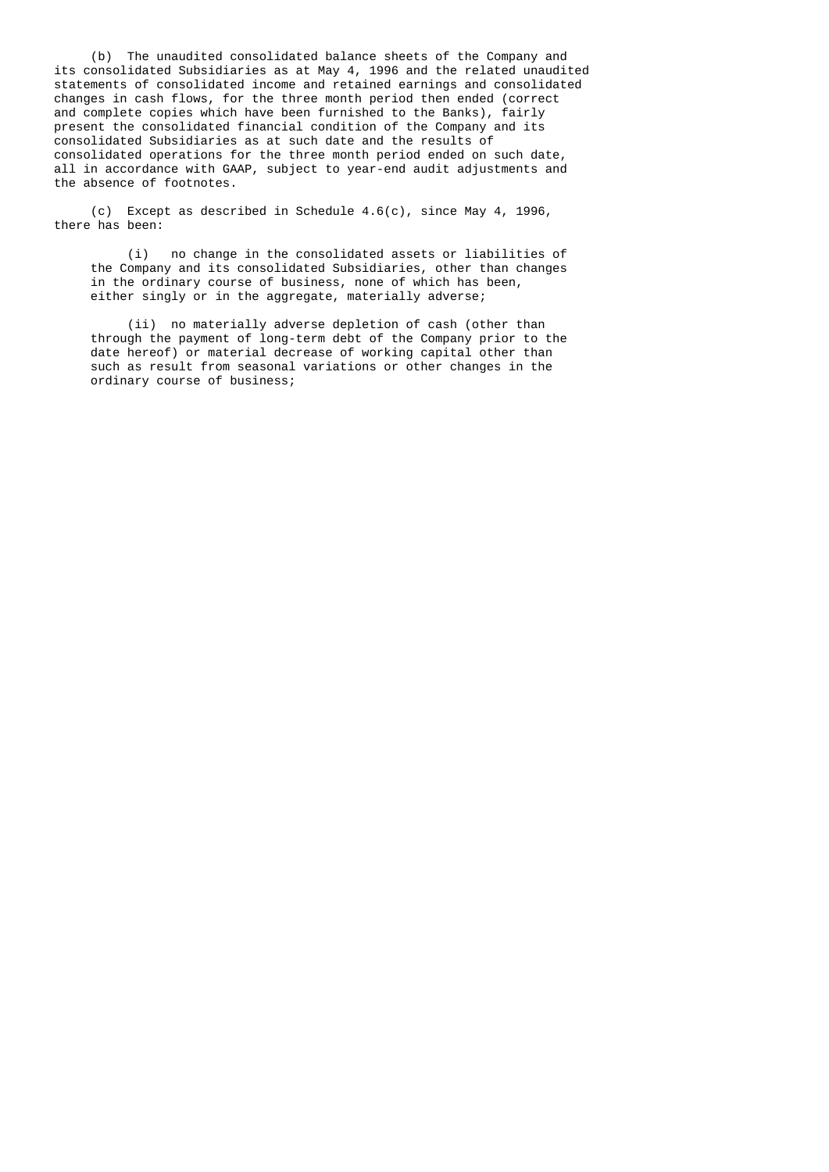(b) The unaudited consolidated balance sheets of the Company and its consolidated Subsidiaries as at May 4, 1996 and the related unaudited statements of consolidated income and retained earnings and consolidated changes in cash flows, for the three month period then ended (correct and complete copies which have been furnished to the Banks), fairly present the consolidated financial condition of the Company and its consolidated Subsidiaries as at such date and the results of consolidated operations for the three month period ended on such date, all in accordance with GAAP, subject to year-end audit adjustments and the absence of footnotes.

 (c) Except as described in Schedule 4.6(c), since May 4, 1996, there has been:

> (i) no change in the consolidated assets or liabilities of the Company and its consolidated Subsidiaries, other than changes in the ordinary course of business, none of which has been, either singly or in the aggregate, materially adverse;

> (ii) no materially adverse depletion of cash (other than through the payment of long-term debt of the Company prior to the date hereof) or material decrease of working capital other than such as result from seasonal variations or other changes in the ordinary course of business;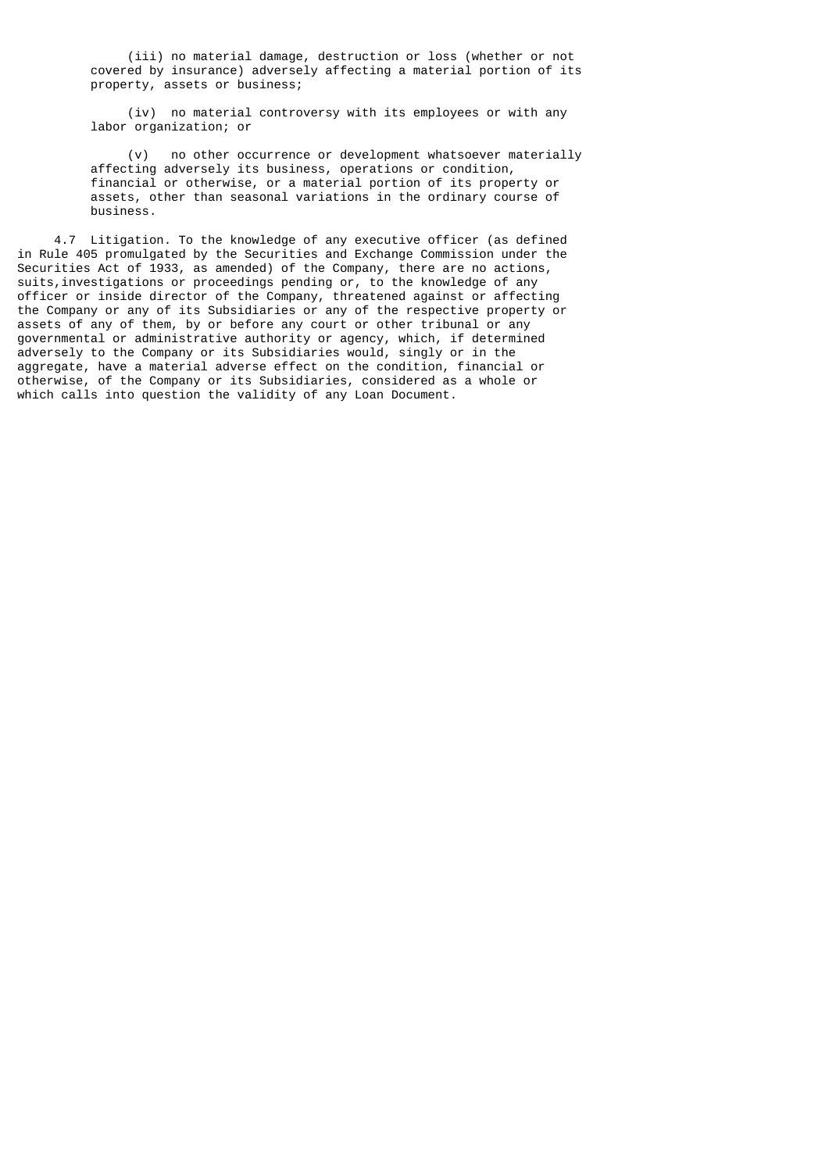(iii) no material damage, destruction or loss (whether or not covered by insurance) adversely affecting a material portion of its property, assets or business;

 (iv) no material controversy with its employees or with any labor organization; or

 (v) no other occurrence or development whatsoever materially affecting adversely its business, operations or condition, financial or otherwise, or a material portion of its property or assets, other than seasonal variations in the ordinary course of business.

 4.7 Litigation. To the knowledge of any executive officer (as defined in Rule 405 promulgated by the Securities and Exchange Commission under the Securities Act of 1933, as amended) of the Company, there are no actions, suits,investigations or proceedings pending or, to the knowledge of any officer or inside director of the Company, threatened against or affecting the Company or any of its Subsidiaries or any of the respective property or assets of any of them, by or before any court or other tribunal or any governmental or administrative authority or agency, which, if determined adversely to the Company or its Subsidiaries would, singly or in the aggregate, have a material adverse effect on the condition, financial or otherwise, of the Company or its Subsidiaries, considered as a whole or which calls into question the validity of any Loan Document.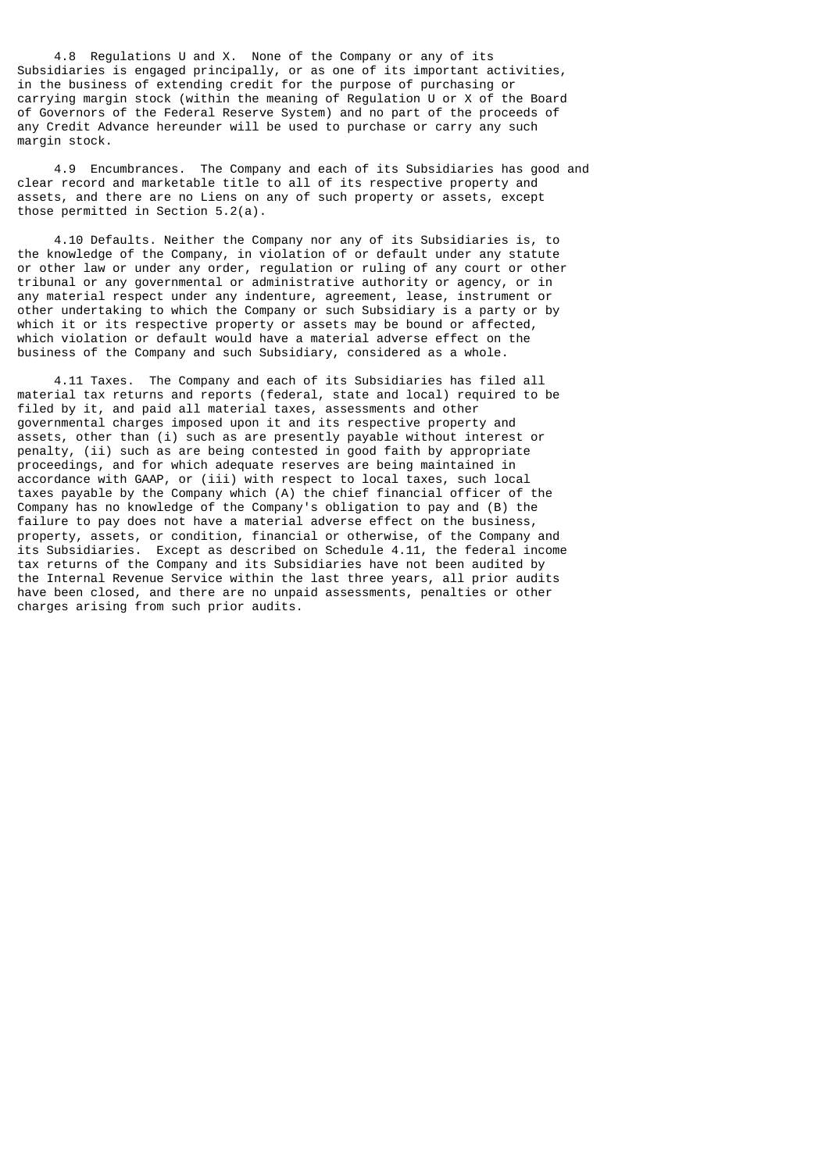4.8 Regulations U and X. None of the Company or any of its Subsidiaries is engaged principally, or as one of its important activities, in the business of extending credit for the purpose of purchasing or carrying margin stock (within the meaning of Regulation U or X of the Board of Governors of the Federal Reserve System) and no part of the proceeds of any Credit Advance hereunder will be used to purchase or carry any such margin stock.

 4.9 Encumbrances. The Company and each of its Subsidiaries has good and clear record and marketable title to all of its respective property and assets, and there are no Liens on any of such property or assets, except those permitted in Section 5.2(a).

 4.10 Defaults. Neither the Company nor any of its Subsidiaries is, to the knowledge of the Company, in violation of or default under any statute or other law or under any order, regulation or ruling of any court or other tribunal or any governmental or administrative authority or agency, or in any material respect under any indenture, agreement, lease, instrument or other undertaking to which the Company or such Subsidiary is a party or by which it or its respective property or assets may be bound or affected, which violation or default would have a material adverse effect on the business of the Company and such Subsidiary, considered as a whole.

 4.11 Taxes. The Company and each of its Subsidiaries has filed all material tax returns and reports (federal, state and local) required to be filed by it, and paid all material taxes, assessments and other governmental charges imposed upon it and its respective property and assets, other than (i) such as are presently payable without interest or penalty, (ii) such as are being contested in good faith by appropriate proceedings, and for which adequate reserves are being maintained in accordance with GAAP, or (iii) with respect to local taxes, such local taxes payable by the Company which (A) the chief financial officer of the Company has no knowledge of the Company's obligation to pay and (B) the failure to pay does not have a material adverse effect on the business, property, assets, or condition, financial or otherwise, of the Company and its Subsidiaries. Except as described on Schedule 4.11, the federal income tax returns of the Company and its Subsidiaries have not been audited by the Internal Revenue Service within the last three years, all prior audits have been closed, and there are no unpaid assessments, penalties or other charges arising from such prior audits.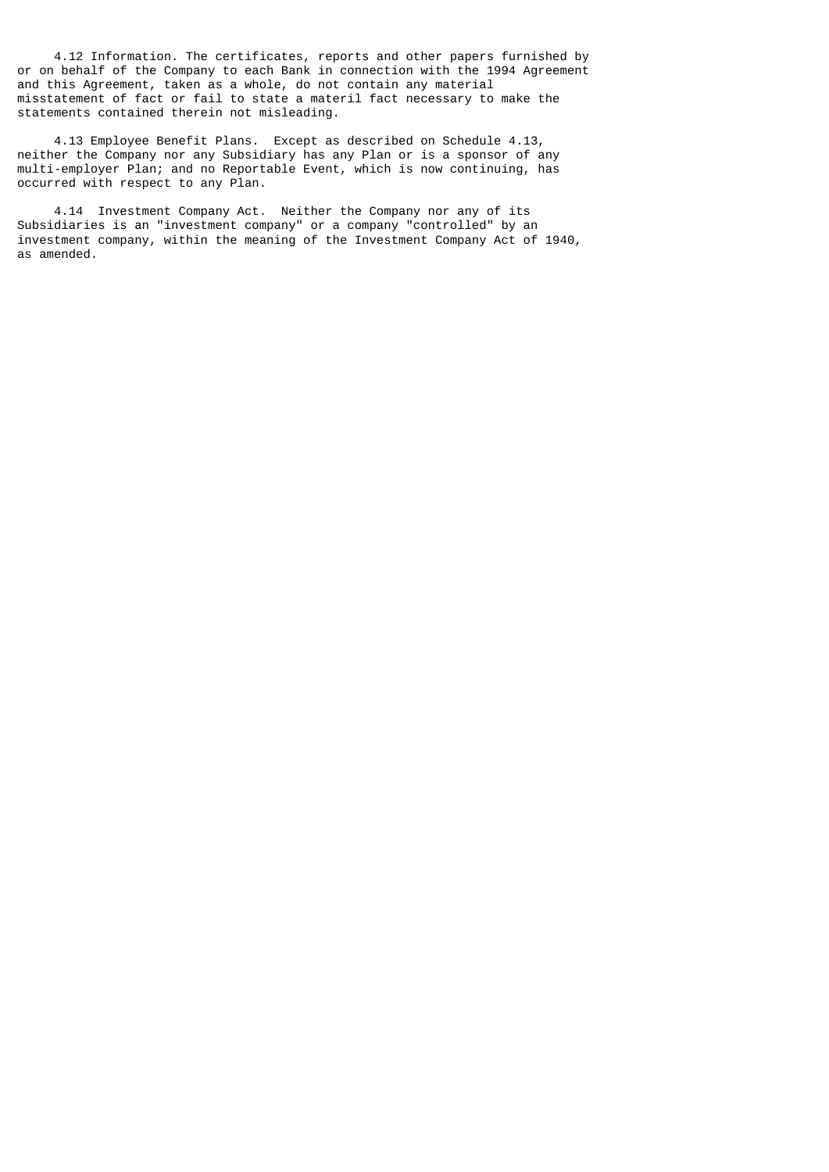4.12 Information. The certificates, reports and other papers furnished by or on behalf of the Company to each Bank in connection with the 1994 Agreement and this Agreement, taken as a whole, do not contain any material misstatement of fact or fail to state a materil fact necessary to make the statements contained therein not misleading.

 4.13 Employee Benefit Plans. Except as described on Schedule 4.13, neither the Company nor any Subsidiary has any Plan or is a sponsor of any multi-employer Plan; and no Reportable Event, which is now continuing, has occurred with respect to any Plan.

 4.14 Investment Company Act. Neither the Company nor any of its Subsidiaries is an "investment company" or a company "controlled" by an investment company, within the meaning of the Investment Company Act of 1940, as amended.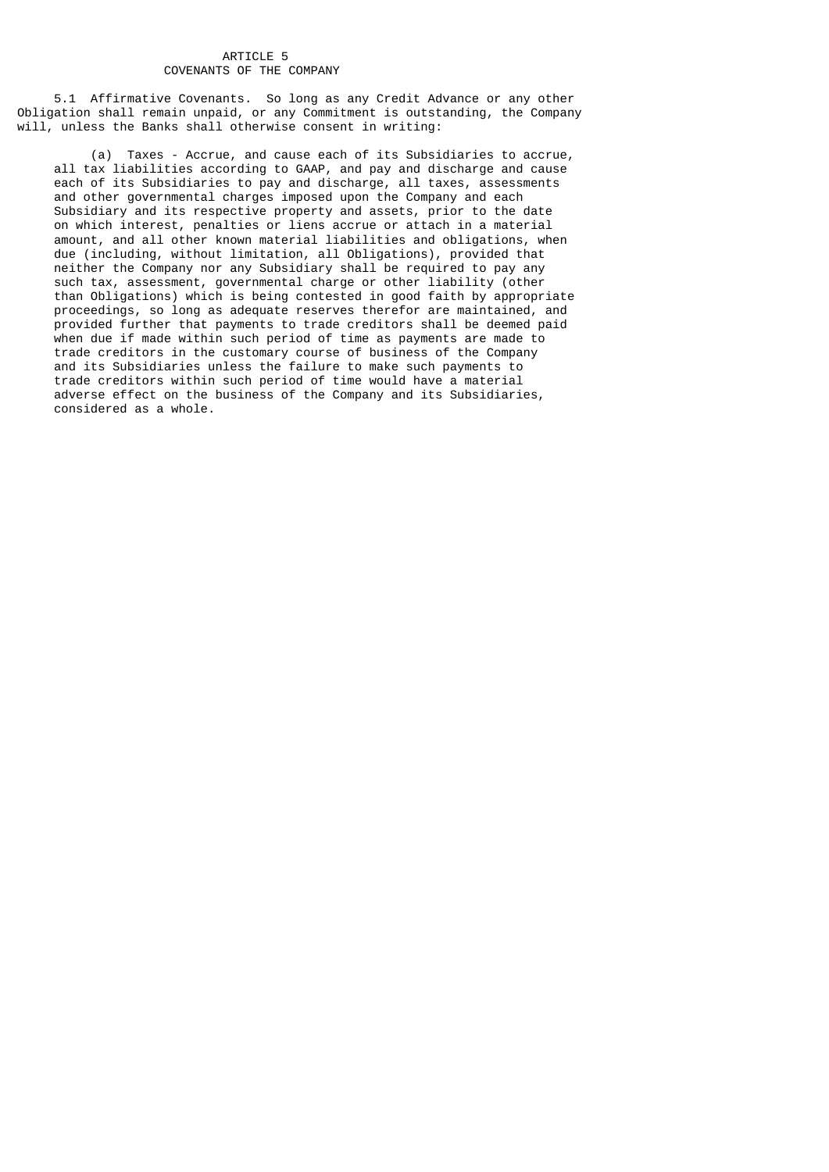### ARTICLE 5 COVENANTS OF THE COMPANY

 5.1 Affirmative Covenants. So long as any Credit Advance or any other Obligation shall remain unpaid, or any Commitment is outstanding, the Company will, unless the Banks shall otherwise consent in writing:

 (a) Taxes - Accrue, and cause each of its Subsidiaries to accrue, all tax liabilities according to GAAP, and pay and discharge and cause each of its Subsidiaries to pay and discharge, all taxes, assessments and other governmental charges imposed upon the Company and each Subsidiary and its respective property and assets, prior to the date on which interest, penalties or liens accrue or attach in a material amount, and all other known material liabilities and obligations, when due (including, without limitation, all Obligations), provided that neither the Company nor any Subsidiary shall be required to pay any such tax, assessment, governmental charge or other liability (other than Obligations) which is being contested in good faith by appropriate proceedings, so long as adequate reserves therefor are maintained, and provided further that payments to trade creditors shall be deemed paid when due if made within such period of time as payments are made to trade creditors in the customary course of business of the Company and its Subsidiaries unless the failure to make such payments to trade creditors within such period of time would have a material adverse effect on the business of the Company and its Subsidiaries, considered as a whole.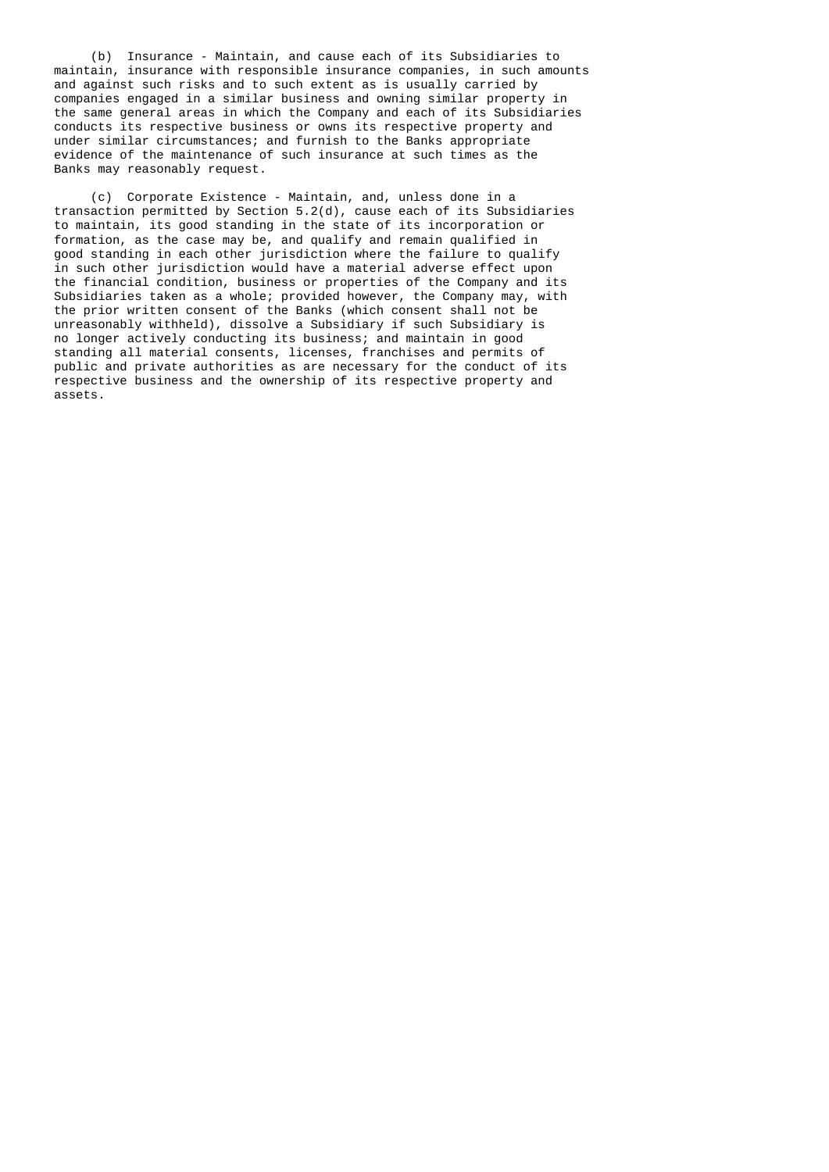(b) Insurance - Maintain, and cause each of its Subsidiaries to maintain, insurance with responsible insurance companies, in such amounts and against such risks and to such extent as is usually carried by companies engaged in a similar business and owning similar property in the same general areas in which the Company and each of its Subsidiaries conducts its respective business or owns its respective property and under similar circumstances; and furnish to the Banks appropriate evidence of the maintenance of such insurance at such times as the Banks may reasonably request.

 (c) Corporate Existence - Maintain, and, unless done in a transaction permitted by Section 5.2(d), cause each of its Subsidiaries to maintain, its good standing in the state of its incorporation or formation, as the case may be, and qualify and remain qualified in good standing in each other jurisdiction where the failure to qualify in such other jurisdiction would have a material adverse effect upon the financial condition, business or properties of the Company and its Subsidiaries taken as a whole; provided however, the Company may, with the prior written consent of the Banks (which consent shall not be unreasonably withheld), dissolve a Subsidiary if such Subsidiary is no longer actively conducting its business; and maintain in good standing all material consents, licenses, franchises and permits of public and private authorities as are necessary for the conduct of its respective business and the ownership of its respective property and assets.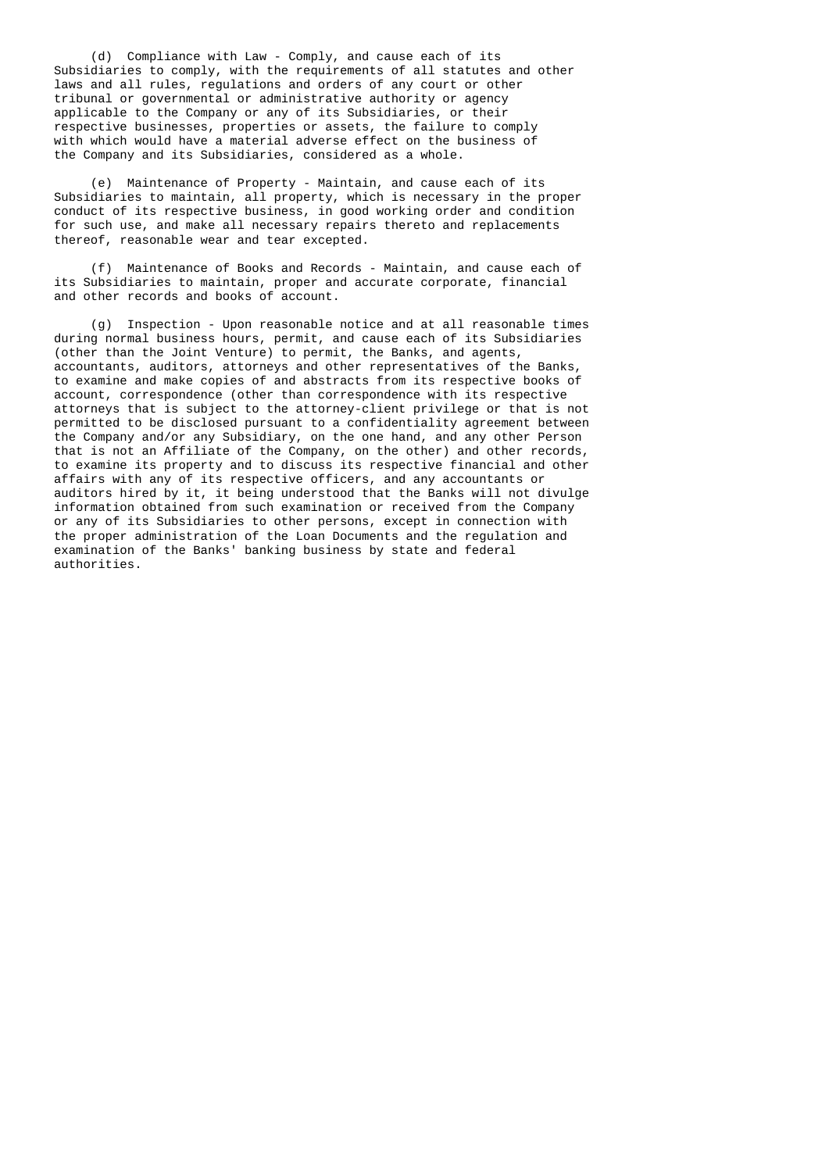(d) Compliance with Law - Comply, and cause each of its Subsidiaries to comply, with the requirements of all statutes and other laws and all rules, regulations and orders of any court or other tribunal or governmental or administrative authority or agency applicable to the Company or any of its Subsidiaries, or their respective businesses, properties or assets, the failure to comply with which would have a material adverse effect on the business of the Company and its Subsidiaries, considered as a whole.

 (e) Maintenance of Property - Maintain, and cause each of its Subsidiaries to maintain, all property, which is necessary in the proper conduct of its respective business, in good working order and condition for such use, and make all necessary repairs thereto and replacements thereof, reasonable wear and tear excepted.

 (f) Maintenance of Books and Records - Maintain, and cause each of its Subsidiaries to maintain, proper and accurate corporate, financial and other records and books of account.

 (g) Inspection - Upon reasonable notice and at all reasonable times during normal business hours, permit, and cause each of its Subsidiaries (other than the Joint Venture) to permit, the Banks, and agents, accountants, auditors, attorneys and other representatives of the Banks, to examine and make copies of and abstracts from its respective books of account, correspondence (other than correspondence with its respective attorneys that is subject to the attorney-client privilege or that is not permitted to be disclosed pursuant to a confidentiality agreement between the Company and/or any Subsidiary, on the one hand, and any other Person that is not an Affiliate of the Company, on the other) and other records, to examine its property and to discuss its respective financial and other affairs with any of its respective officers, and any accountants or auditors hired by it, it being understood that the Banks will not divulge information obtained from such examination or received from the Company or any of its Subsidiaries to other persons, except in connection with the proper administration of the Loan Documents and the regulation and examination of the Banks' banking business by state and federal authorities.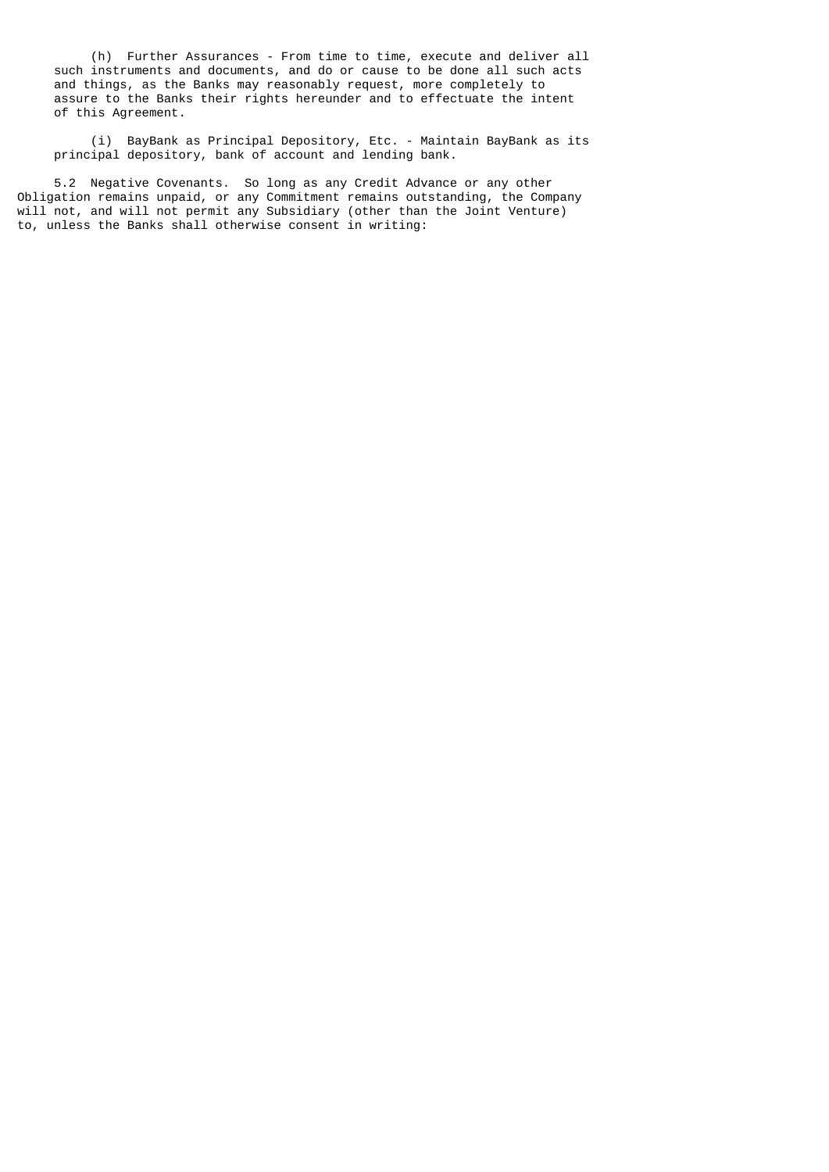(h) Further Assurances - From time to time, execute and deliver all such instruments and documents, and do or cause to be done all such acts and things, as the Banks may reasonably request, more completely to assure to the Banks their rights hereunder and to effectuate the intent of this Agreement.

 (i) BayBank as Principal Depository, Etc. - Maintain BayBank as its principal depository, bank of account and lending bank.

 5.2 Negative Covenants. So long as any Credit Advance or any other Obligation remains unpaid, or any Commitment remains outstanding, the Company will not, and will not permit any Subsidiary (other than the Joint Venture) to, unless the Banks shall otherwise consent in writing: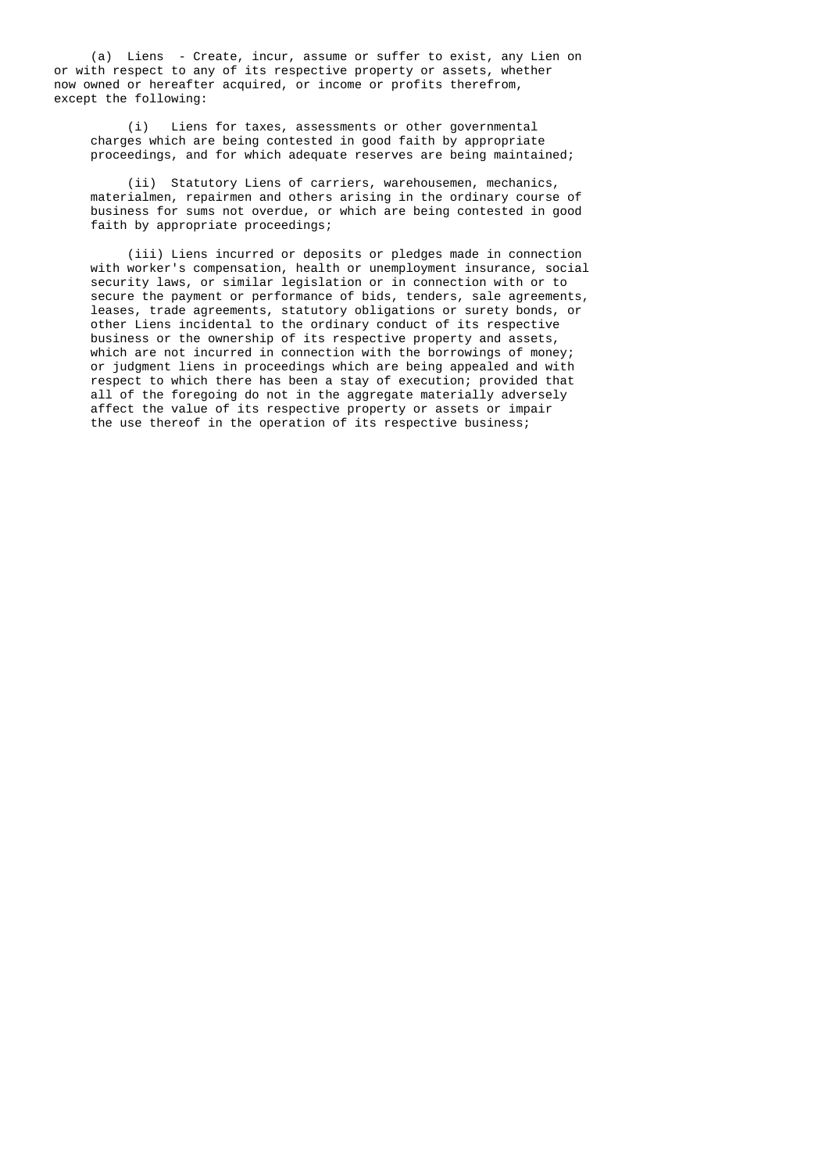(a) Liens - Create, incur, assume or suffer to exist, any Lien on or with respect to any of its respective property or assets, whether now owned or hereafter acquired, or income or profits therefrom, except the following:

> (i) Liens for taxes, assessments or other governmental charges which are being contested in good faith by appropriate proceedings, and for which adequate reserves are being maintained;

 (ii) Statutory Liens of carriers, warehousemen, mechanics, materialmen, repairmen and others arising in the ordinary course of business for sums not overdue, or which are being contested in good faith by appropriate proceedings;

 (iii) Liens incurred or deposits or pledges made in connection with worker's compensation, health or unemployment insurance, social security laws, or similar legislation or in connection with or to secure the payment or performance of bids, tenders, sale agreements, leases, trade agreements, statutory obligations or surety bonds, or other Liens incidental to the ordinary conduct of its respective business or the ownership of its respective property and assets, which are not incurred in connection with the borrowings of money; or judgment liens in proceedings which are being appealed and with respect to which there has been a stay of execution; provided that all of the foregoing do not in the aggregate materially adversely affect the value of its respective property or assets or impair the use thereof in the operation of its respective business;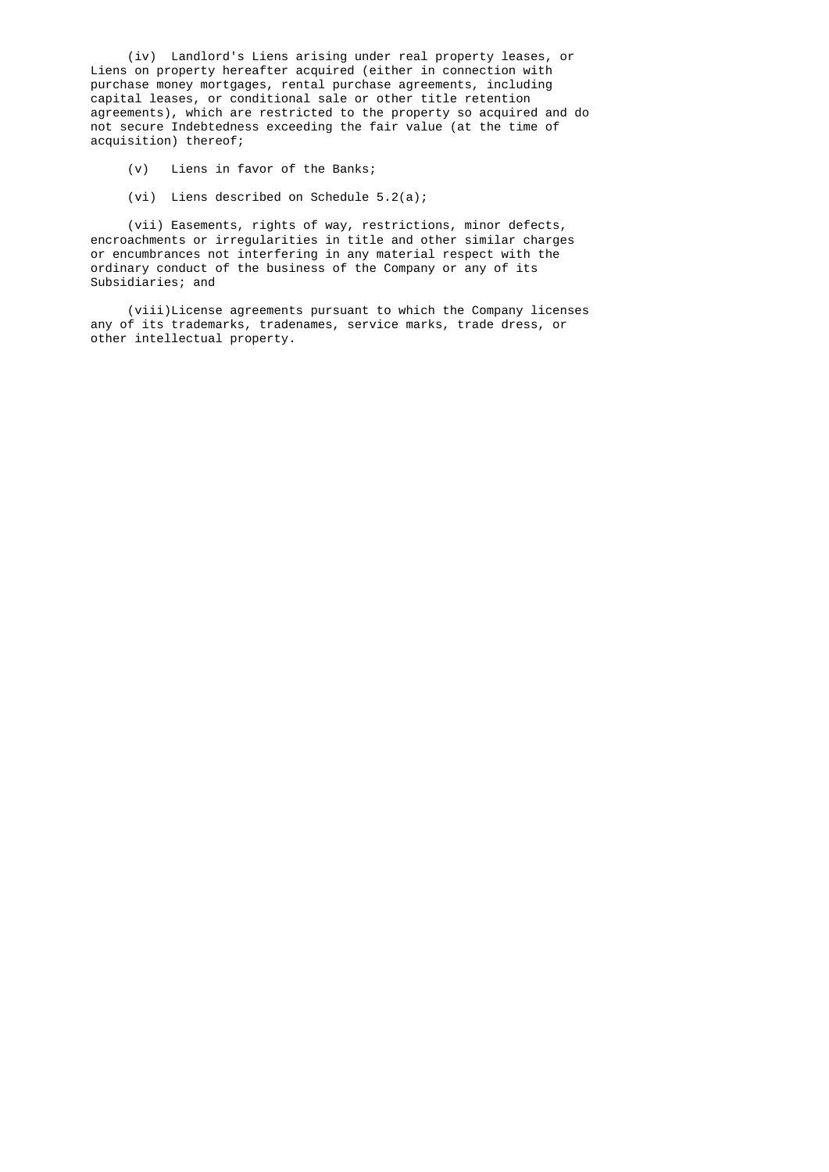(iv) Landlord's Liens arising under real property leases, or Liens on property hereafter acquired (either in connection with purchase money mortgages, rental purchase agreements, including capital leases, or conditional sale or other title retention agreements), which are restricted to the property so acquired and do not secure Indebtedness exceeding the fair value (at the time of acquisition) thereof;

- (v) Liens in favor of the Banks;
- (vi) Liens described on Schedule 5.2(a);

 (vii) Easements, rights of way, restrictions, minor defects, encroachments or irregularities in title and other similar charges or encumbrances not interfering in any material respect with the ordinary conduct of the business of the Company or any of its Subsidiaries; and

 (viii)License agreements pursuant to which the Company licenses any of its trademarks, tradenames, service marks, trade dress, or other intellectual property.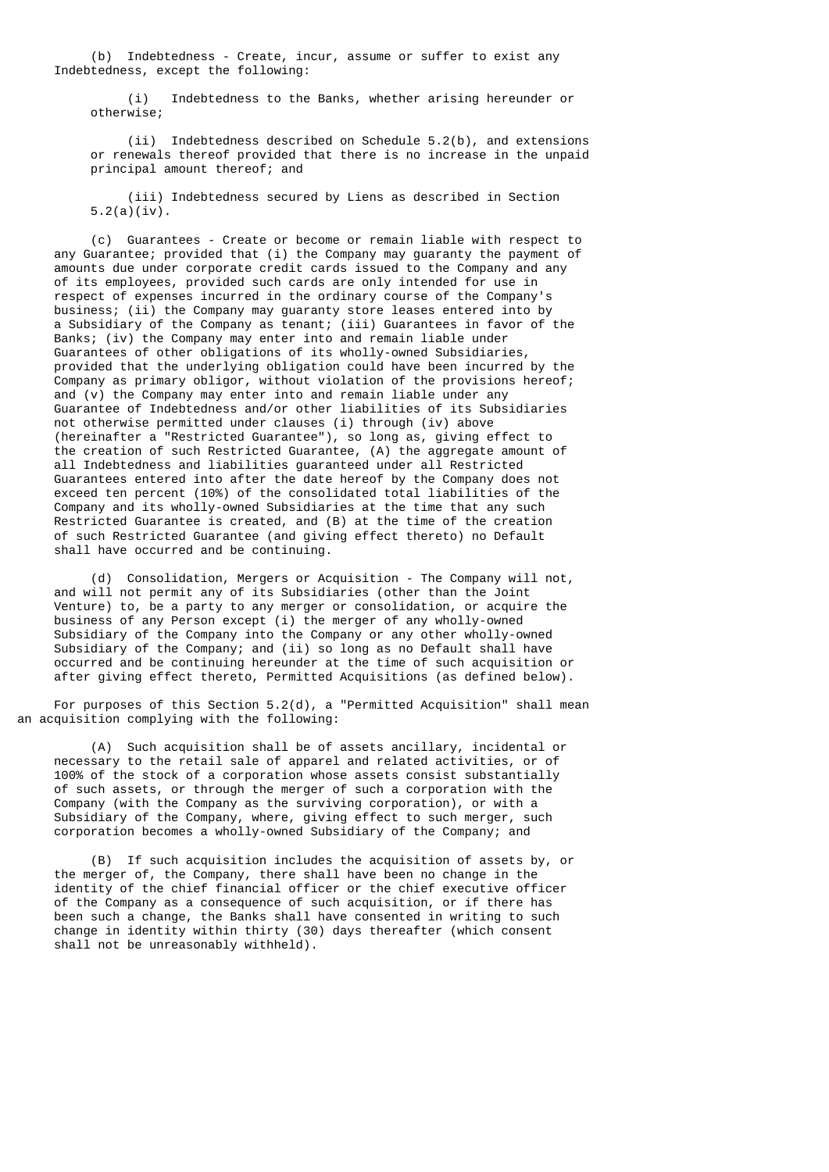(b) Indebtedness - Create, incur, assume or suffer to exist any Indebtedness, except the following:

 (i) Indebtedness to the Banks, whether arising hereunder or otherwise;

 (ii) Indebtedness described on Schedule 5.2(b), and extensions or renewals thereof provided that there is no increase in the unpaid principal amount thereof; and

 (iii) Indebtedness secured by Liens as described in Section  $5.2(a)(iv)$ .

 (c) Guarantees - Create or become or remain liable with respect to any Guarantee; provided that (i) the Company may guaranty the payment of amounts due under corporate credit cards issued to the Company and any of its employees, provided such cards are only intended for use in respect of expenses incurred in the ordinary course of the Company's business; (ii) the Company may guaranty store leases entered into by a Subsidiary of the Company as tenant; (iii) Guarantees in favor of the Banks; (iv) the Company may enter into and remain liable under Guarantees of other obligations of its wholly-owned Subsidiaries, provided that the underlying obligation could have been incurred by the Company as primary obligor, without violation of the provisions hereof; and (v) the Company may enter into and remain liable under any Guarantee of Indebtedness and/or other liabilities of its Subsidiaries not otherwise permitted under clauses (i) through (iv) above (hereinafter a "Restricted Guarantee"), so long as, giving effect to the creation of such Restricted Guarantee, (A) the aggregate amount of all Indebtedness and liabilities guaranteed under all Restricted Guarantees entered into after the date hereof by the Company does not exceed ten percent (10%) of the consolidated total liabilities of the Company and its wholly-owned Subsidiaries at the time that any such Restricted Guarantee is created, and (B) at the time of the creation of such Restricted Guarantee (and giving effect thereto) no Default shall have occurred and be continuing.

 (d) Consolidation, Mergers or Acquisition - The Company will not, and will not permit any of its Subsidiaries (other than the Joint Venture) to, be a party to any merger or consolidation, or acquire the business of any Person except (i) the merger of any wholly-owned Subsidiary of the Company into the Company or any other wholly-owned Subsidiary of the Company; and (ii) so long as no Default shall have occurred and be continuing hereunder at the time of such acquisition or after giving effect thereto, Permitted Acquisitions (as defined below).

For purposes of this Section  $5.2(d)$ , a "Permitted Acquisition" shall mean an acquisition complying with the following:

 (A) Such acquisition shall be of assets ancillary, incidental or necessary to the retail sale of apparel and related activities, or of 100% of the stock of a corporation whose assets consist substantially of such assets, or through the merger of such a corporation with the Company (with the Company as the surviving corporation), or with a Subsidiary of the Company, where, giving effect to such merger, such corporation becomes a wholly-owned Subsidiary of the Company; and

 (B) If such acquisition includes the acquisition of assets by, or the merger of, the Company, there shall have been no change in the identity of the chief financial officer or the chief executive officer of the Company as a consequence of such acquisition, or if there has been such a change, the Banks shall have consented in writing to such change in identity within thirty (30) days thereafter (which consent shall not be unreasonably withheld).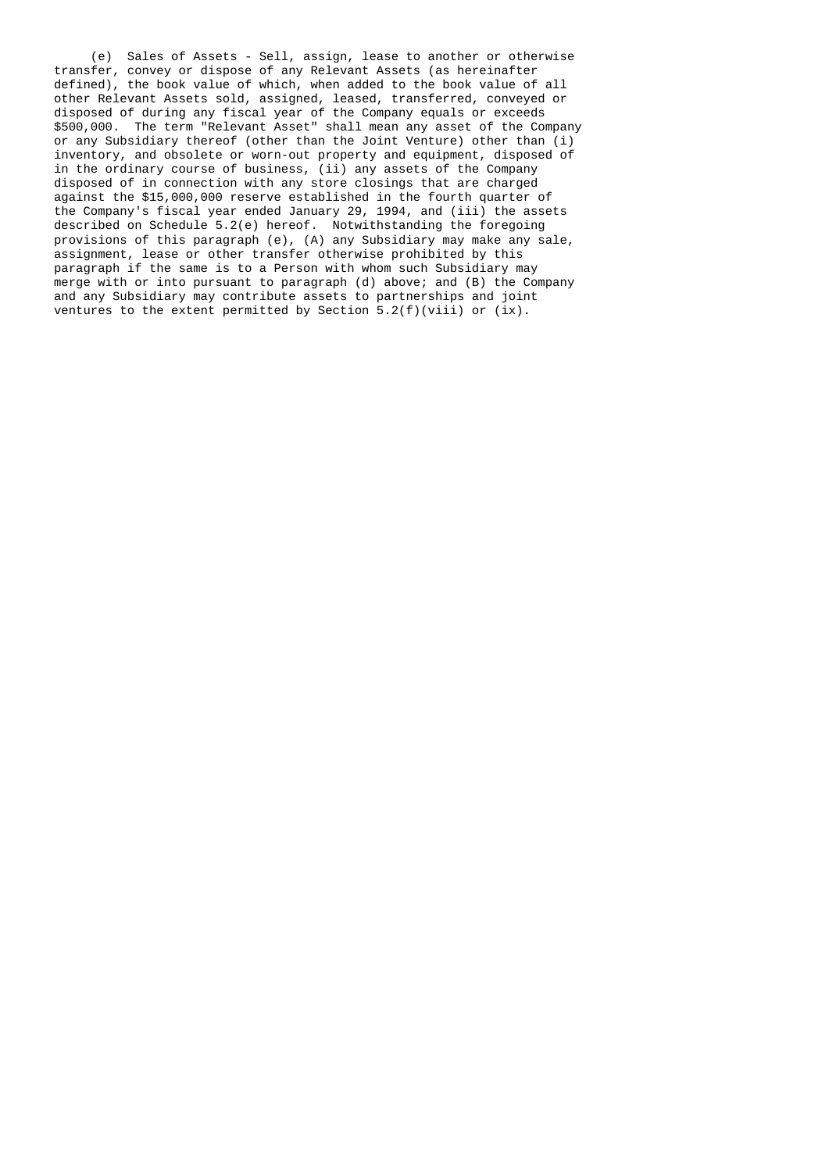(e) Sales of Assets - Sell, assign, lease to another or otherwise transfer, convey or dispose of any Relevant Assets (as hereinafter defined), the book value of which, when added to the book value of all other Relevant Assets sold, assigned, leased, transferred, conveyed or disposed of during any fiscal year of the Company equals or exceeds \$500,000. The term "Relevant Asset" shall mean any asset of the Company or any Subsidiary thereof (other than the Joint Venture) other than (i) inventory, and obsolete or worn-out property and equipment, disposed of in the ordinary course of business, (ii) any assets of the Company disposed of in connection with any store closings that are charged against the \$15,000,000 reserve established in the fourth quarter of the Company's fiscal year ended January 29, 1994, and (iii) the assets described on Schedule 5.2(e) hereof. Notwithstanding the foregoing provisions of this paragraph (e), (A) any Subsidiary may make any sale, assignment, lease or other transfer otherwise prohibited by this paragraph if the same is to a Person with whom such Subsidiary may merge with or into pursuant to paragraph (d) above; and (B) the Company and any Subsidiary may contribute assets to partnerships and joint ventures to the extent permitted by Section  $5.2(f)(viii)$  or  $(ix)$ .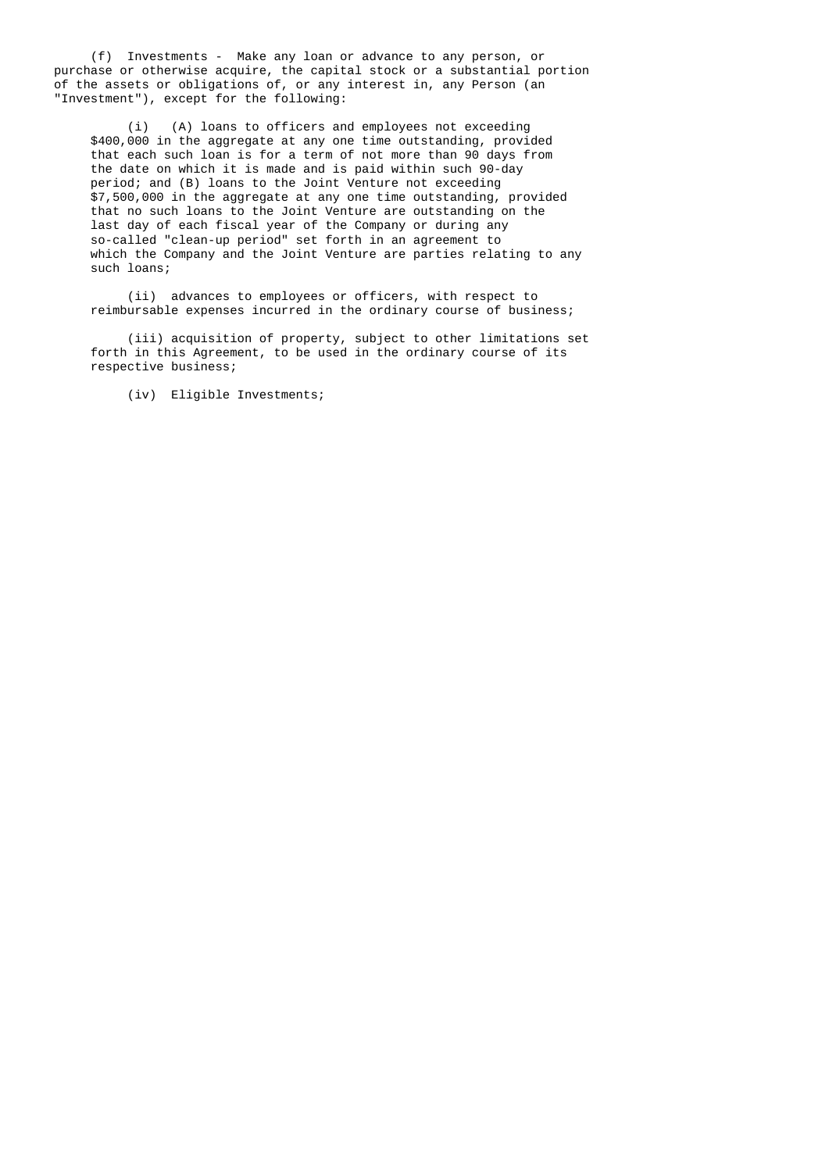(f) Investments - Make any loan or advance to any person, or purchase or otherwise acquire, the capital stock or a substantial portion of the assets or obligations of, or any interest in, any Person (an "Investment"), except for the following:

 (i) (A) loans to officers and employees not exceeding \$400,000 in the aggregate at any one time outstanding, provided that each such loan is for a term of not more than 90 days from the date on which it is made and is paid within such 90-day period; and (B) loans to the Joint Venture not exceeding \$7,500,000 in the aggregate at any one time outstanding, provided that no such loans to the Joint Venture are outstanding on the last day of each fiscal year of the Company or during any so-called "clean-up period" set forth in an agreement to which the Company and the Joint Venture are parties relating to any such loans;

> (ii) advances to employees or officers, with respect to reimbursable expenses incurred in the ordinary course of business;

 (iii) acquisition of property, subject to other limitations set forth in this Agreement, to be used in the ordinary course of its respective business;

(iv) Eligible Investments;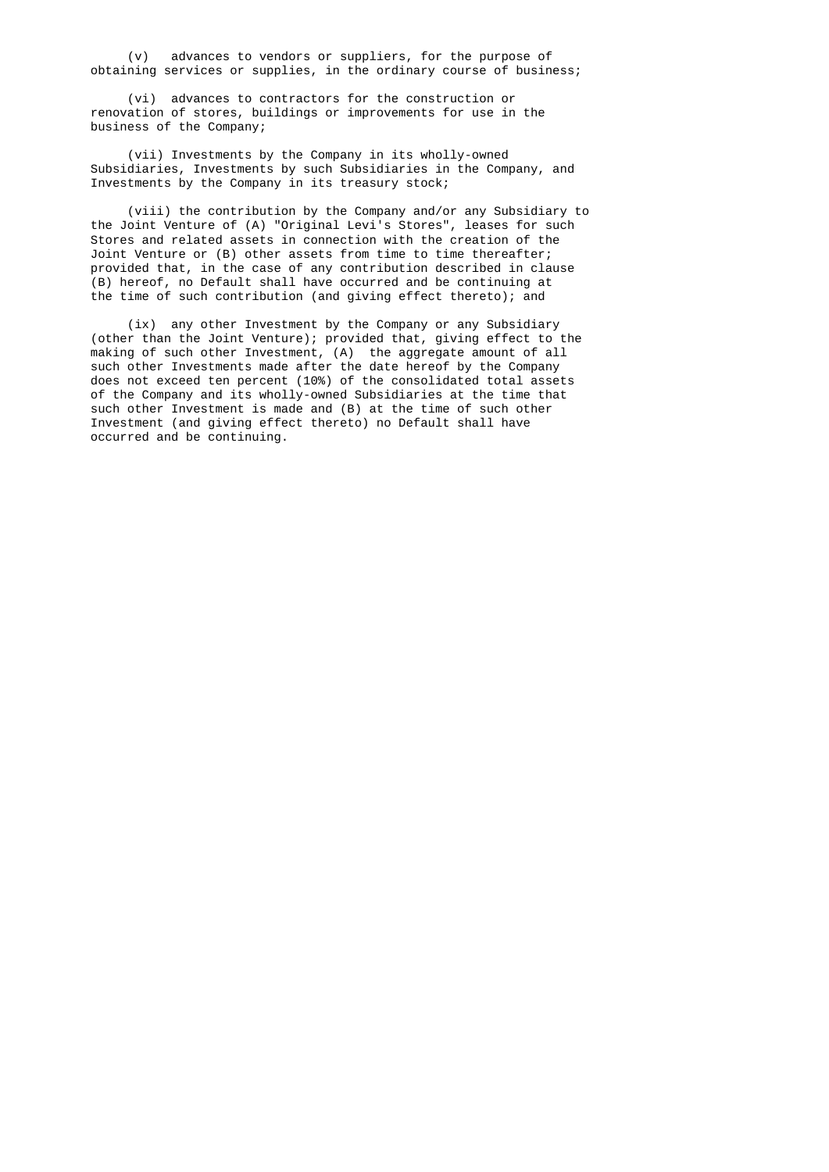(v) advances to vendors or suppliers, for the purpose of obtaining services or supplies, in the ordinary course of business;

 (vi) advances to contractors for the construction or renovation of stores, buildings or improvements for use in the business of the Company;

 (vii) Investments by the Company in its wholly-owned Subsidiaries, Investments by such Subsidiaries in the Company, and Investments by the Company in its treasury stock;

 (viii) the contribution by the Company and/or any Subsidiary to the Joint Venture of (A) "Original Levi's Stores", leases for such Stores and related assets in connection with the creation of the Joint Venture or (B) other assets from time to time thereafter; provided that, in the case of any contribution described in clause (B) hereof, no Default shall have occurred and be continuing at the time of such contribution (and giving effect thereto); and

 (ix) any other Investment by the Company or any Subsidiary (other than the Joint Venture); provided that, giving effect to the making of such other Investment, (A) the aggregate amount of all such other Investments made after the date hereof by the Company does not exceed ten percent (10%) of the consolidated total assets of the Company and its wholly-owned Subsidiaries at the time that such other Investment is made and (B) at the time of such other Investment (and giving effect thereto) no Default shall have occurred and be continuing.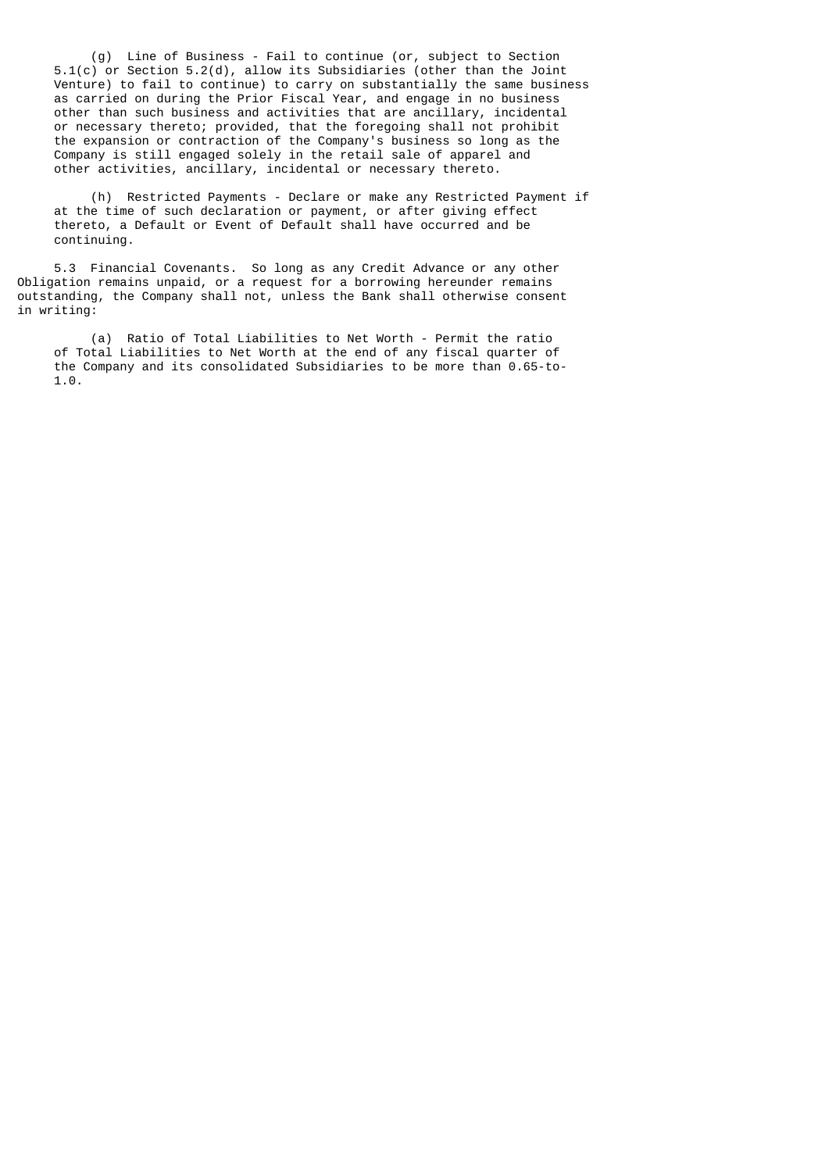(g) Line of Business - Fail to continue (or, subject to Section 5.1(c) or Section 5.2(d), allow its Subsidiaries (other than the Joint Venture) to fail to continue) to carry on substantially the same business as carried on during the Prior Fiscal Year, and engage in no business other than such business and activities that are ancillary, incidental or necessary thereto; provided, that the foregoing shall not prohibit the expansion or contraction of the Company's business so long as the Company is still engaged solely in the retail sale of apparel and other activities, ancillary, incidental or necessary thereto.

 (h) Restricted Payments - Declare or make any Restricted Payment if at the time of such declaration or payment, or after giving effect thereto, a Default or Event of Default shall have occurred and be continuing.

 5.3 Financial Covenants. So long as any Credit Advance or any other Obligation remains unpaid, or a request for a borrowing hereunder remains outstanding, the Company shall not, unless the Bank shall otherwise consent in writing:

 (a) Ratio of Total Liabilities to Net Worth - Permit the ratio of Total Liabilities to Net Worth at the end of any fiscal quarter of the Company and its consolidated Subsidiaries to be more than 0.65-to- 1.0.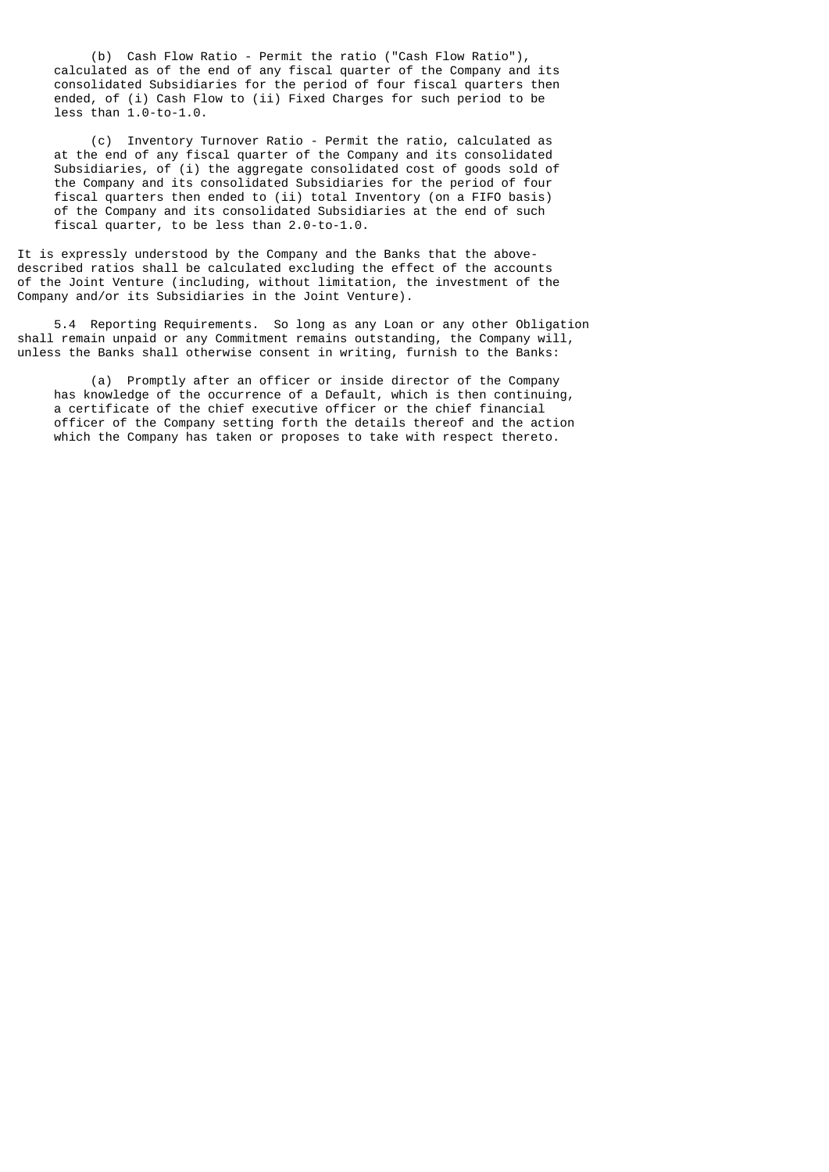(b) Cash Flow Ratio - Permit the ratio ("Cash Flow Ratio"), calculated as of the end of any fiscal quarter of the Company and its consolidated Subsidiaries for the period of four fiscal quarters then ended, of (i) Cash Flow to (ii) Fixed Charges for such period to be less than 1.0-to-1.0.

 (c) Inventory Turnover Ratio - Permit the ratio, calculated as at the end of any fiscal quarter of the Company and its consolidated Subsidiaries, of (i) the aggregate consolidated cost of goods sold of the Company and its consolidated Subsidiaries for the period of four fiscal quarters then ended to (ii) total Inventory (on a FIFO basis) of the Company and its consolidated Subsidiaries at the end of such fiscal quarter, to be less than 2.0-to-1.0.

It is expressly understood by the Company and the Banks that the abovedescribed ratios shall be calculated excluding the effect of the accounts of the Joint Venture (including, without limitation, the investment of the Company and/or its Subsidiaries in the Joint Venture).

 5.4 Reporting Requirements. So long as any Loan or any other Obligation shall remain unpaid or any Commitment remains outstanding, the Company will, unless the Banks shall otherwise consent in writing, furnish to the Banks:

 (a) Promptly after an officer or inside director of the Company has knowledge of the occurrence of a Default, which is then continuing, a certificate of the chief executive officer or the chief financial officer of the Company setting forth the details thereof and the action which the Company has taken or proposes to take with respect thereto.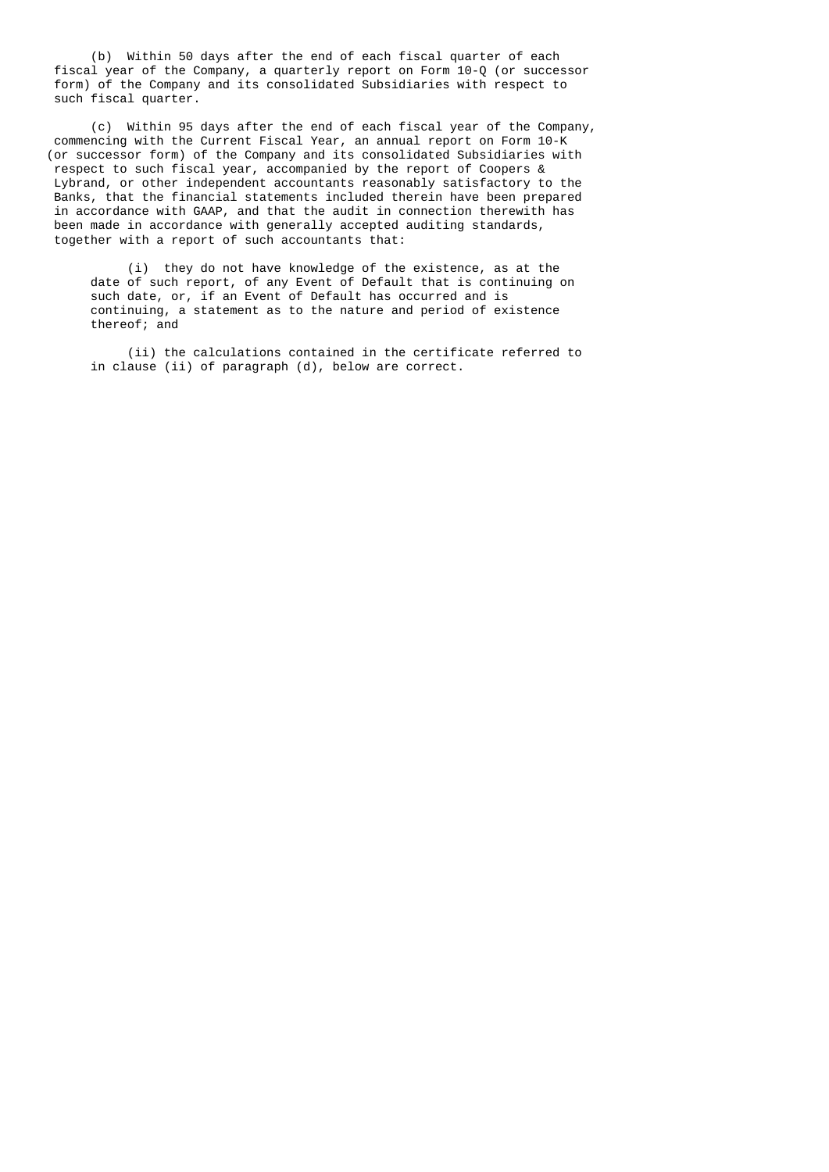(b) Within 50 days after the end of each fiscal quarter of each fiscal year of the Company, a quarterly report on Form 10-Q (or successor form) of the Company and its consolidated Subsidiaries with respect to such fiscal quarter.

 (c) Within 95 days after the end of each fiscal year of the Company, commencing with the Current Fiscal Year, an annual report on Form 10-K (or successor form) of the Company and its consolidated Subsidiaries with respect to such fiscal year, accompanied by the report of Coopers & Lybrand, or other independent accountants reasonably satisfactory to the Banks, that the financial statements included therein have been prepared in accordance with GAAP, and that the audit in connection therewith has been made in accordance with generally accepted auditing standards, together with a report of such accountants that:

> (i) they do not have knowledge of the existence, as at the date of such report, of any Event of Default that is continuing on such date, or, if an Event of Default has occurred and is continuing, a statement as to the nature and period of existence thereof; and

 (ii) the calculations contained in the certificate referred to in clause (ii) of paragraph (d), below are correct.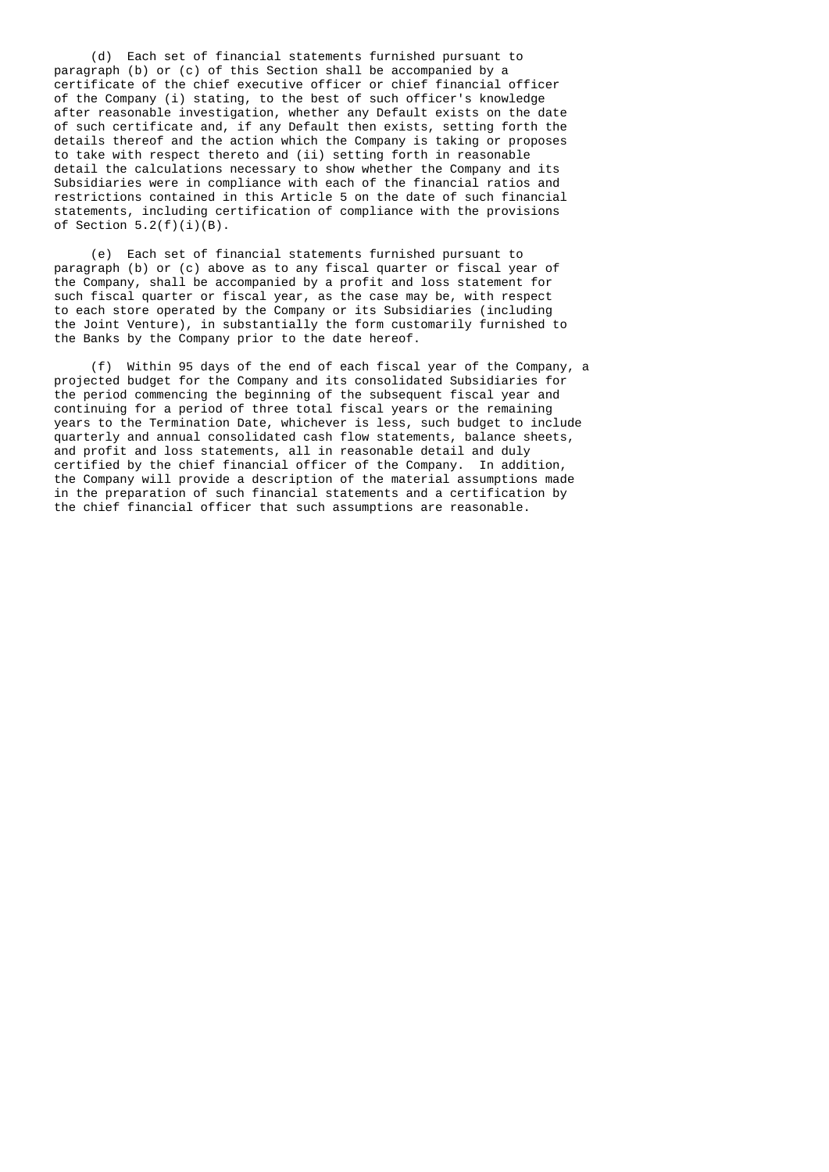(d) Each set of financial statements furnished pursuant to paragraph (b) or (c) of this Section shall be accompanied by a certificate of the chief executive officer or chief financial officer of the Company (i) stating, to the best of such officer's knowledge after reasonable investigation, whether any Default exists on the date of such certificate and, if any Default then exists, setting forth the details thereof and the action which the Company is taking or proposes to take with respect thereto and (ii) setting forth in reasonable detail the calculations necessary to show whether the Company and its Subsidiaries were in compliance with each of the financial ratios and restrictions contained in this Article 5 on the date of such financial statements, including certification of compliance with the provisions of Section  $5.2(f)(i)(B)$ .

 (e) Each set of financial statements furnished pursuant to paragraph (b) or (c) above as to any fiscal quarter or fiscal year of the Company, shall be accompanied by a profit and loss statement for such fiscal quarter or fiscal year, as the case may be, with respect to each store operated by the Company or its Subsidiaries (including the Joint Venture), in substantially the form customarily furnished to the Banks by the Company prior to the date hereof.

 (f) Within 95 days of the end of each fiscal year of the Company, a projected budget for the Company and its consolidated Subsidiaries for the period commencing the beginning of the subsequent fiscal year and continuing for a period of three total fiscal years or the remaining years to the Termination Date, whichever is less, such budget to include quarterly and annual consolidated cash flow statements, balance sheets, and profit and loss statements, all in reasonable detail and duly certified by the chief financial officer of the Company. In addition, the Company will provide a description of the material assumptions made in the preparation of such financial statements and a certification by the chief financial officer that such assumptions are reasonable.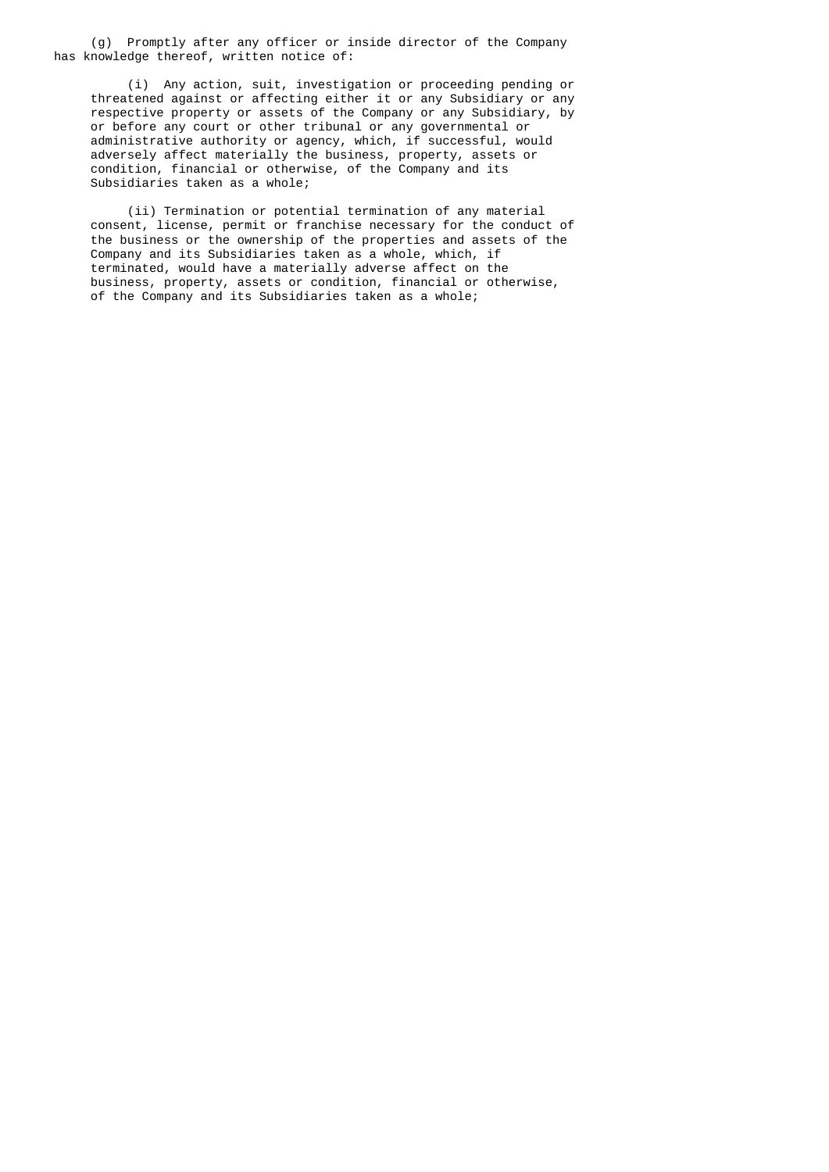(g) Promptly after any officer or inside director of the Company has knowledge thereof, written notice of:

 (i) Any action, suit, investigation or proceeding pending or threatened against or affecting either it or any Subsidiary or any respective property or assets of the Company or any Subsidiary, by or before any court or other tribunal or any governmental or administrative authority or agency, which, if successful, would adversely affect materially the business, property, assets or condition, financial or otherwise, of the Company and its Subsidiaries taken as a whole;

 (ii) Termination or potential termination of any material consent, license, permit or franchise necessary for the conduct of the business or the ownership of the properties and assets of the Company and its Subsidiaries taken as a whole, which, if terminated, would have a materially adverse affect on the business, property, assets or condition, financial or otherwise, of the Company and its Subsidiaries taken as a whole;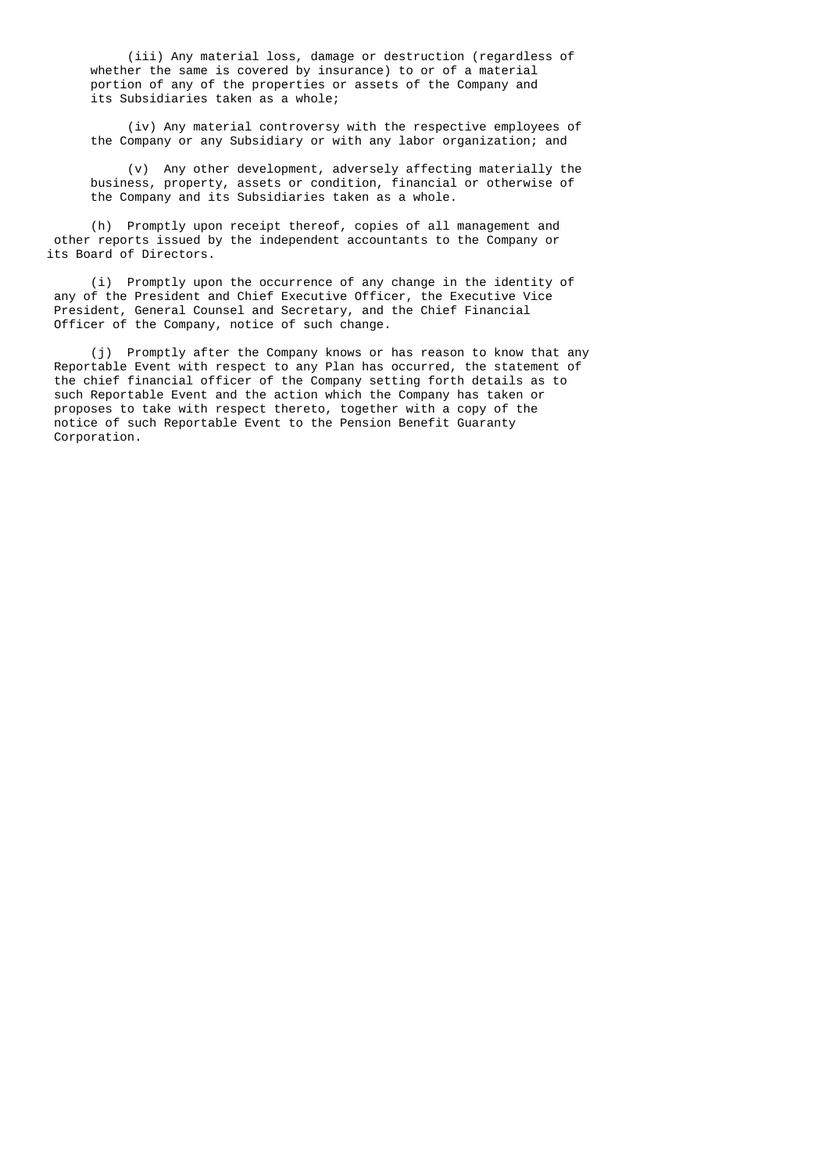(iii) Any material loss, damage or destruction (regardless of whether the same is covered by insurance) to or of a material portion of any of the properties or assets of the Company and its Subsidiaries taken as a whole;

 (iv) Any material controversy with the respective employees of the Company or any Subsidiary or with any labor organization; and

 (v) Any other development, adversely affecting materially the business, property, assets or condition, financial or otherwise of the Company and its Subsidiaries taken as a whole.

 (h) Promptly upon receipt thereof, copies of all management and other reports issued by the independent accountants to the Company or its Board of Directors.

 (i) Promptly upon the occurrence of any change in the identity of any of the President and Chief Executive Officer, the Executive Vice President, General Counsel and Secretary, and the Chief Financial Officer of the Company, notice of such change.

 (j) Promptly after the Company knows or has reason to know that any Reportable Event with respect to any Plan has occurred, the statement of the chief financial officer of the Company setting forth details as to such Reportable Event and the action which the Company has taken or proposes to take with respect thereto, together with a copy of the notice of such Reportable Event to the Pension Benefit Guaranty Corporation.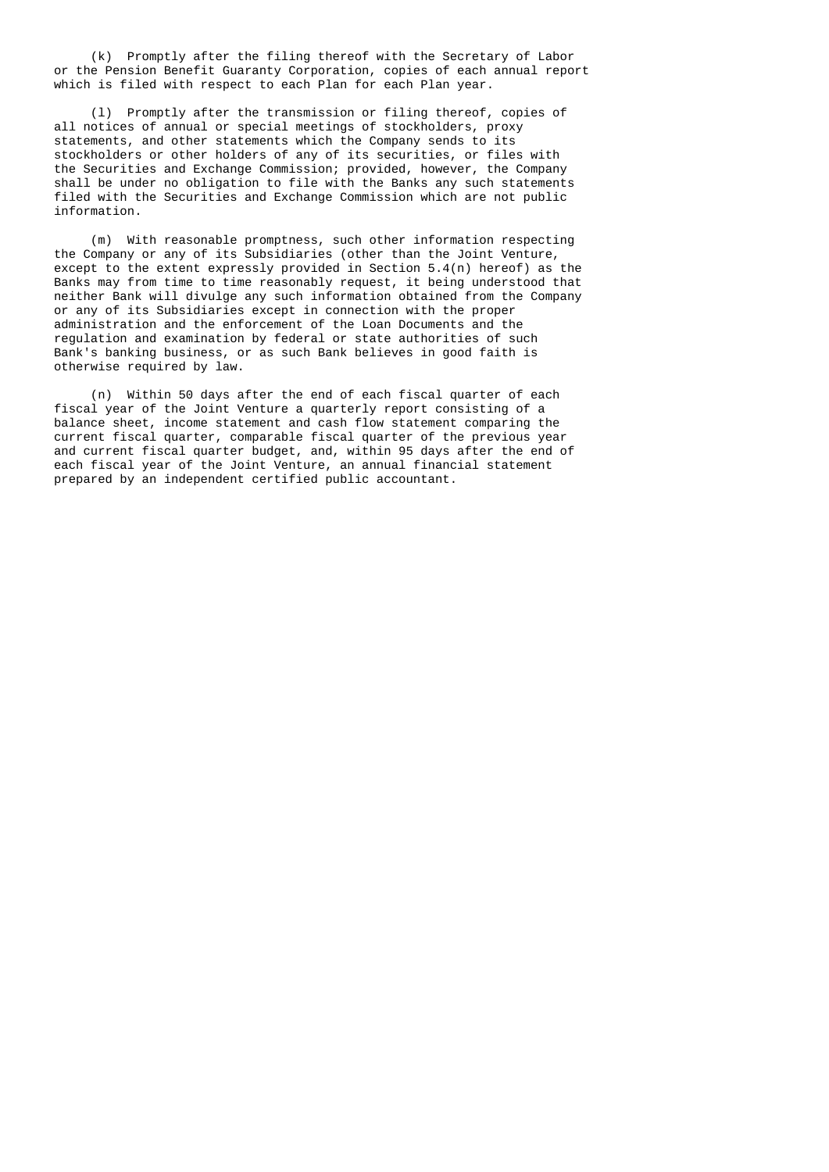(k) Promptly after the filing thereof with the Secretary of Labor or the Pension Benefit Guaranty Corporation, copies of each annual report which is filed with respect to each Plan for each Plan year.

 (l) Promptly after the transmission or filing thereof, copies of all notices of annual or special meetings of stockholders, proxy statements, and other statements which the Company sends to its stockholders or other holders of any of its securities, or files with the Securities and Exchange Commission; provided, however, the Company shall be under no obligation to file with the Banks any such statements filed with the Securities and Exchange Commission which are not public information.

 (m) With reasonable promptness, such other information respecting the Company or any of its Subsidiaries (other than the Joint Venture, except to the extent expressly provided in Section 5.4(n) hereof) as the Banks may from time to time reasonably request, it being understood that neither Bank will divulge any such information obtained from the Company or any of its Subsidiaries except in connection with the proper administration and the enforcement of the Loan Documents and the regulation and examination by federal or state authorities of such Bank's banking business, or as such Bank believes in good faith is otherwise required by law.

 (n) Within 50 days after the end of each fiscal quarter of each fiscal year of the Joint Venture a quarterly report consisting of a balance sheet, income statement and cash flow statement comparing the current fiscal quarter, comparable fiscal quarter of the previous year and current fiscal quarter budget, and, within 95 days after the end of each fiscal year of the Joint Venture, an annual financial statement prepared by an independent certified public accountant.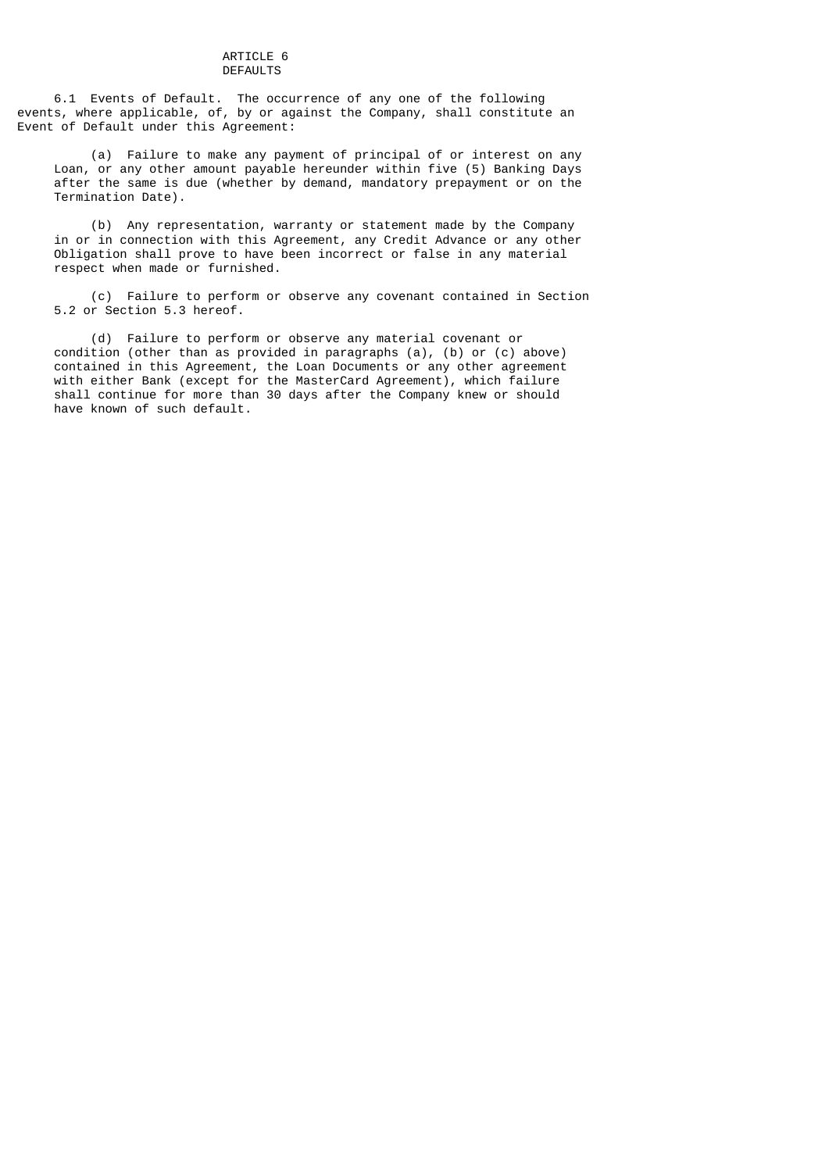#### ARTICLE 6 DEFAULTS

 6.1 Events of Default. The occurrence of any one of the following events, where applicable, of, by or against the Company, shall constitute an Event of Default under this Agreement:

 (a) Failure to make any payment of principal of or interest on any Loan, or any other amount payable hereunder within five (5) Banking Days after the same is due (whether by demand, mandatory prepayment or on the Termination Date).

 (b) Any representation, warranty or statement made by the Company in or in connection with this Agreement, any Credit Advance or any other Obligation shall prove to have been incorrect or false in any material respect when made or furnished.

 (c) Failure to perform or observe any covenant contained in Section 5.2 or Section 5.3 hereof.

 (d) Failure to perform or observe any material covenant or condition (other than as provided in paragraphs (a), (b) or (c) above) contained in this Agreement, the Loan Documents or any other agreement with either Bank (except for the MasterCard Agreement), which failure shall continue for more than 30 days after the Company knew or should have known of such default.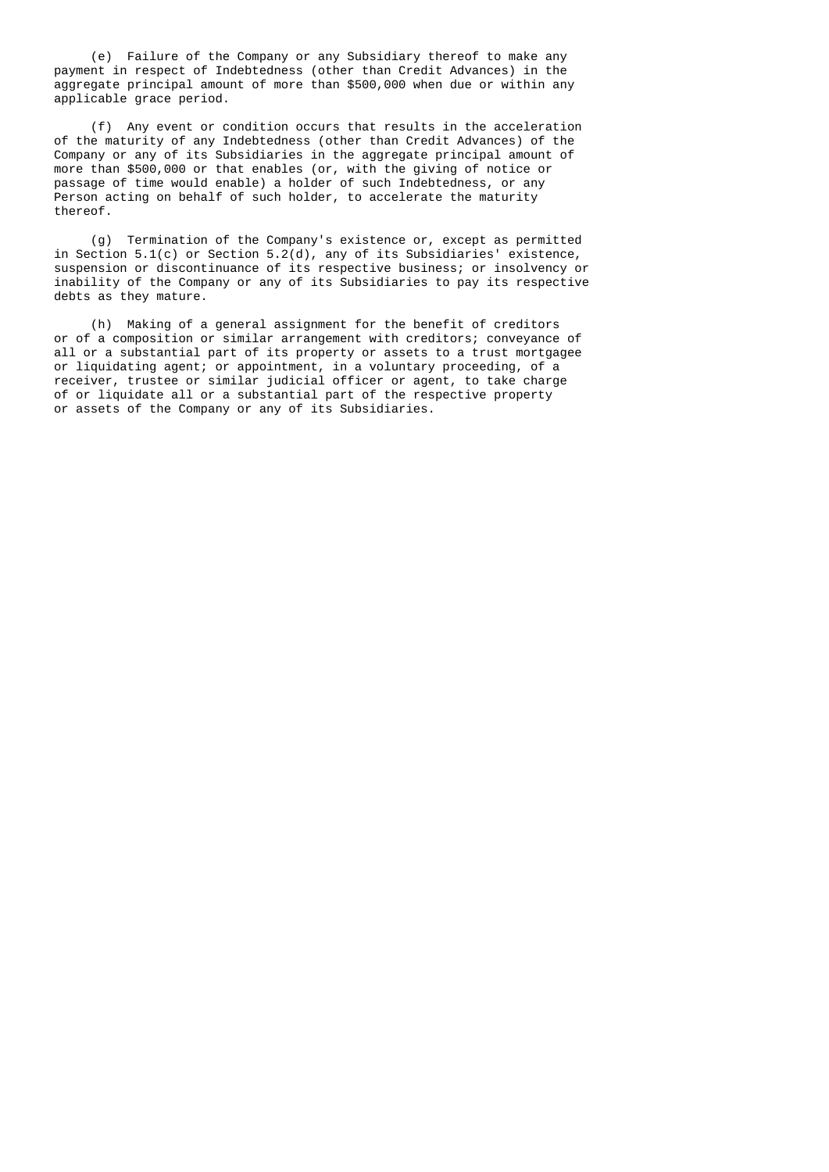(e) Failure of the Company or any Subsidiary thereof to make any payment in respect of Indebtedness (other than Credit Advances) in the aggregate principal amount of more than \$500,000 when due or within any applicable grace period.

 (f) Any event or condition occurs that results in the acceleration of the maturity of any Indebtedness (other than Credit Advances) of the Company or any of its Subsidiaries in the aggregate principal amount of more than \$500,000 or that enables (or, with the giving of notice or passage of time would enable) a holder of such Indebtedness, or any Person acting on behalf of such holder, to accelerate the maturity thereof.

 (g) Termination of the Company's existence or, except as permitted in Section 5.1(c) or Section 5.2(d), any of its Subsidiaries' existence, suspension or discontinuance of its respective business; or insolvency or inability of the Company or any of its Subsidiaries to pay its respective debts as they mature.

 (h) Making of a general assignment for the benefit of creditors or of a composition or similar arrangement with creditors; conveyance of all or a substantial part of its property or assets to a trust mortgagee or liquidating agent; or appointment, in a voluntary proceeding, of a receiver, trustee or similar judicial officer or agent, to take charge of or liquidate all or a substantial part of the respective property or assets of the Company or any of its Subsidiaries.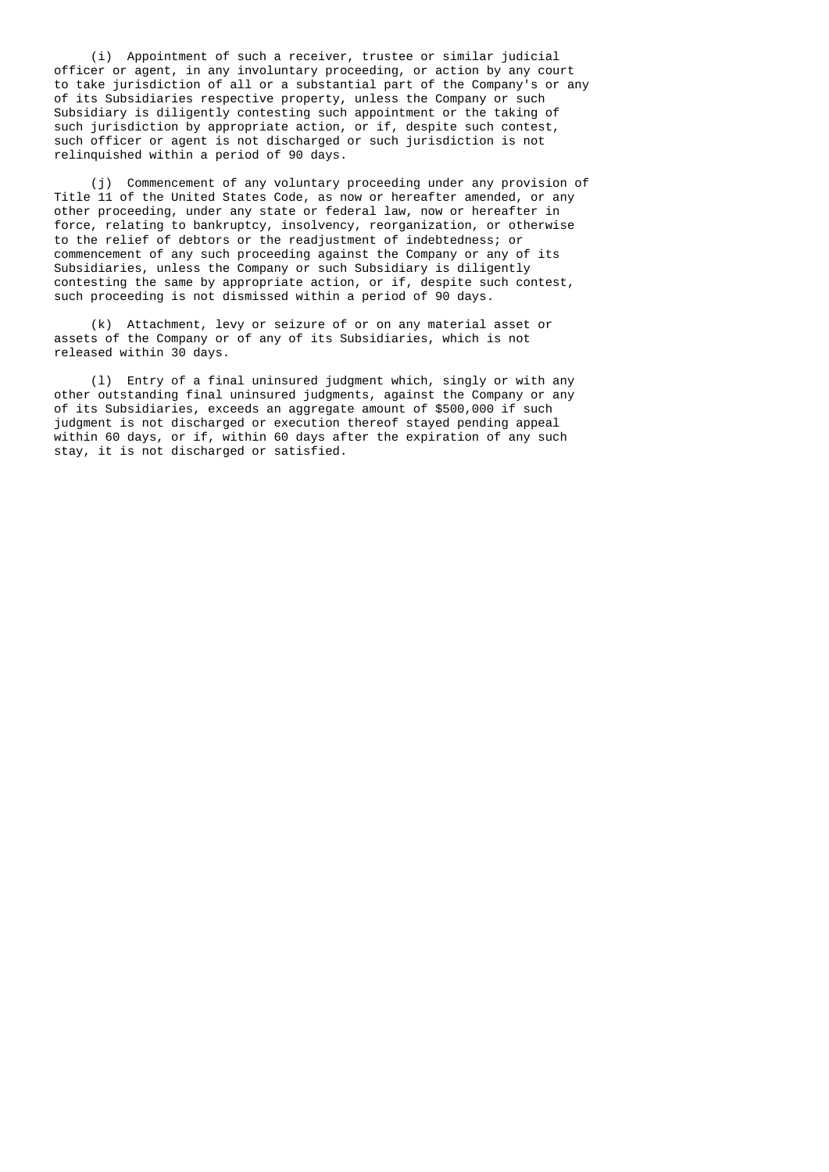(i) Appointment of such a receiver, trustee or similar judicial officer or agent, in any involuntary proceeding, or action by any court to take jurisdiction of all or a substantial part of the Company's or any of its Subsidiaries respective property, unless the Company or such Subsidiary is diligently contesting such appointment or the taking of such jurisdiction by appropriate action, or if, despite such contest, such officer or agent is not discharged or such jurisdiction is not relinquished within a period of 90 days.

 (j) Commencement of any voluntary proceeding under any provision of Title 11 of the United States Code, as now or hereafter amended, or any other proceeding, under any state or federal law, now or hereafter in force, relating to bankruptcy, insolvency, reorganization, or otherwise to the relief of debtors or the readjustment of indebtedness; or commencement of any such proceeding against the Company or any of its Subsidiaries, unless the Company or such Subsidiary is diligently contesting the same by appropriate action, or if, despite such contest, such proceeding is not dismissed within a period of 90 days.

 (k) Attachment, levy or seizure of or on any material asset or assets of the Company or of any of its Subsidiaries, which is not released within 30 days.

 (l) Entry of a final uninsured judgment which, singly or with any other outstanding final uninsured judgments, against the Company or any of its Subsidiaries, exceeds an aggregate amount of \$500,000 if such judgment is not discharged or execution thereof stayed pending appeal within 60 days, or if, within 60 days after the expiration of any such stay, it is not discharged or satisfied.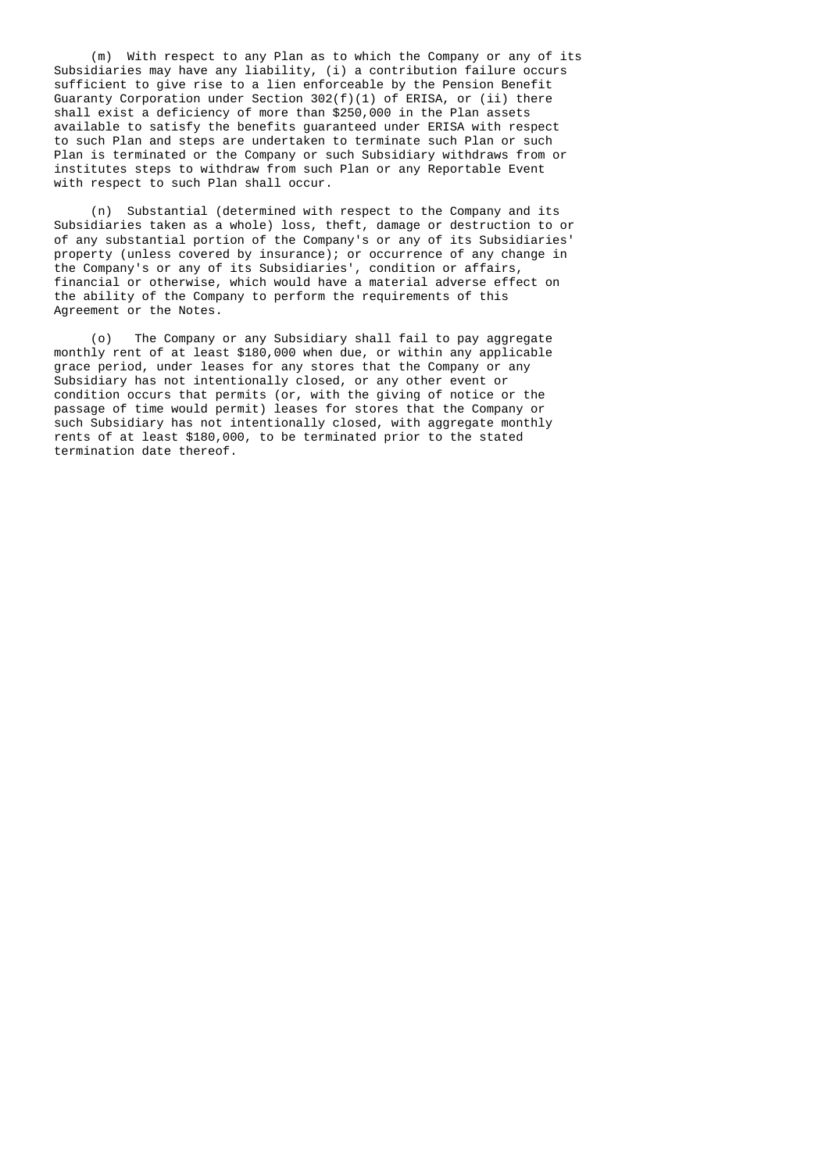(m) With respect to any Plan as to which the Company or any of its Subsidiaries may have any liability, (i) a contribution failure occurs sufficient to give rise to a lien enforceable by the Pension Benefit Guaranty Corporation under Section 302(f)(1) of ERISA, or (ii) there shall exist a deficiency of more than \$250,000 in the Plan assets available to satisfy the benefits guaranteed under ERISA with respect to such Plan and steps are undertaken to terminate such Plan or such Plan is terminated or the Company or such Subsidiary withdraws from or institutes steps to withdraw from such Plan or any Reportable Event with respect to such Plan shall occur.

 (n) Substantial (determined with respect to the Company and its Subsidiaries taken as a whole) loss, theft, damage or destruction to or of any substantial portion of the Company's or any of its Subsidiaries' property (unless covered by insurance); or occurrence of any change in the Company's or any of its Subsidiaries', condition or affairs, financial or otherwise, which would have a material adverse effect on the ability of the Company to perform the requirements of this Agreement or the Notes.

 (o) The Company or any Subsidiary shall fail to pay aggregate monthly rent of at least \$180,000 when due, or within any applicable grace period, under leases for any stores that the Company or any Subsidiary has not intentionally closed, or any other event or condition occurs that permits (or, with the giving of notice or the passage of time would permit) leases for stores that the Company or such Subsidiary has not intentionally closed, with aggregate monthly rents of at least \$180,000, to be terminated prior to the stated termination date thereof.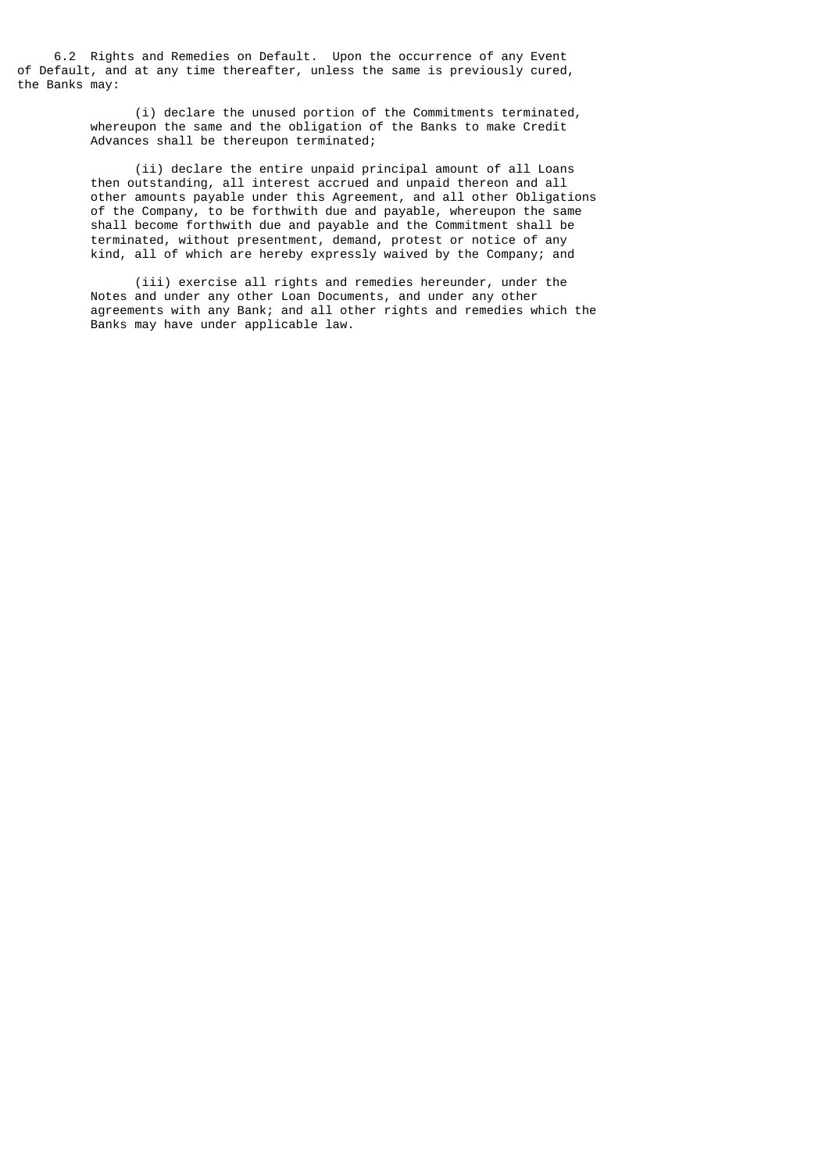6.2 Rights and Remedies on Default. Upon the occurrence of any Event of Default, and at any time thereafter, unless the same is previously cured, the Banks may:

> (i) declare the unused portion of the Commitments terminated, whereupon the same and the obligation of the Banks to make Credit Advances shall be thereupon terminated;

 (ii) declare the entire unpaid principal amount of all Loans then outstanding, all interest accrued and unpaid thereon and all other amounts payable under this Agreement, and all other Obligations of the Company, to be forthwith due and payable, whereupon the same shall become forthwith due and payable and the Commitment shall be terminated, without presentment, demand, protest or notice of any kind, all of which are hereby expressly waived by the Company; and

 (iii) exercise all rights and remedies hereunder, under the Notes and under any other Loan Documents, and under any other agreements with any Bank; and all other rights and remedies which the Banks may have under applicable law.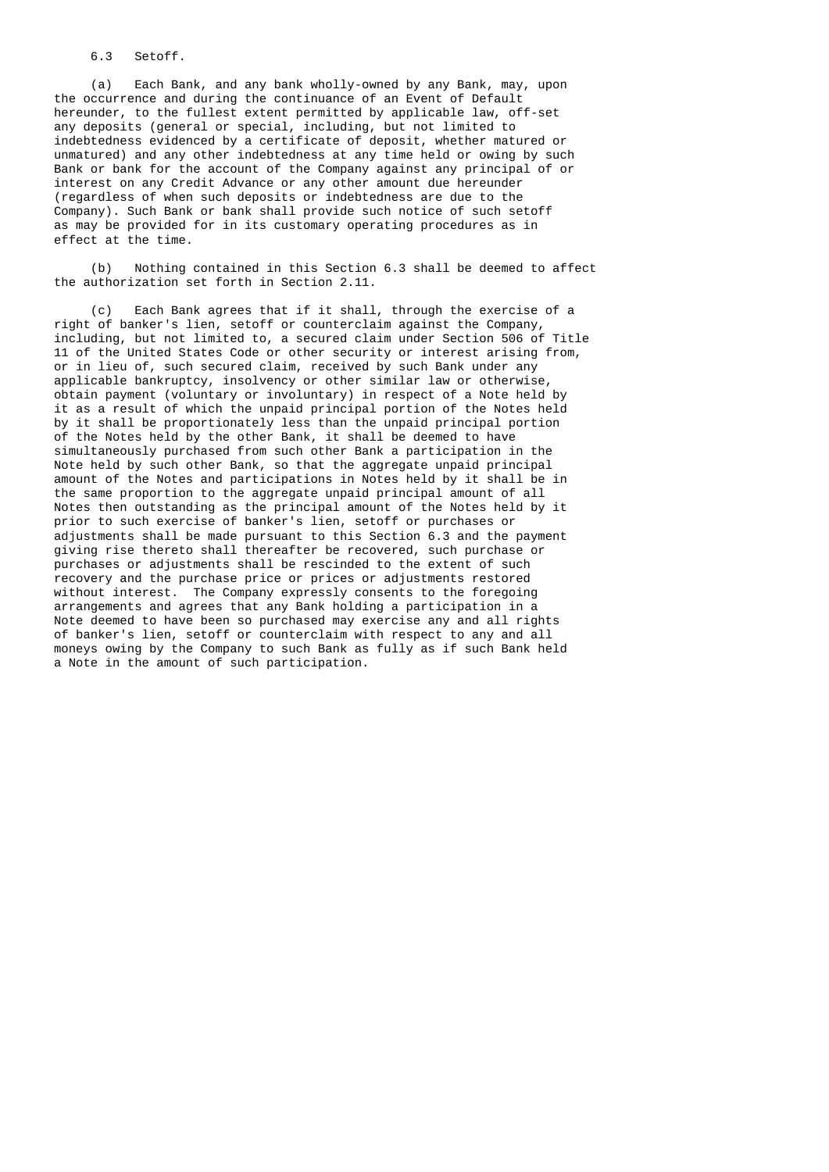6.3 Setoff.

 (a) Each Bank, and any bank wholly-owned by any Bank, may, upon the occurrence and during the continuance of an Event of Default hereunder, to the fullest extent permitted by applicable law, off-set any deposits (general or special, including, but not limited to indebtedness evidenced by a certificate of deposit, whether matured or unmatured) and any other indebtedness at any time held or owing by such Bank or bank for the account of the Company against any principal of or interest on any Credit Advance or any other amount due hereunder (regardless of when such deposits or indebtedness are due to the Company). Such Bank or bank shall provide such notice of such setoff as may be provided for in its customary operating procedures as in effect at the time.

 (b) Nothing contained in this Section 6.3 shall be deemed to affect the authorization set forth in Section 2.11.

 (c) Each Bank agrees that if it shall, through the exercise of a right of banker's lien, setoff or counterclaim against the Company, including, but not limited to, a secured claim under Section 506 of Title 11 of the United States Code or other security or interest arising from, or in lieu of, such secured claim, received by such Bank under any applicable bankruptcy, insolvency or other similar law or otherwise, obtain payment (voluntary or involuntary) in respect of a Note held by it as a result of which the unpaid principal portion of the Notes held by it shall be proportionately less than the unpaid principal portion of the Notes held by the other Bank, it shall be deemed to have simultaneously purchased from such other Bank a participation in the Note held by such other Bank, so that the aggregate unpaid principal amount of the Notes and participations in Notes held by it shall be in the same proportion to the aggregate unpaid principal amount of all Notes then outstanding as the principal amount of the Notes held by it prior to such exercise of banker's lien, setoff or purchases or adjustments shall be made pursuant to this Section 6.3 and the payment giving rise thereto shall thereafter be recovered, such purchase or purchases or adjustments shall be rescinded to the extent of such recovery and the purchase price or prices or adjustments restored without interest. The Company expressly consents to the foregoing arrangements and agrees that any Bank holding a participation in a Note deemed to have been so purchased may exercise any and all rights of banker's lien, setoff or counterclaim with respect to any and all moneys owing by the Company to such Bank as fully as if such Bank held a Note in the amount of such participation.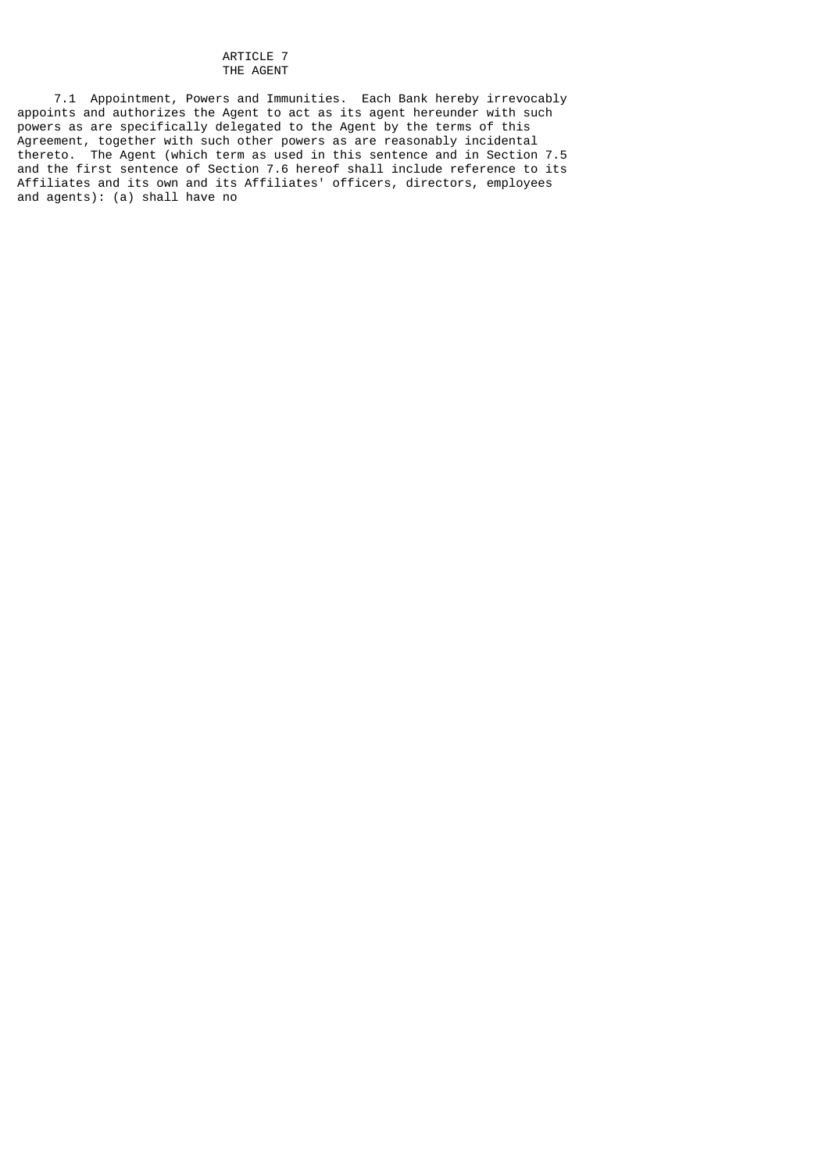### ARTICLE 7 THE AGENT

 7.1 Appointment, Powers and Immunities. Each Bank hereby irrevocably appoints and authorizes the Agent to act as its agent hereunder with such powers as are specifically delegated to the Agent by the terms of this Agreement, together with such other powers as are reasonably incidental thereto. The Agent (which term as used in this sentence and in Section 7.5 and the first sentence of Section 7.6 hereof shall include reference to its Affiliates and its own and its Affiliates' officers, directors, employees and agents): (a) shall have no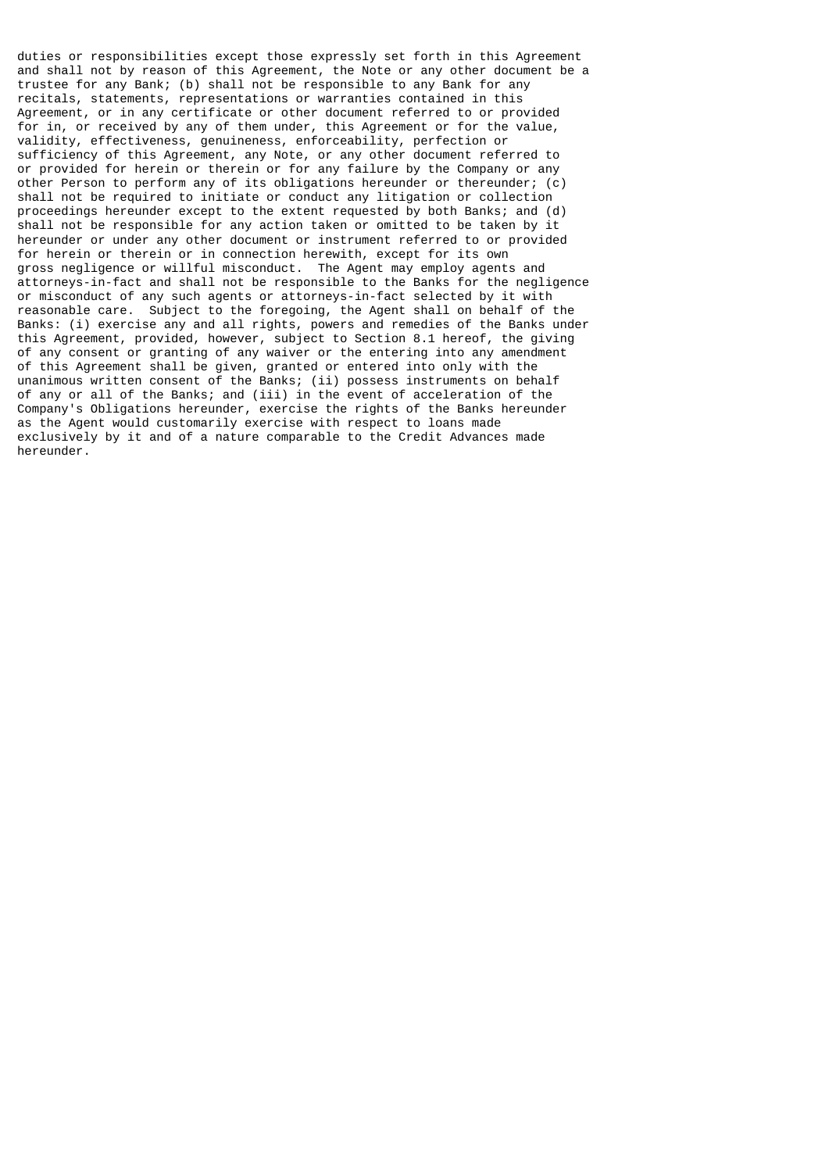duties or responsibilities except those expressly set forth in this Agreement and shall not by reason of this Agreement, the Note or any other document be a trustee for any Bank; (b) shall not be responsible to any Bank for any recitals, statements, representations or warranties contained in this Agreement, or in any certificate or other document referred to or provided for in, or received by any of them under, this Agreement or for the value, validity, effectiveness, genuineness, enforceability, perfection or sufficiency of this Agreement, any Note, or any other document referred to or provided for herein or therein or for any failure by the Company or any other Person to perform any of its obligations hereunder or thereunder; (c) shall not be required to initiate or conduct any litigation or collection proceedings hereunder except to the extent requested by both Banks; and (d) shall not be responsible for any action taken or omitted to be taken by it hereunder or under any other document or instrument referred to or provided for herein or therein or in connection herewith, except for its own gross negligence or willful misconduct. The Agent may employ agents and attorneys-in-fact and shall not be responsible to the Banks for the negligence or misconduct of any such agents or attorneys-in-fact selected by it with reasonable care. Subject to the foregoing, the Agent shall on behalf of the Banks: (i) exercise any and all rights, powers and remedies of the Banks under this Agreement, provided, however, subject to Section 8.1 hereof, the giving of any consent or granting of any waiver or the entering into any amendment of this Agreement shall be given, granted or entered into only with the unanimous written consent of the Banks; (ii) possess instruments on behalf of any or all of the Banks; and (iii) in the event of acceleration of the Company's Obligations hereunder, exercise the rights of the Banks hereunder as the Agent would customarily exercise with respect to loans made exclusively by it and of a nature comparable to the Credit Advances made hereunder.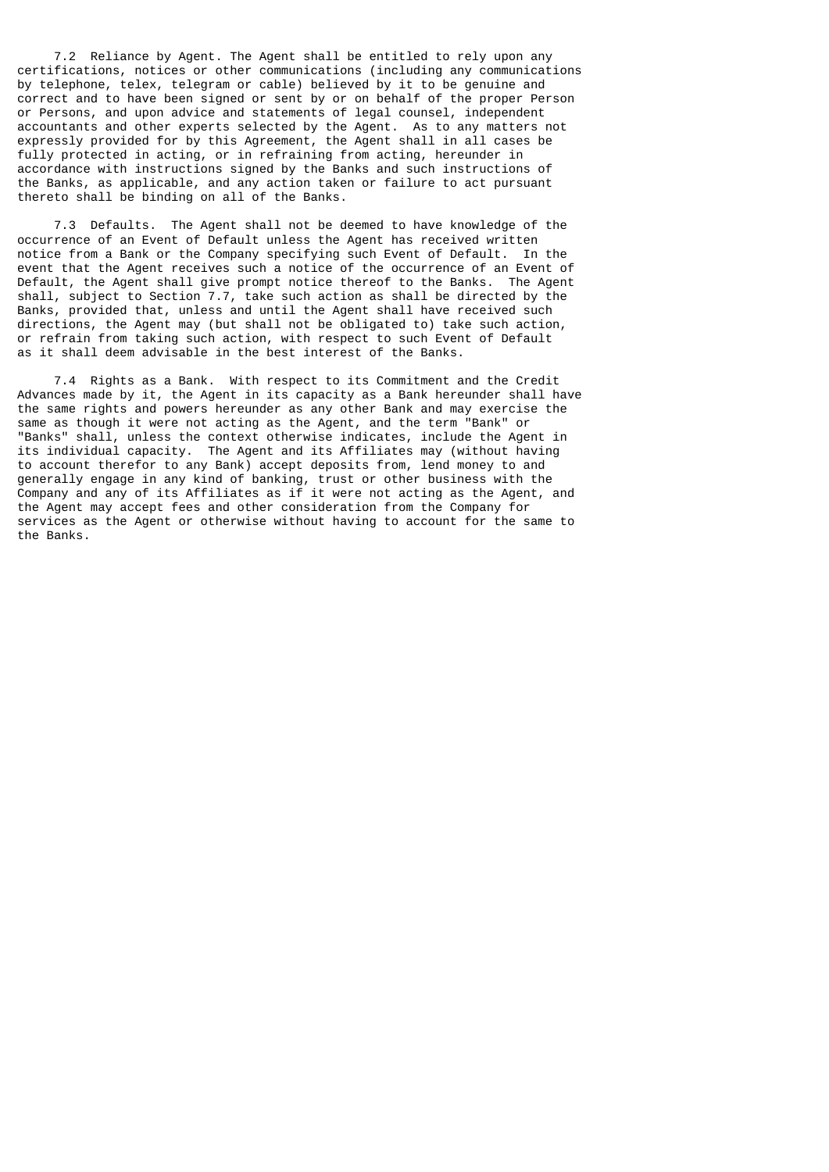7.2 Reliance by Agent. The Agent shall be entitled to rely upon any certifications, notices or other communications (including any communications by telephone, telex, telegram or cable) believed by it to be genuine and correct and to have been signed or sent by or on behalf of the proper Person or Persons, and upon advice and statements of legal counsel, independent accountants and other experts selected by the Agent. As to any matters not expressly provided for by this Agreement, the Agent shall in all cases be fully protected in acting, or in refraining from acting, hereunder in accordance with instructions signed by the Banks and such instructions of the Banks, as applicable, and any action taken or failure to act pursuant thereto shall be binding on all of the Banks.

 7.3 Defaults. The Agent shall not be deemed to have knowledge of the occurrence of an Event of Default unless the Agent has received written notice from a Bank or the Company specifying such Event of Default. In the event that the Agent receives such a notice of the occurrence of an Event of Default, the Agent shall give prompt notice thereof to the Banks. The Agent shall, subject to Section 7.7, take such action as shall be directed by the Banks, provided that, unless and until the Agent shall have received such directions, the Agent may (but shall not be obligated to) take such action, or refrain from taking such action, with respect to such Event of Default as it shall deem advisable in the best interest of the Banks.

 7.4 Rights as a Bank. With respect to its Commitment and the Credit Advances made by it, the Agent in its capacity as a Bank hereunder shall have the same rights and powers hereunder as any other Bank and may exercise the same as though it were not acting as the Agent, and the term "Bank" or "Banks" shall, unless the context otherwise indicates, include the Agent in its individual capacity. The Agent and its Affiliates may (without having to account therefor to any Bank) accept deposits from, lend money to and generally engage in any kind of banking, trust or other business with the Company and any of its Affiliates as if it were not acting as the Agent, and the Agent may accept fees and other consideration from the Company for services as the Agent or otherwise without having to account for the same to the Banks.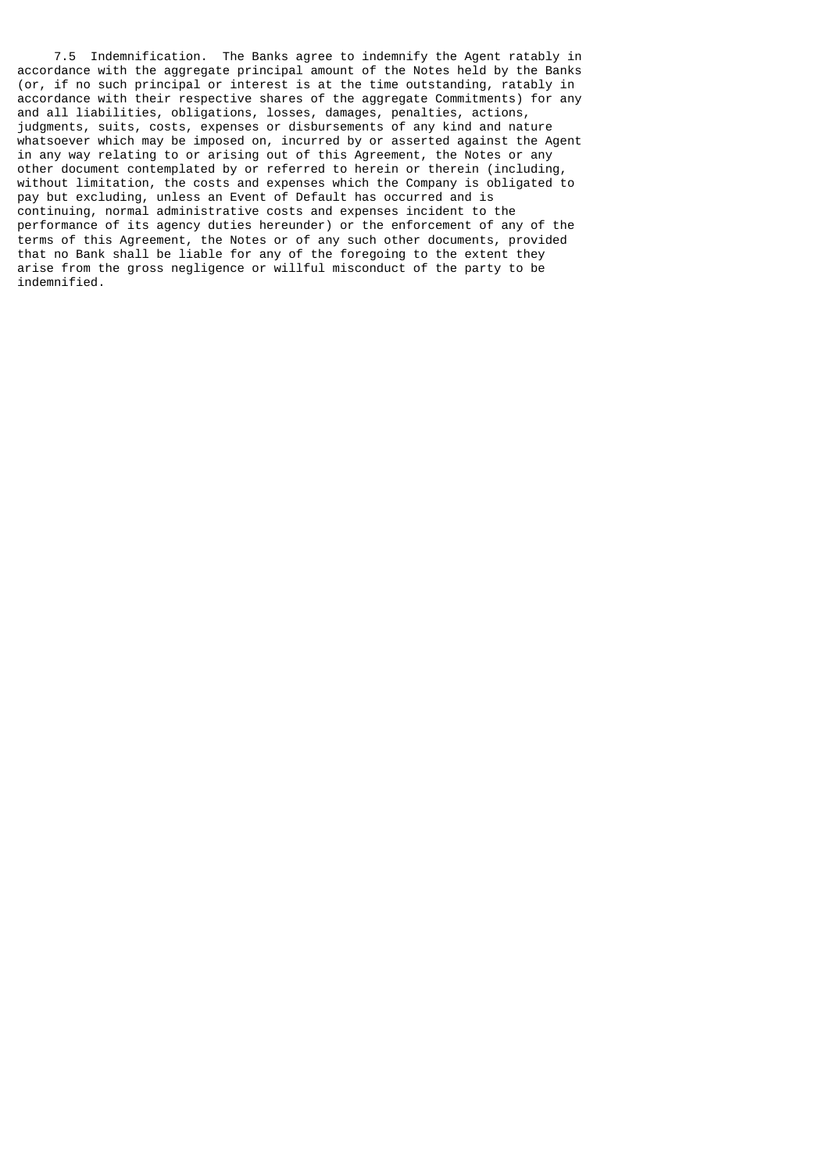7.5 Indemnification. The Banks agree to indemnify the Agent ratably in accordance with the aggregate principal amount of the Notes held by the Banks (or, if no such principal or interest is at the time outstanding, ratably in accordance with their respective shares of the aggregate Commitments) for any and all liabilities, obligations, losses, damages, penalties, actions, judgments, suits, costs, expenses or disbursements of any kind and nature whatsoever which may be imposed on, incurred by or asserted against the Agent in any way relating to or arising out of this Agreement, the Notes or any other document contemplated by or referred to herein or therein (including, without limitation, the costs and expenses which the Company is obligated to pay but excluding, unless an Event of Default has occurred and is continuing, normal administrative costs and expenses incident to the performance of its agency duties hereunder) or the enforcement of any of the terms of this Agreement, the Notes or of any such other documents, provided that no Bank shall be liable for any of the foregoing to the extent they arise from the gross negligence or willful misconduct of the party to be indemnified.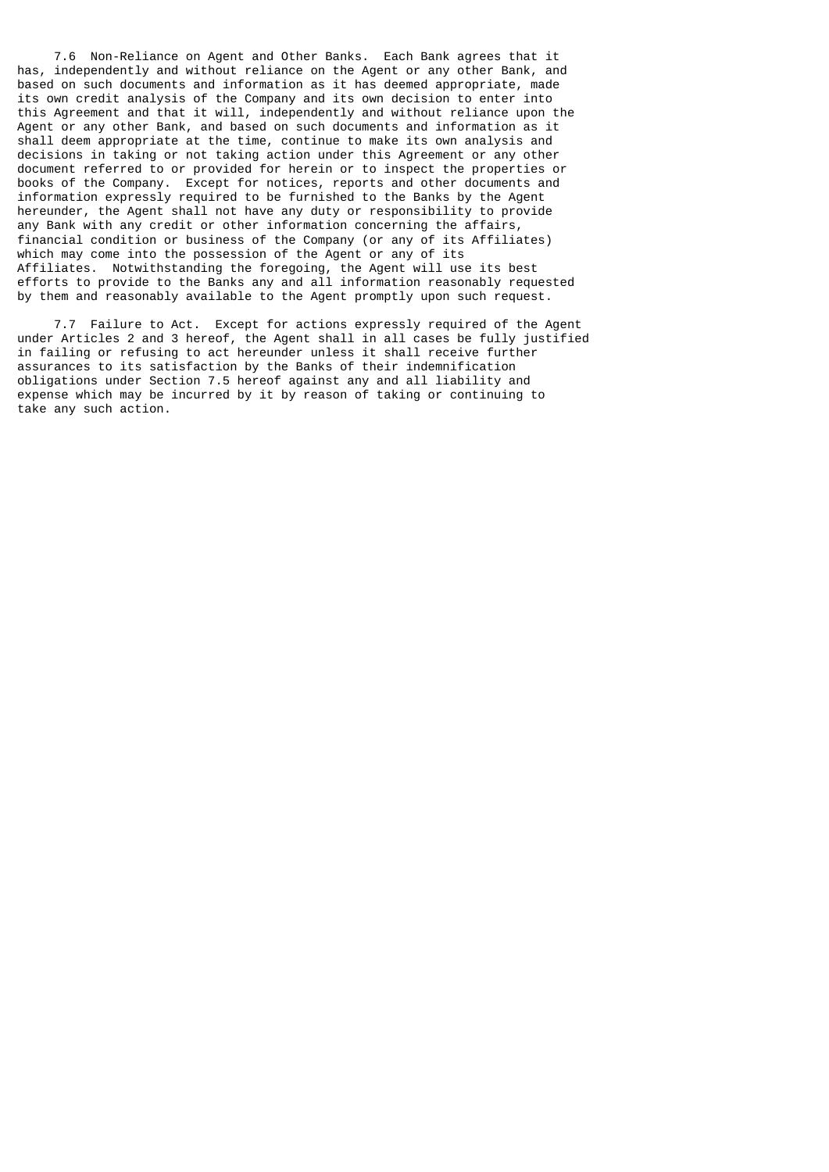7.6 Non-Reliance on Agent and Other Banks. Each Bank agrees that it has, independently and without reliance on the Agent or any other Bank, and based on such documents and information as it has deemed appropriate, made its own credit analysis of the Company and its own decision to enter into this Agreement and that it will, independently and without reliance upon the Agent or any other Bank, and based on such documents and information as it shall deem appropriate at the time, continue to make its own analysis and decisions in taking or not taking action under this Agreement or any other document referred to or provided for herein or to inspect the properties or books of the Company. Except for notices, reports and other documents and information expressly required to be furnished to the Banks by the Agent hereunder, the Agent shall not have any duty or responsibility to provide any Bank with any credit or other information concerning the affairs, financial condition or business of the Company (or any of its Affiliates) which may come into the possession of the Agent or any of its Affiliates. Notwithstanding the foregoing, the Agent will use its best efforts to provide to the Banks any and all information reasonably requested by them and reasonably available to the Agent promptly upon such request.

 7.7 Failure to Act. Except for actions expressly required of the Agent under Articles 2 and 3 hereof, the Agent shall in all cases be fully justified in failing or refusing to act hereunder unless it shall receive further assurances to its satisfaction by the Banks of their indemnification obligations under Section 7.5 hereof against any and all liability and expense which may be incurred by it by reason of taking or continuing to take any such action.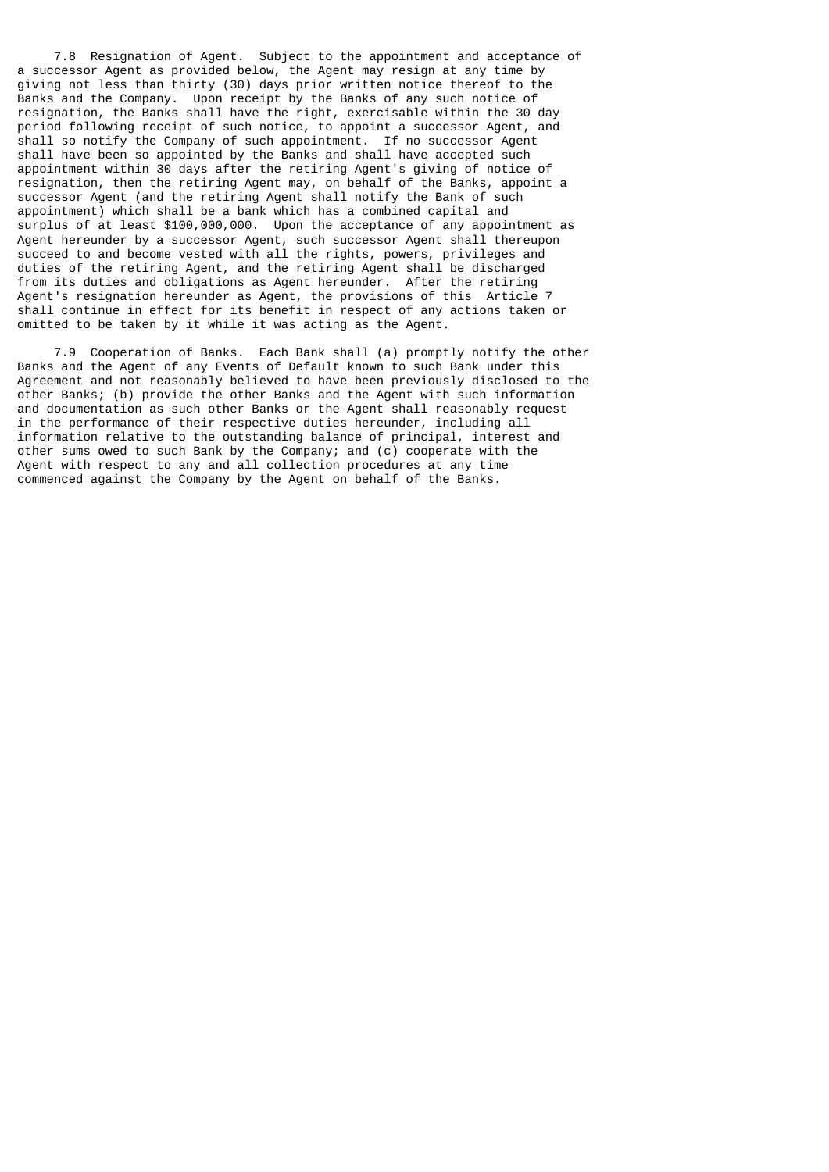7.8 Resignation of Agent. Subject to the appointment and acceptance of a successor Agent as provided below, the Agent may resign at any time by giving not less than thirty (30) days prior written notice thereof to the Banks and the Company. Upon receipt by the Banks of any such notice of resignation, the Banks shall have the right, exercisable within the 30 day period following receipt of such notice, to appoint a successor Agent, and shall so notify the Company of such appointment. If no successor Agent shall have been so appointed by the Banks and shall have accepted such appointment within 30 days after the retiring Agent's giving of notice of resignation, then the retiring Agent may, on behalf of the Banks, appoint a successor Agent (and the retiring Agent shall notify the Bank of such appointment) which shall be a bank which has a combined capital and surplus of at least \$100,000,000. Upon the acceptance of any appointment as Agent hereunder by a successor Agent, such successor Agent shall thereupon succeed to and become vested with all the rights, powers, privileges and duties of the retiring Agent, and the retiring Agent shall be discharged from its duties and obligations as Agent hereunder. After the retiring Agent's resignation hereunder as Agent, the provisions of this Article 7 shall continue in effect for its benefit in respect of any actions taken or omitted to be taken by it while it was acting as the Agent.

 7.9 Cooperation of Banks. Each Bank shall (a) promptly notify the other Banks and the Agent of any Events of Default known to such Bank under this Agreement and not reasonably believed to have been previously disclosed to the other Banks; (b) provide the other Banks and the Agent with such information and documentation as such other Banks or the Agent shall reasonably request in the performance of their respective duties hereunder, including all information relative to the outstanding balance of principal, interest and other sums owed to such Bank by the Company; and (c) cooperate with the Agent with respect to any and all collection procedures at any time commenced against the Company by the Agent on behalf of the Banks.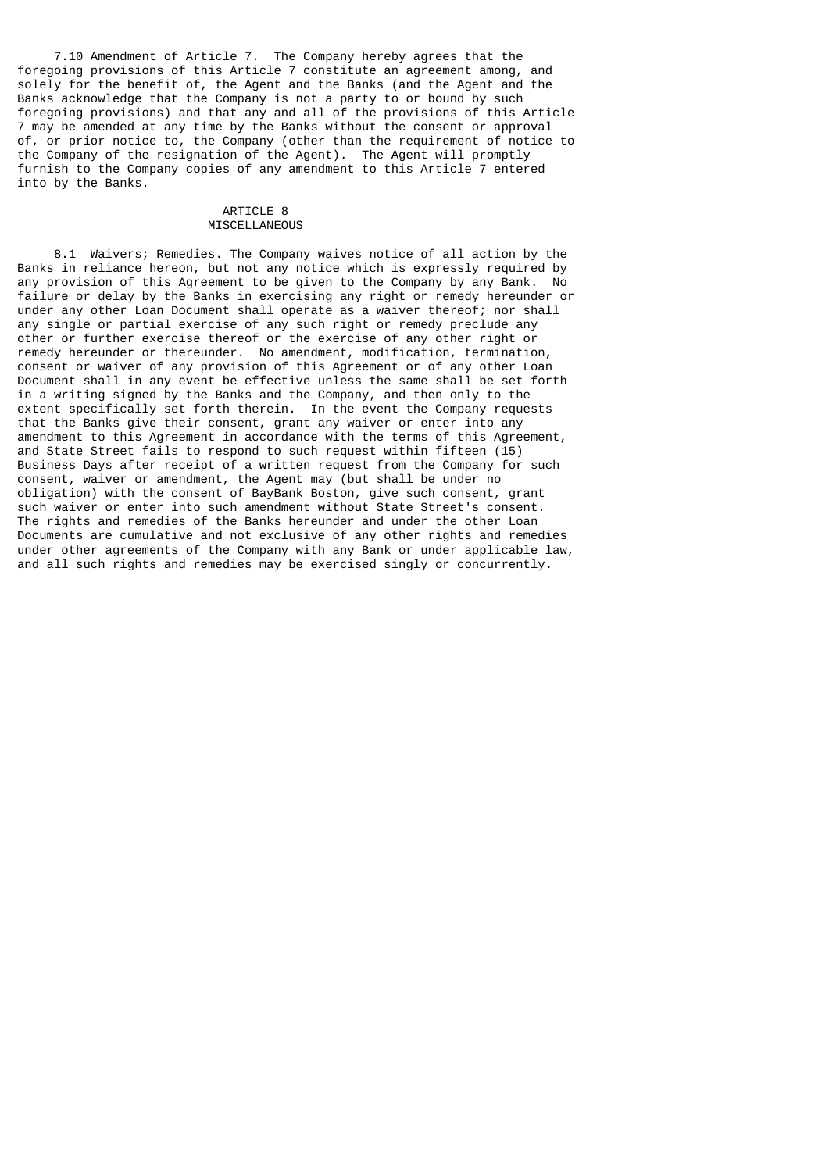7.10 Amendment of Article 7. The Company hereby agrees that the foregoing provisions of this Article 7 constitute an agreement among, and solely for the benefit of, the Agent and the Banks (and the Agent and the Banks acknowledge that the Company is not a party to or bound by such foregoing provisions) and that any and all of the provisions of this Article 7 may be amended at any time by the Banks without the consent or approval of, or prior notice to, the Company (other than the requirement of notice to the Company of the resignation of the Agent). The Agent will promptly furnish to the Company copies of any amendment to this Article 7 entered into by the Banks.

### ARTICLE 8 MISCELLANEOUS

 8.1 Waivers; Remedies. The Company waives notice of all action by the Banks in reliance hereon, but not any notice which is expressly required by any provision of this Agreement to be given to the Company by any Bank. No failure or delay by the Banks in exercising any right or remedy hereunder or under any other Loan Document shall operate as a waiver thereof; nor shall any single or partial exercise of any such right or remedy preclude any other or further exercise thereof or the exercise of any other right or remedy hereunder or thereunder. No amendment, modification, termination, consent or waiver of any provision of this Agreement or of any other Loan Document shall in any event be effective unless the same shall be set forth in a writing signed by the Banks and the Company, and then only to the extent specifically set forth therein. In the event the Company requests that the Banks give their consent, grant any waiver or enter into any amendment to this Agreement in accordance with the terms of this Agreement, and State Street fails to respond to such request within fifteen (15) Business Days after receipt of a written request from the Company for such consent, waiver or amendment, the Agent may (but shall be under no obligation) with the consent of BayBank Boston, give such consent, grant such waiver or enter into such amendment without State Street's consent. The rights and remedies of the Banks hereunder and under the other Loan Documents are cumulative and not exclusive of any other rights and remedies under other agreements of the Company with any Bank or under applicable law, and all such rights and remedies may be exercised singly or concurrently.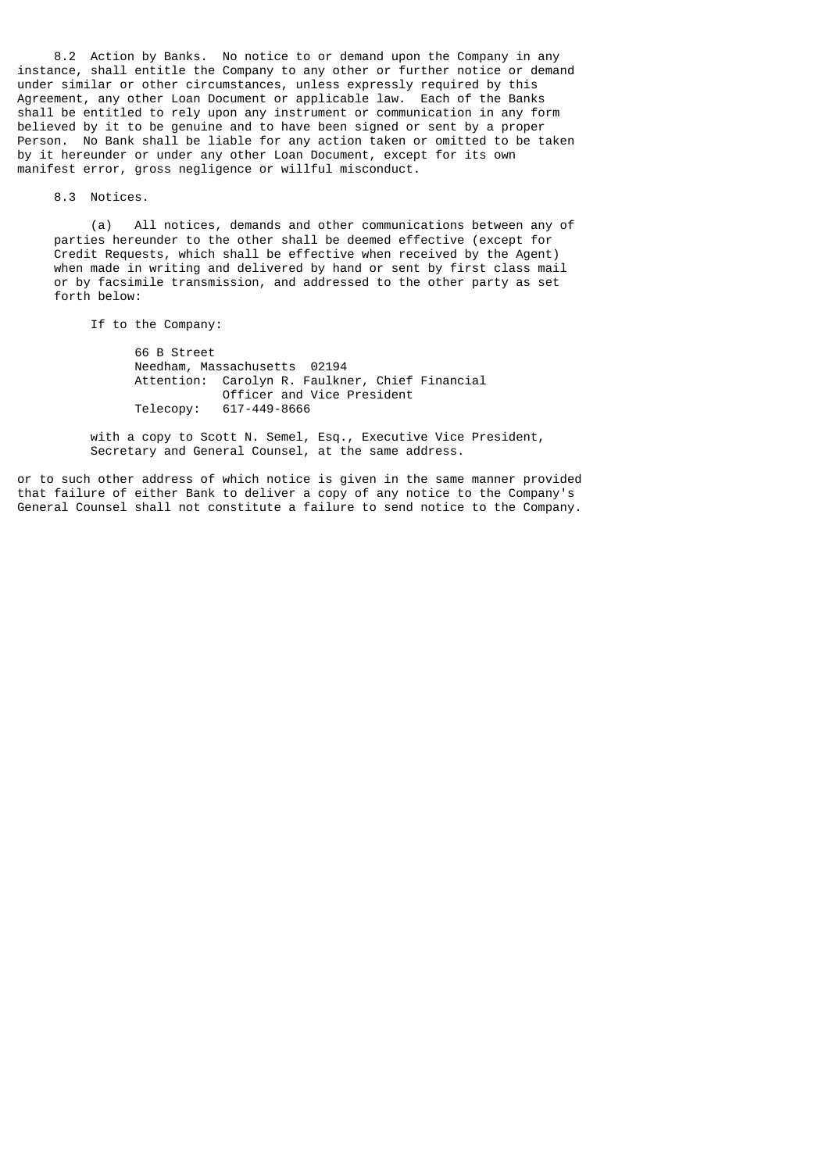8.2 Action by Banks. No notice to or demand upon the Company in any instance, shall entitle the Company to any other or further notice or demand under similar or other circumstances, unless expressly required by this Agreement, any other Loan Document or applicable law. Each of the Banks shall be entitled to rely upon any instrument or communication in any form believed by it to be genuine and to have been signed or sent by a proper Person. No Bank shall be liable for any action taken or omitted to be taken by it hereunder or under any other Loan Document, except for its own manifest error, gross negligence or willful misconduct.

8.3 Notices.

 (a) All notices, demands and other communications between any of parties hereunder to the other shall be deemed effective (except for Credit Requests, which shall be effective when received by the Agent) when made in writing and delivered by hand or sent by first class mail or by facsimile transmission, and addressed to the other party as set forth below:

If to the Company:

 66 B Street Needham, Massachusetts 02194 Attention: Carolyn R. Faulkner, Chief Financial Officer and Vice President Telecopy: 617-449-8666

 with a copy to Scott N. Semel, Esq., Executive Vice President, Secretary and General Counsel, at the same address.

or to such other address of which notice is given in the same manner provided that failure of either Bank to deliver a copy of any notice to the Company's General Counsel shall not constitute a failure to send notice to the Company.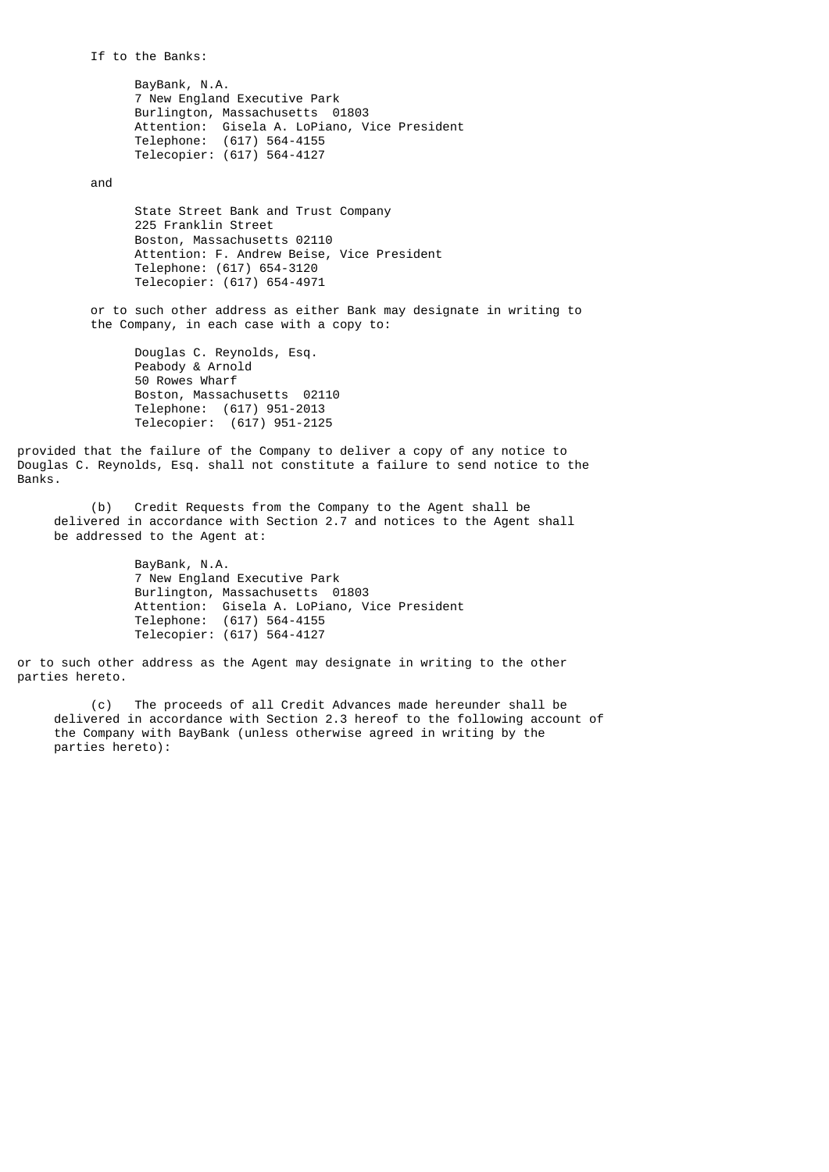If to the Banks:

 BayBank, N.A. 7 New England Executive Park Burlington, Massachusetts 01803 Attention: Gisela A. LoPiano, Vice President Telephone: (617) 564-4155 Telecopier: (617) 564-4127

and

 State Street Bank and Trust Company 225 Franklin Street Boston, Massachusetts 02110 Attention: F. Andrew Beise, Vice President Telephone: (617) 654-3120 Telecopier: (617) 654-4971

 or to such other address as either Bank may designate in writing to the Company, in each case with a copy to:

 Douglas C. Reynolds, Esq. Peabody & Arnold 50 Rowes Wharf Boston, Massachusetts 02110 Telephone: (617) 951-2013 Telecopier: (617) 951-2125

provided that the failure of the Company to deliver a copy of any notice to Douglas C. Reynolds, Esq. shall not constitute a failure to send notice to the Banks.

 (b) Credit Requests from the Company to the Agent shall be delivered in accordance with Section 2.7 and notices to the Agent shall be addressed to the Agent at:

> BayBank, N.A. 7 New England Executive Park Burlington, Massachusetts 01803 Attention: Gisela A. LoPiano, Vice President Telephone: (617) 564-4155 Telecopier: (617) 564-4127

or to such other address as the Agent may designate in writing to the other parties hereto.

 (c) The proceeds of all Credit Advances made hereunder shall be delivered in accordance with Section 2.3 hereof to the following account of the Company with BayBank (unless otherwise agreed in writing by the parties hereto):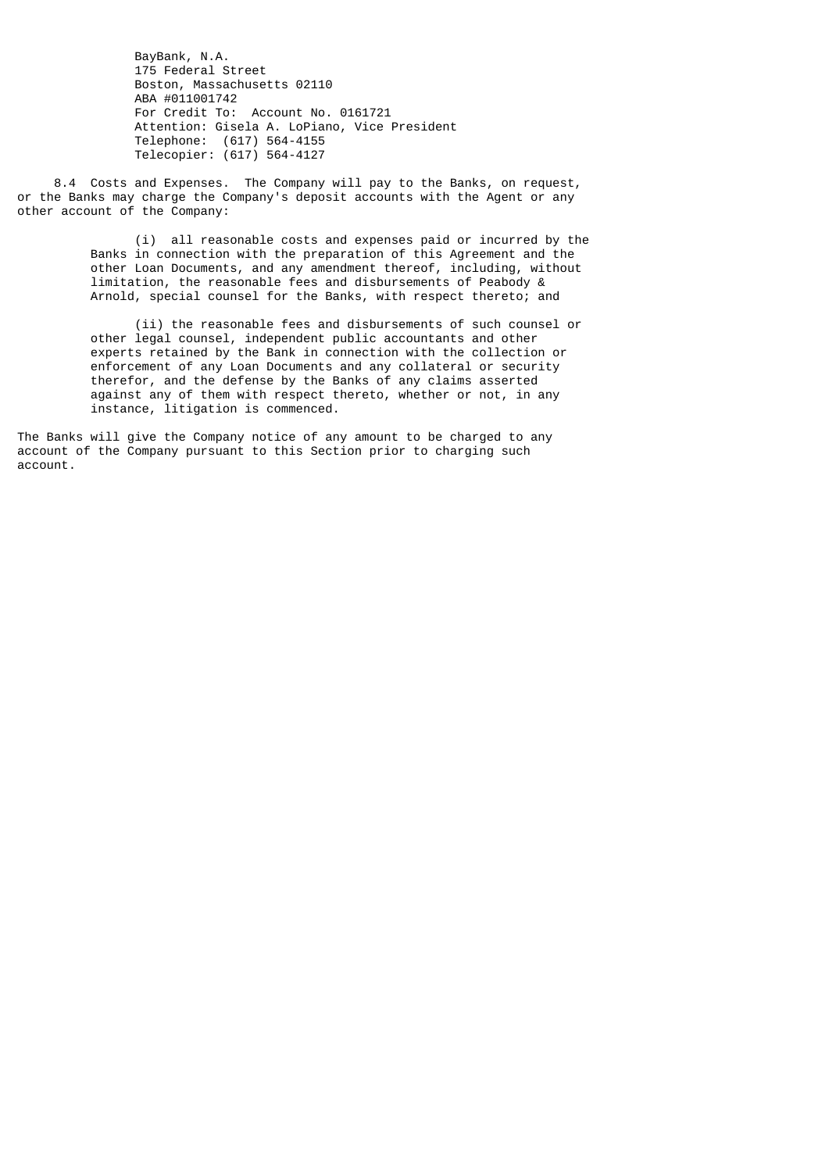BayBank, N.A. 175 Federal Street Boston, Massachusetts 02110 ABA #011001742 For Credit To: Account No. 0161721 Attention: Gisela A. LoPiano, Vice President Telephone: (617) 564-4155 Telecopier: (617) 564-4127

 8.4 Costs and Expenses. The Company will pay to the Banks, on request, or the Banks may charge the Company's deposit accounts with the Agent or any other account of the Company:

> (i) all reasonable costs and expenses paid or incurred by the Banks in connection with the preparation of this Agreement and the other Loan Documents, and any amendment thereof, including, without limitation, the reasonable fees and disbursements of Peabody & Arnold, special counsel for the Banks, with respect thereto; and

 (ii) the reasonable fees and disbursements of such counsel or other legal counsel, independent public accountants and other experts retained by the Bank in connection with the collection or enforcement of any Loan Documents and any collateral or security therefor, and the defense by the Banks of any claims asserted against any of them with respect thereto, whether or not, in any instance, litigation is commenced.

The Banks will give the Company notice of any amount to be charged to any account of the Company pursuant to this Section prior to charging such account.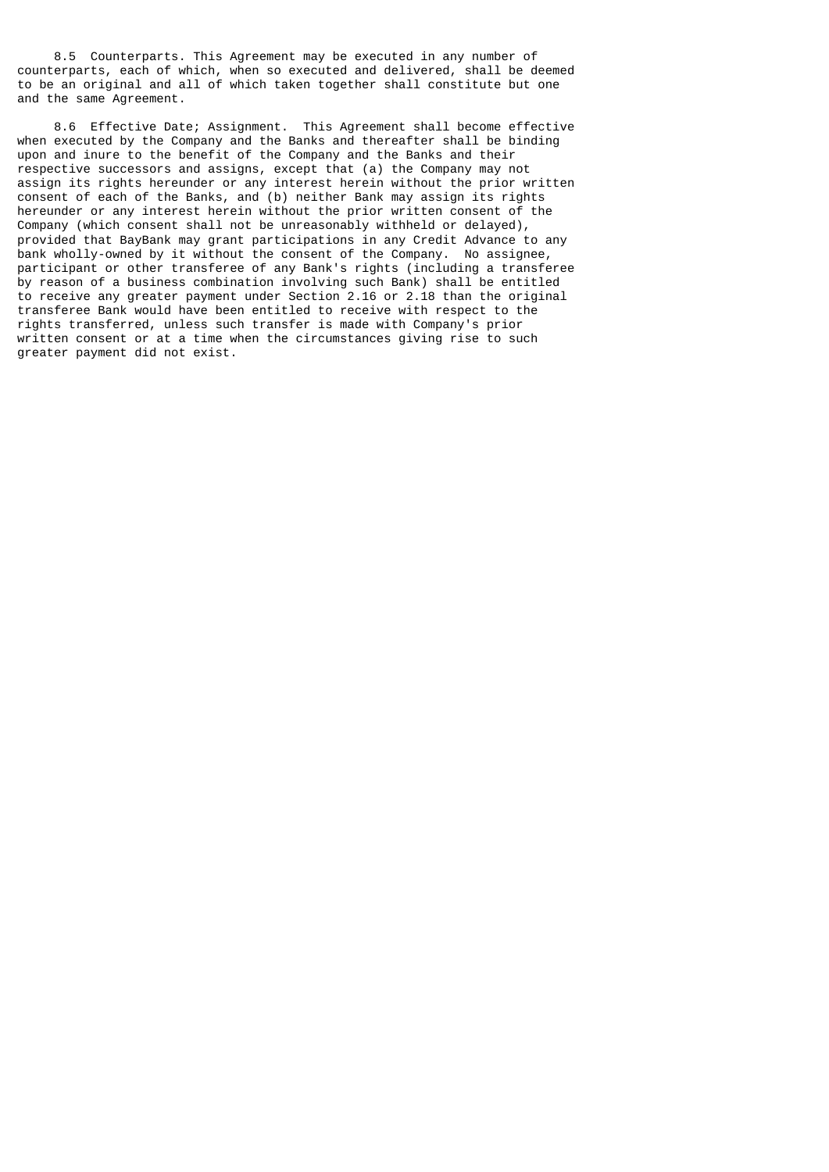8.5 Counterparts. This Agreement may be executed in any number of counterparts, each of which, when so executed and delivered, shall be deemed to be an original and all of which taken together shall constitute but one and the same Agreement.

 8.6 Effective Date; Assignment. This Agreement shall become effective when executed by the Company and the Banks and thereafter shall be binding upon and inure to the benefit of the Company and the Banks and their respective successors and assigns, except that (a) the Company may not assign its rights hereunder or any interest herein without the prior written consent of each of the Banks, and (b) neither Bank may assign its rights hereunder or any interest herein without the prior written consent of the Company (which consent shall not be unreasonably withheld or delayed), provided that BayBank may grant participations in any Credit Advance to any bank wholly-owned by it without the consent of the Company. No assignee, participant or other transferee of any Bank's rights (including a transferee by reason of a business combination involving such Bank) shall be entitled to receive any greater payment under Section 2.16 or 2.18 than the original transferee Bank would have been entitled to receive with respect to the rights transferred, unless such transfer is made with Company's prior written consent or at a time when the circumstances giving rise to such greater payment did not exist.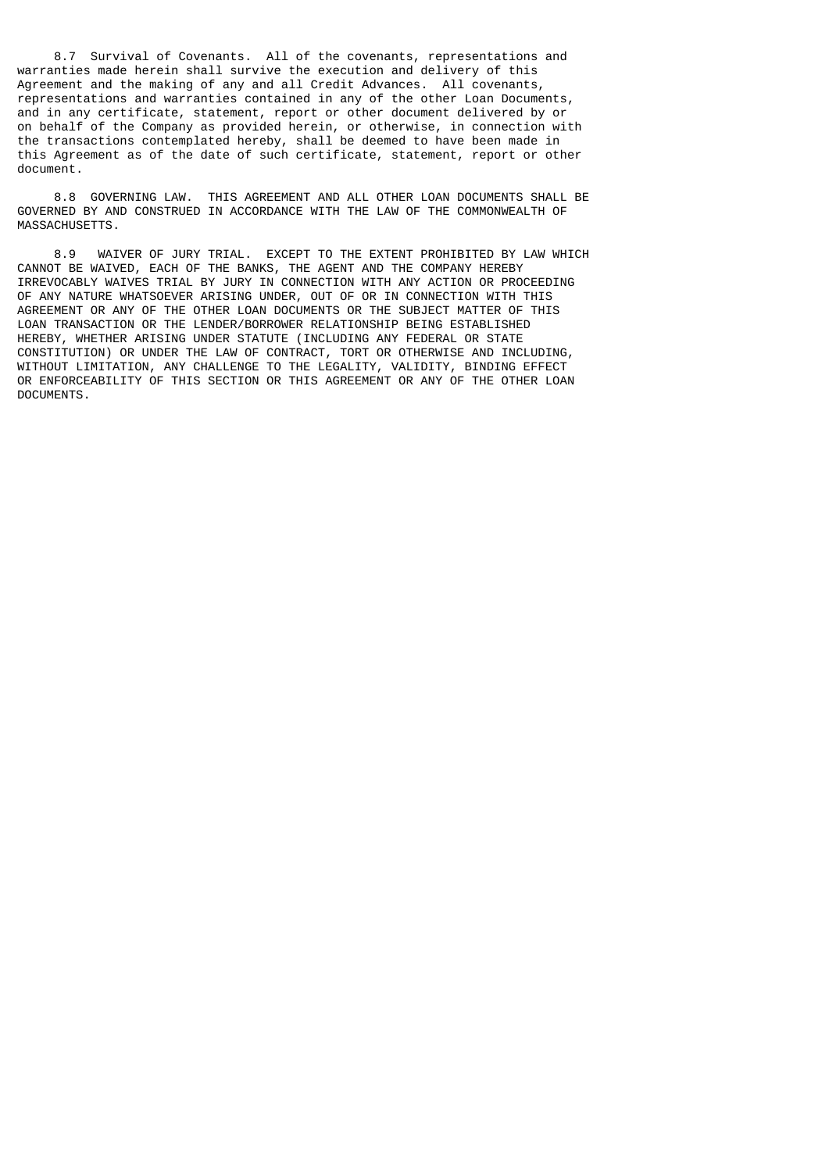8.7 Survival of Covenants. All of the covenants, representations and warranties made herein shall survive the execution and delivery of this Agreement and the making of any and all Credit Advances. All covenants, representations and warranties contained in any of the other Loan Documents, and in any certificate, statement, report or other document delivered by or on behalf of the Company as provided herein, or otherwise, in connection with the transactions contemplated hereby, shall be deemed to have been made in this Agreement as of the date of such certificate, statement, report or other document.

 8.8 GOVERNING LAW. THIS AGREEMENT AND ALL OTHER LOAN DOCUMENTS SHALL BE GOVERNED BY AND CONSTRUED IN ACCORDANCE WITH THE LAW OF THE COMMONWEALTH OF MASSACHUSETTS.

 8.9 WAIVER OF JURY TRIAL. EXCEPT TO THE EXTENT PROHIBITED BY LAW WHICH CANNOT BE WAIVED, EACH OF THE BANKS, THE AGENT AND THE COMPANY HEREBY IRREVOCABLY WAIVES TRIAL BY JURY IN CONNECTION WITH ANY ACTION OR PROCEEDING OF ANY NATURE WHATSOEVER ARISING UNDER, OUT OF OR IN CONNECTION WITH THIS AGREEMENT OR ANY OF THE OTHER LOAN DOCUMENTS OR THE SUBJECT MATTER OF THIS LOAN TRANSACTION OR THE LENDER/BORROWER RELATIONSHIP BEING ESTABLISHED HEREBY, WHETHER ARISING UNDER STATUTE (INCLUDING ANY FEDERAL OR STATE CONSTITUTION) OR UNDER THE LAW OF CONTRACT, TORT OR OTHERWISE AND INCLUDING, WITHOUT LIMITATION, ANY CHALLENGE TO THE LEGALITY, VALIDITY, BINDING EFFECT OR ENFORCEABILITY OF THIS SECTION OR THIS AGREEMENT OR ANY OF THE OTHER LOAN DOCUMENTS.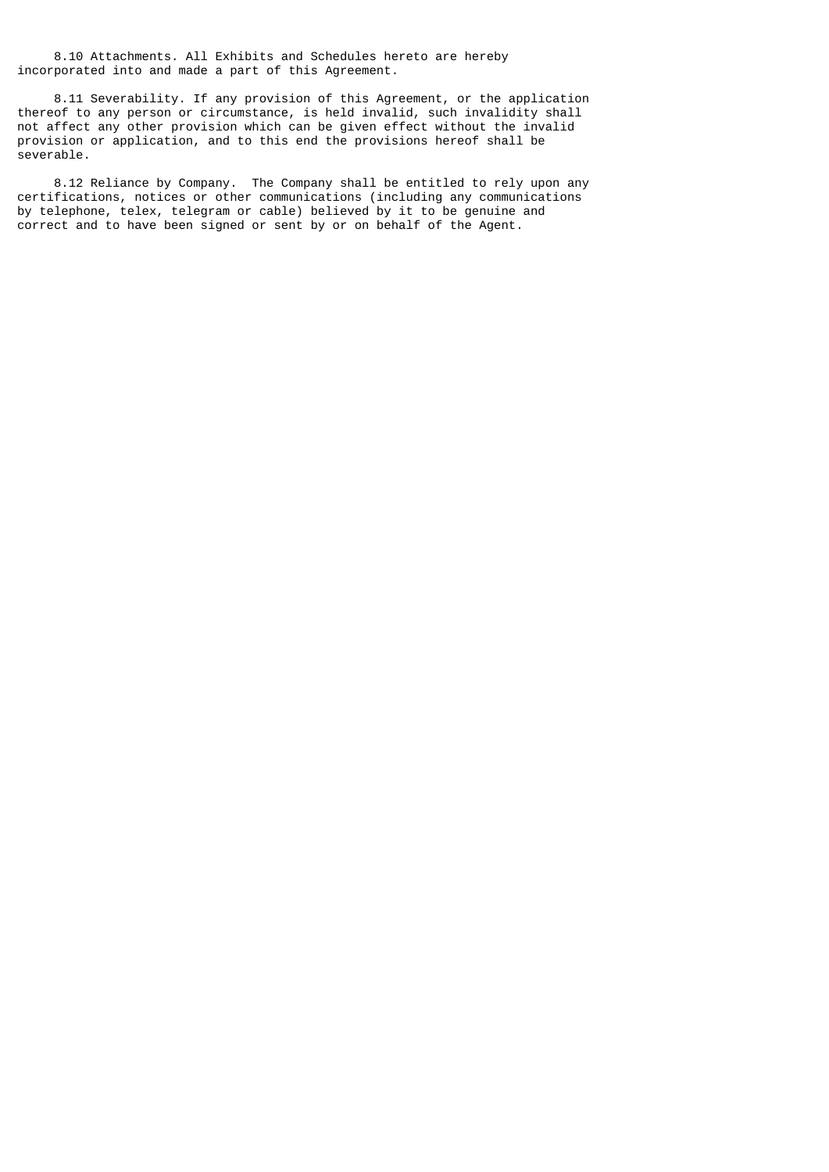8.10 Attachments. All Exhibits and Schedules hereto are hereby incorporated into and made a part of this Agreement.

 8.11 Severability. If any provision of this Agreement, or the application thereof to any person or circumstance, is held invalid, such invalidity shall not affect any other provision which can be given effect without the invalid provision or application, and to this end the provisions hereof shall be severable.

 8.12 Reliance by Company. The Company shall be entitled to rely upon any certifications, notices or other communications (including any communications by telephone, telex, telegram or cable) believed by it to be genuine and correct and to have been signed or sent by or on behalf of the Agent.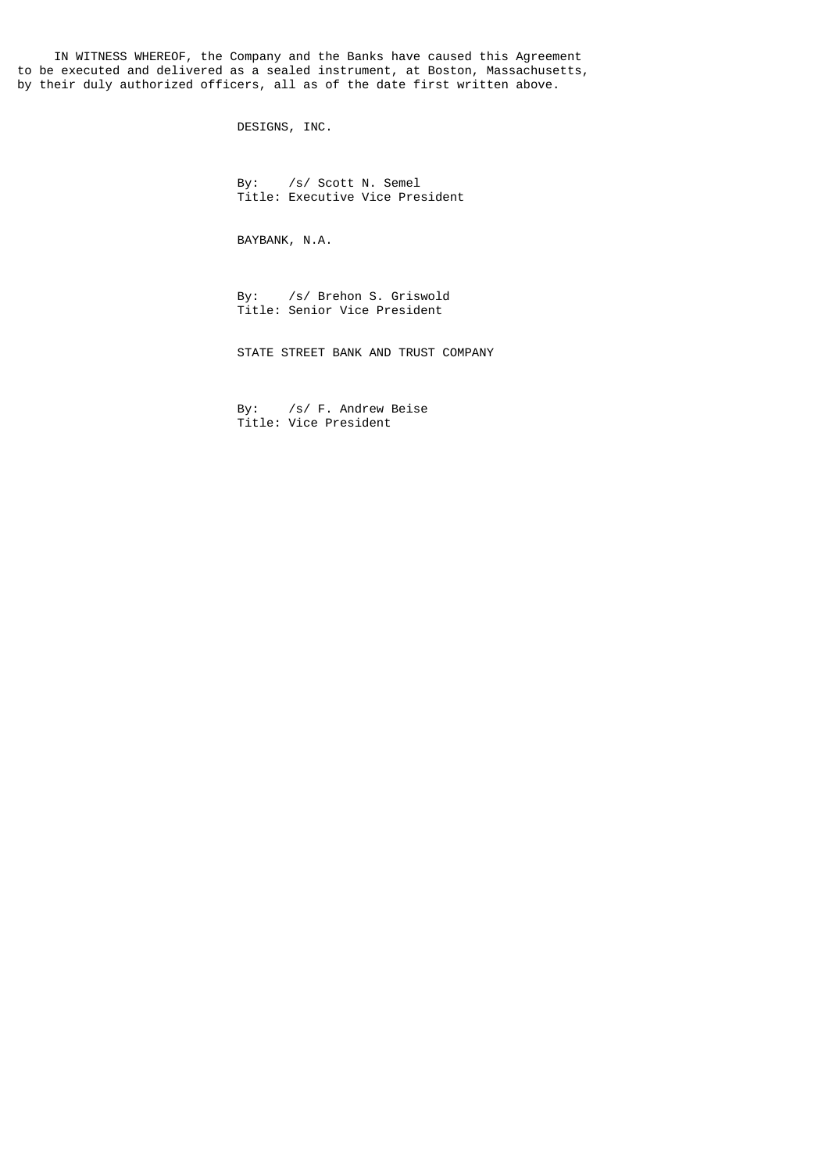IN WITNESS WHEREOF, the Company and the Banks have caused this Agreement to be executed and delivered as a sealed instrument, at Boston, Massachusetts, by their duly authorized officers, all as of the date first written above.

DESIGNS, INC.

 By: /s/ Scott N. Semel Title: Executive Vice President

BAYBANK, N.A.

 By: /s/ Brehon S. Griswold Title: Senior Vice President

STATE STREET BANK AND TRUST COMPANY

 By: /s/ F. Andrew Beise Title: Vice President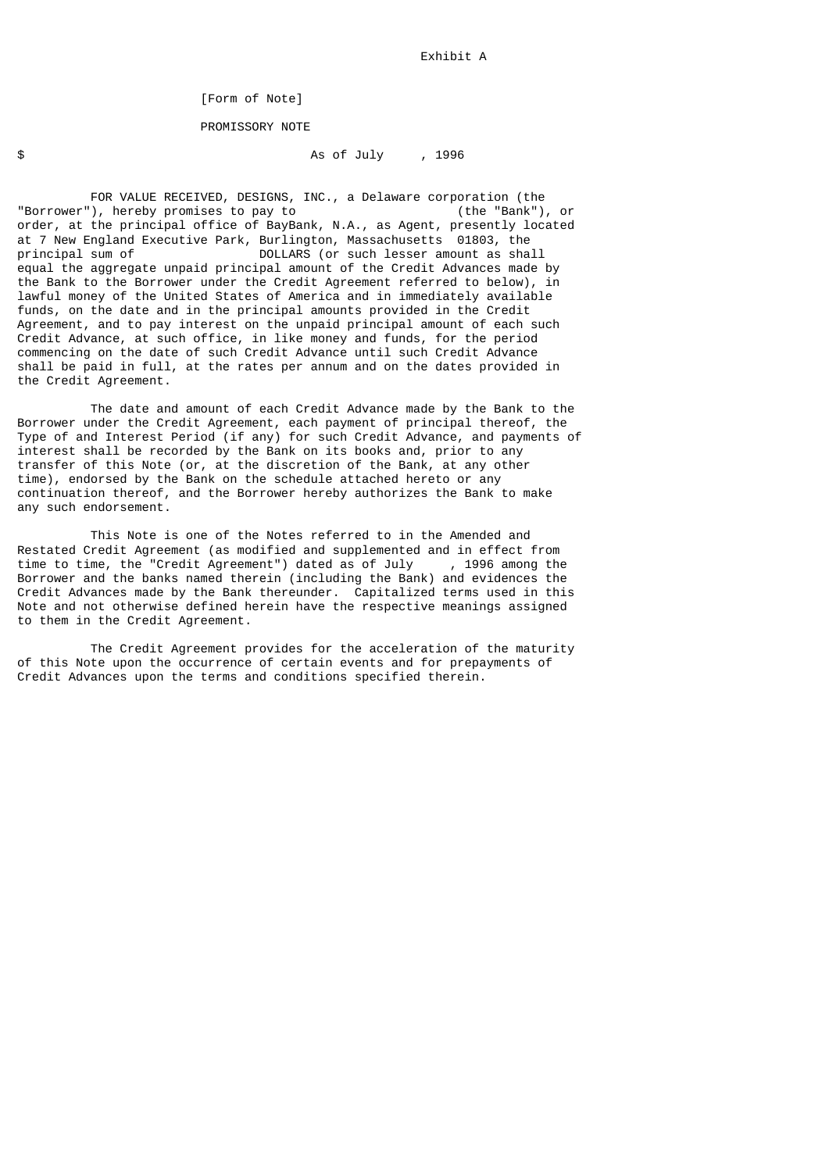## [Form of Note]

PROMISSORY NOTE

### $\uparrow$   $\uparrow$   $\uparrow$   $\uparrow$   $\uparrow$   $\uparrow$   $\uparrow$   $\uparrow$   $\uparrow$   $\uparrow$   $\uparrow$   $\uparrow$   $\uparrow$   $\uparrow$   $\uparrow$   $\uparrow$   $\uparrow$   $\uparrow$   $\uparrow$   $\uparrow$   $\uparrow$   $\uparrow$   $\uparrow$   $\uparrow$   $\uparrow$   $\uparrow$   $\uparrow$   $\uparrow$   $\uparrow$   $\uparrow$   $\uparrow$   $\uparrow$   $\uparrow$   $\uparrow$   $\uparrow$   $\uparrow$   $\uparrow$

FOR VALUE RECEIVED, DESIGNS, INC., a Delaware corporation (the<br>'), hereby promises to pay to (the "Bank"), or "Borrower"), hereby promises to pay to order, at the principal office of BayBank, N.A., as Agent, presently located at 7 New England Executive Park, Burlington, Massachusetts 01803, the principal sum of DOLLARS (or such lesser amount as shall DOLLARS (or such lesser amount as shall equal the aggregate unpaid principal amount of the Credit Advances made by the Bank to the Borrower under the Credit Agreement referred to below), in lawful money of the United States of America and in immediately available funds, on the date and in the principal amounts provided in the Credit Agreement, and to pay interest on the unpaid principal amount of each such Credit Advance, at such office, in like money and funds, for the period commencing on the date of such Credit Advance until such Credit Advance shall be paid in full, at the rates per annum and on the dates provided in the Credit Agreement.

 The date and amount of each Credit Advance made by the Bank to the Borrower under the Credit Agreement, each payment of principal thereof, the Type of and Interest Period (if any) for such Credit Advance, and payments of interest shall be recorded by the Bank on its books and, prior to any transfer of this Note (or, at the discretion of the Bank, at any other time), endorsed by the Bank on the schedule attached hereto or any continuation thereof, and the Borrower hereby authorizes the Bank to make any such endorsement.

 This Note is one of the Notes referred to in the Amended and Restated Credit Agreement (as modified and supplemented and in effect from time to time, the "Credit Agreement") dated as of July , 1996 among the Borrower and the banks named therein (including the Bank) and evidences the Credit Advances made by the Bank thereunder. Capitalized terms used in this Note and not otherwise defined herein have the respective meanings assigned to them in the Credit Agreement.

 The Credit Agreement provides for the acceleration of the maturity of this Note upon the occurrence of certain events and for prepayments of Credit Advances upon the terms and conditions specified therein.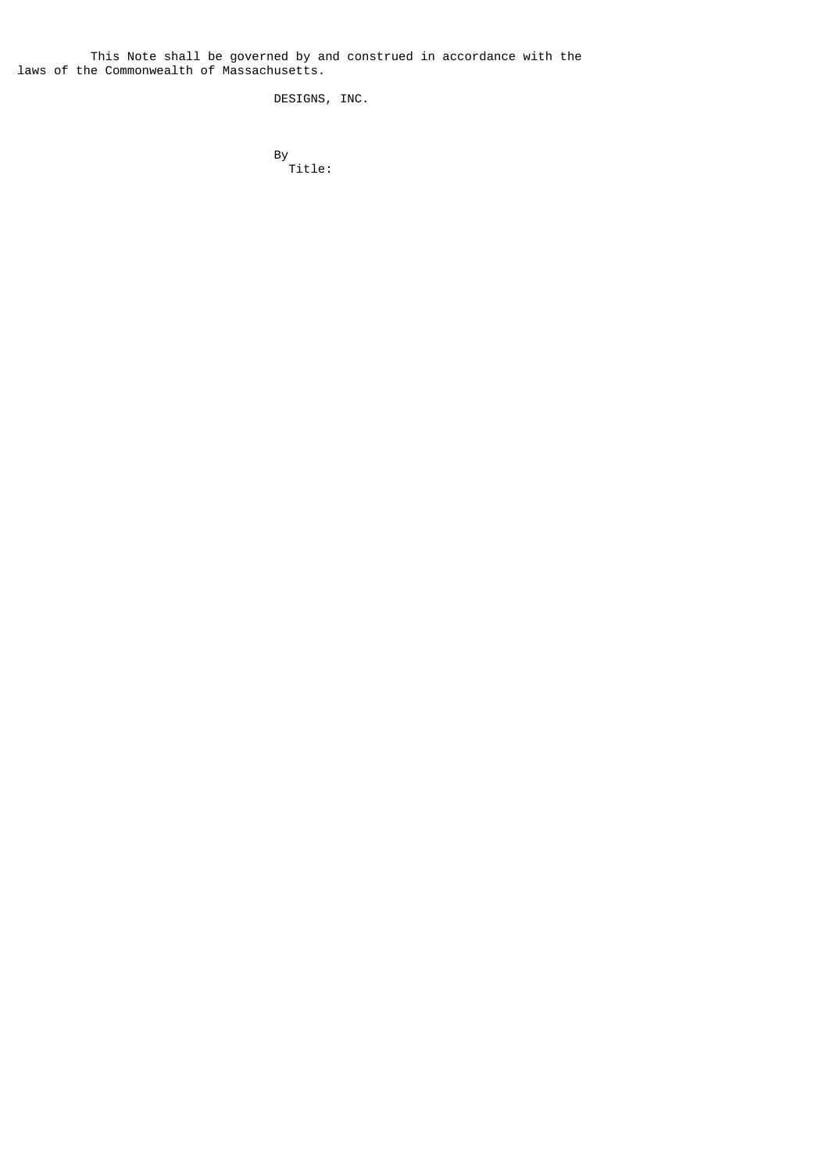This Note shall be governed by and construed in accordance with the laws of the Commonwealth of Massachusetts.

DESIGNS, INC.

and the state of the state of the By-Title: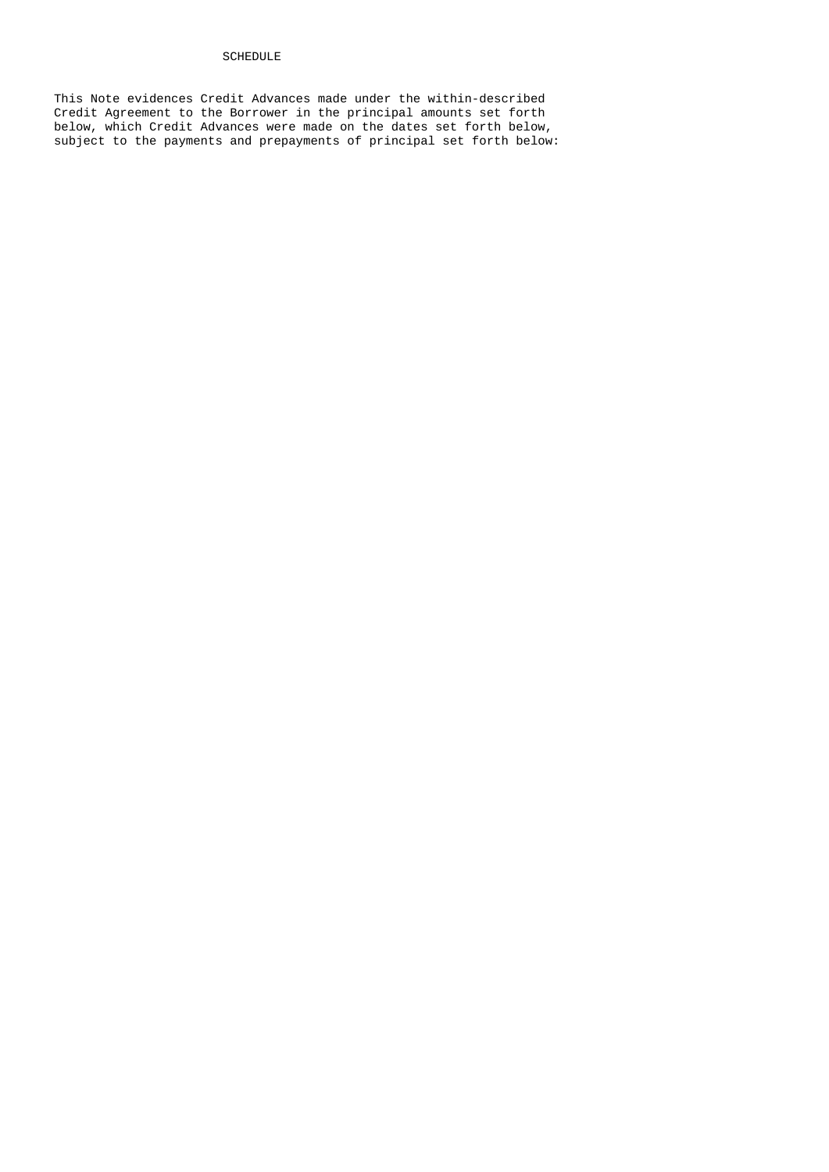# SCHEDULE

 This Note evidences Credit Advances made under the within-described Credit Agreement to the Borrower in the principal amounts set forth below, which Credit Advances were made on the dates set forth below, subject to the payments and prepayments of principal set forth below: